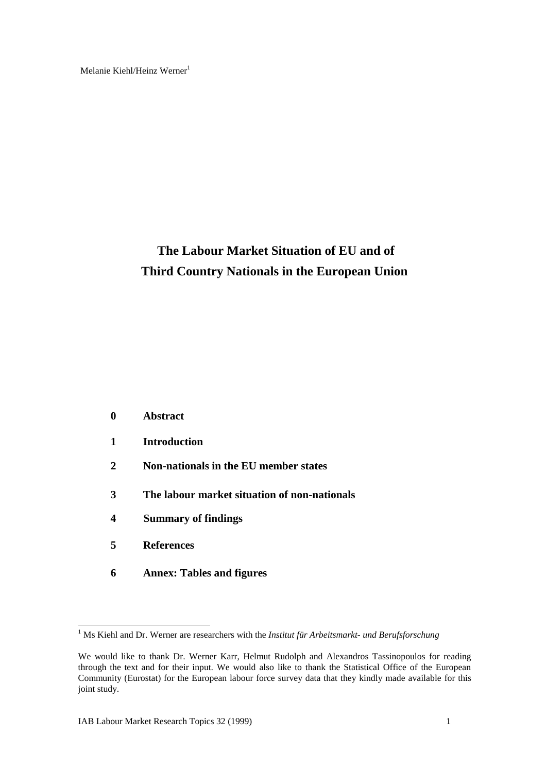Melanie Kiehl/Heinz Werner<sup>1</sup>

# **The Labour Market Situation of EU and of Third Country Nationals in the European Union**

|   | <b>Abstract</b>                              |
|---|----------------------------------------------|
| 1 | <b>Introduction</b>                          |
| 2 | Non-nationals in the EU member states        |
| 3 | The labour market situation of non-nationals |
| 4 | <b>Summary of findings</b>                   |
| 5 | <b>References</b>                            |
| 6 | <b>Annex: Tables and figures</b>             |

 1 Ms Kiehl and Dr. Werner are researchers with the *Institut für Arbeitsmarkt- und Berufsforschung*

We would like to thank Dr. Werner Karr, Helmut Rudolph and Alexandros Tassinopoulos for reading through the text and for their input. We would also like to thank the Statistical Office of the European Community (Eurostat) for the European labour force survey data that they kindly made available for this joint study.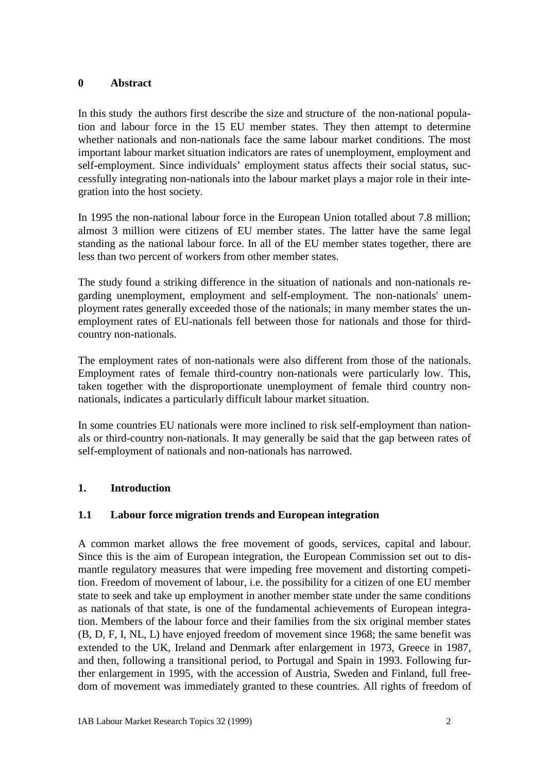#### **0 Abstract**

In this study the authors first describe the size and structure of the non-national population and labour force in the 15 EU member states. They then attempt to determine whether nationals and non-nationals face the same labour market conditions. The most important labour market situation indicators are rates of unemployment, employment and self-employment. Since individuals' employment status affects their social status, successfully integrating non-nationals into the labour market plays a major role in their integration into the host society.

In 1995 the non-national labour force in the European Union totalled about 7.8 million; almost 3 million were citizens of EU member states. The latter have the same legal standing as the national labour force. In all of the EU member states together, there are less than two percent of workers from other member states.

The study found a striking difference in the situation of nationals and non-nationals regarding unemployment, employment and self-employment. The non-nationals' unemployment rates generally exceeded those of the nationals; in many member states the unemployment rates of EU-nationals fell between those for nationals and those for thirdcountry non-nationals.

The employment rates of non-nationals were also different from those of the nationals. Employment rates of female third-country non-nationals were particularly low. This, taken together with the disproportionate unemployment of female third country nonnationals, indicates a particularly difficult labour market situation.

In some countries EU nationals were more inclined to risk self-employment than nationals or third-country non-nationals. It may generally be said that the gap between rates of self-employment of nationals and non-nationals has narrowed.

## **1. Introduction**

### **1.1 Labour force migration trends and European integration**

A common market allows the free movement of goods, services, capital and labour. Since this is the aim of European integration, the European Commission set out to dismantle regulatory measures that were impeding free movement and distorting competition. Freedom of movement of labour, i.e. the possibility for a citizen of one EU member state to seek and take up employment in another member state under the same conditions as nationals of that state, is one of the fundamental achievements of European integration. Members of the labour force and their families from the six original member states (B, D, F, I, NL, L) have enjoyed freedom of movement since 1968; the same benefit was extended to the UK, Ireland and Denmark after enlargement in 1973, Greece in 1987, and then, following a transitional period, to Portugal and Spain in 1993. Following further enlargement in 1995, with the accession of Austria, Sweden and Finland, full freedom of movement was immediately granted to these countries. All rights of freedom of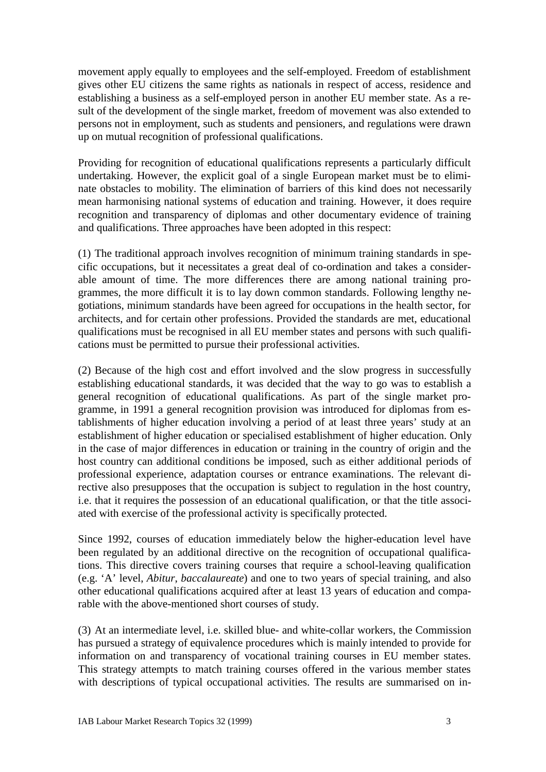movement apply equally to employees and the self-employed. Freedom of establishment gives other EU citizens the same rights as nationals in respect of access, residence and establishing a business as a self-employed person in another EU member state. As a result of the development of the single market, freedom of movement was also extended to persons not in employment, such as students and pensioners, and regulations were drawn up on mutual recognition of professional qualifications.

Providing for recognition of educational qualifications represents a particularly difficult undertaking. However, the explicit goal of a single European market must be to eliminate obstacles to mobility. The elimination of barriers of this kind does not necessarily mean harmonising national systems of education and training. However, it does require recognition and transparency of diplomas and other documentary evidence of training and qualifications. Three approaches have been adopted in this respect:

(1) The traditional approach involves recognition of minimum training standards in specific occupations, but it necessitates a great deal of co-ordination and takes a considerable amount of time. The more differences there are among national training programmes, the more difficult it is to lay down common standards. Following lengthy negotiations, minimum standards have been agreed for occupations in the health sector, for architects, and for certain other professions. Provided the standards are met, educational qualifications must be recognised in all EU member states and persons with such qualifications must be permitted to pursue their professional activities.

(2) Because of the high cost and effort involved and the slow progress in successfully establishing educational standards, it was decided that the way to go was to establish a general recognition of educational qualifications. As part of the single market programme, in 1991 a general recognition provision was introduced for diplomas from establishments of higher education involving a period of at least three years' study at an establishment of higher education or specialised establishment of higher education. Only in the case of major differences in education or training in the country of origin and the host country can additional conditions be imposed, such as either additional periods of professional experience, adaptation courses or entrance examinations. The relevant directive also presupposes that the occupation is subject to regulation in the host country, i.e. that it requires the possession of an educational qualification, or that the title associated with exercise of the professional activity is specifically protected.

Since 1992, courses of education immediately below the higher-education level have been regulated by an additional directive on the recognition of occupational qualifications. This directive covers training courses that require a school-leaving qualification (e.g. 'A' level, *Abitur*, *baccalaureate*) and one to two years of special training, and also other educational qualifications acquired after at least 13 years of education and comparable with the above-mentioned short courses of study.

(3) At an intermediate level, i.e. skilled blue- and white-collar workers, the Commission has pursued a strategy of equivalence procedures which is mainly intended to provide for information on and transparency of vocational training courses in EU member states. This strategy attempts to match training courses offered in the various member states with descriptions of typical occupational activities. The results are summarised on in-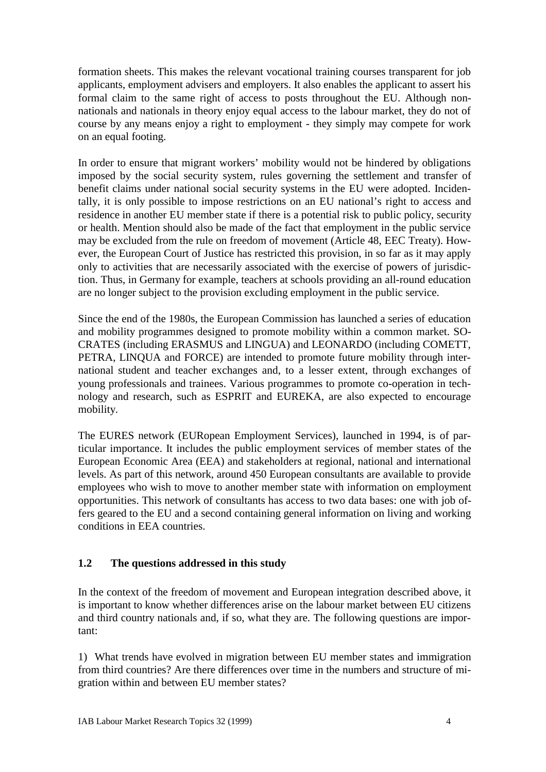formation sheets. This makes the relevant vocational training courses transparent for job applicants, employment advisers and employers. It also enables the applicant to assert his formal claim to the same right of access to posts throughout the EU. Although nonnationals and nationals in theory enjoy equal access to the labour market, they do not of course by any means enjoy a right to employment - they simply may compete for work on an equal footing.

In order to ensure that migrant workers' mobility would not be hindered by obligations imposed by the social security system, rules governing the settlement and transfer of benefit claims under national social security systems in the EU were adopted. Incidentally, it is only possible to impose restrictions on an EU national's right to access and residence in another EU member state if there is a potential risk to public policy, security or health. Mention should also be made of the fact that employment in the public service may be excluded from the rule on freedom of movement (Article 48, EEC Treaty). However, the European Court of Justice has restricted this provision, in so far as it may apply only to activities that are necessarily associated with the exercise of powers of jurisdiction. Thus, in Germany for example, teachers at schools providing an all-round education are no longer subject to the provision excluding employment in the public service.

Since the end of the 1980s, the European Commission has launched a series of education and mobility programmes designed to promote mobility within a common market. SO-CRATES (including ERASMUS and LINGUA) and LEONARDO (including COMETT, PETRA, LINQUA and FORCE) are intended to promote future mobility through international student and teacher exchanges and, to a lesser extent, through exchanges of young professionals and trainees. Various programmes to promote co-operation in technology and research, such as ESPRIT and EUREKA, are also expected to encourage mobility.

The EURES network (EURopean Employment Services), launched in 1994, is of particular importance. It includes the public employment services of member states of the European Economic Area (EEA) and stakeholders at regional, national and international levels. As part of this network, around 450 European consultants are available to provide employees who wish to move to another member state with information on employment opportunities. This network of consultants has access to two data bases: one with job offers geared to the EU and a second containing general information on living and working conditions in EEA countries.

## **1.2 The questions addressed in this study**

In the context of the freedom of movement and European integration described above, it is important to know whether differences arise on the labour market between EU citizens and third country nationals and, if so, what they are. The following questions are important:

1) What trends have evolved in migration between EU member states and immigration from third countries? Are there differences over time in the numbers and structure of migration within and between EU member states?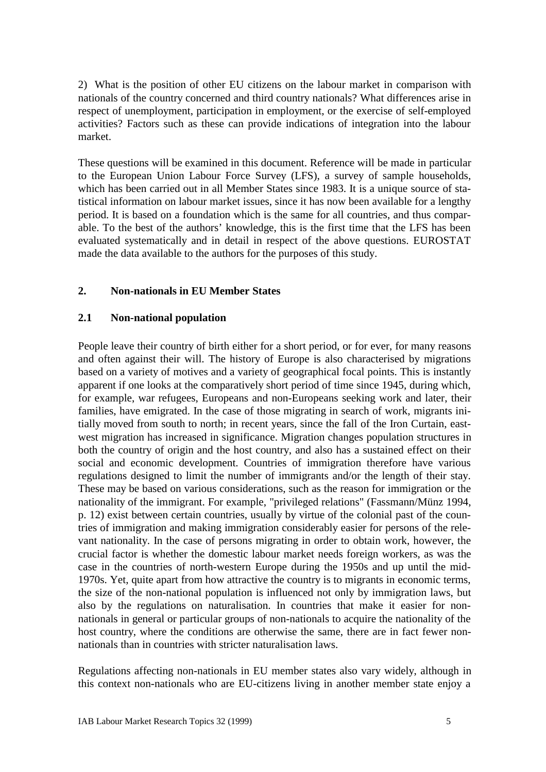2) What is the position of other EU citizens on the labour market in comparison with nationals of the country concerned and third country nationals? What differences arise in respect of unemployment, participation in employment, or the exercise of self-employed activities? Factors such as these can provide indications of integration into the labour market.

These questions will be examined in this document. Reference will be made in particular to the European Union Labour Force Survey (LFS), a survey of sample households, which has been carried out in all Member States since 1983. It is a unique source of statistical information on labour market issues, since it has now been available for a lengthy period. It is based on a foundation which is the same for all countries, and thus comparable. To the best of the authors' knowledge, this is the first time that the LFS has been evaluated systematically and in detail in respect of the above questions. EUROSTAT made the data available to the authors for the purposes of this study.

### **2. Non-nationals in EU Member States**

### **2.1 Non-national population**

People leave their country of birth either for a short period, or for ever, for many reasons and often against their will. The history of Europe is also characterised by migrations based on a variety of motives and a variety of geographical focal points. This is instantly apparent if one looks at the comparatively short period of time since 1945, during which, for example, war refugees, Europeans and non-Europeans seeking work and later, their families, have emigrated. In the case of those migrating in search of work, migrants initially moved from south to north; in recent years, since the fall of the Iron Curtain, eastwest migration has increased in significance. Migration changes population structures in both the country of origin and the host country, and also has a sustained effect on their social and economic development. Countries of immigration therefore have various regulations designed to limit the number of immigrants and/or the length of their stay. These may be based on various considerations, such as the reason for immigration or the nationality of the immigrant. For example, "privileged relations" (Fassmann/Münz 1994, p. 12) exist between certain countries, usually by virtue of the colonial past of the countries of immigration and making immigration considerably easier for persons of the relevant nationality. In the case of persons migrating in order to obtain work, however, the crucial factor is whether the domestic labour market needs foreign workers, as was the case in the countries of north-western Europe during the 1950s and up until the mid-1970s. Yet, quite apart from how attractive the country is to migrants in economic terms, the size of the non-national population is influenced not only by immigration laws, but also by the regulations on naturalisation. In countries that make it easier for nonnationals in general or particular groups of non-nationals to acquire the nationality of the host country, where the conditions are otherwise the same, there are in fact fewer nonnationals than in countries with stricter naturalisation laws.

Regulations affecting non-nationals in EU member states also vary widely, although in this context non-nationals who are EU-citizens living in another member state enjoy a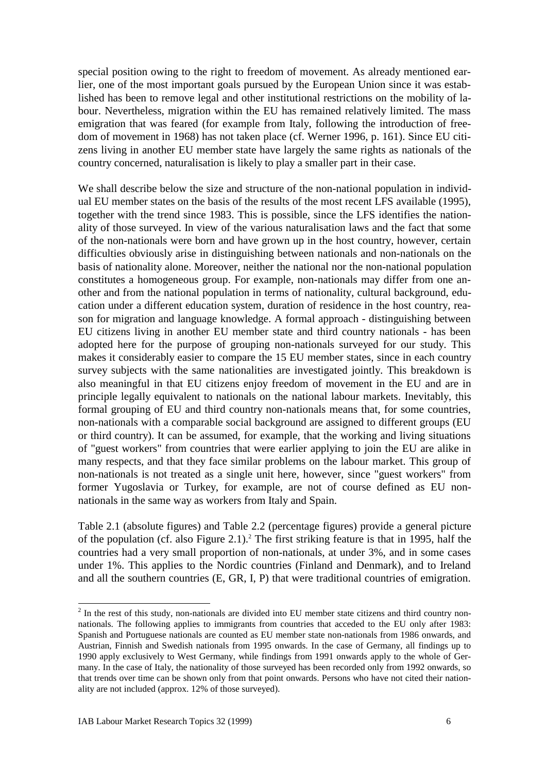special position owing to the right to freedom of movement. As already mentioned earlier, one of the most important goals pursued by the European Union since it was established has been to remove legal and other institutional restrictions on the mobility of labour. Nevertheless, migration within the EU has remained relatively limited. The mass emigration that was feared (for example from Italy, following the introduction of freedom of movement in 1968) has not taken place (cf. Werner 1996, p. 161). Since EU citizens living in another EU member state have largely the same rights as nationals of the country concerned, naturalisation is likely to play a smaller part in their case.

We shall describe below the size and structure of the non-national population in individual EU member states on the basis of the results of the most recent LFS available (1995), together with the trend since 1983. This is possible, since the LFS identifies the nationality of those surveyed. In view of the various naturalisation laws and the fact that some of the non-nationals were born and have grown up in the host country, however, certain difficulties obviously arise in distinguishing between nationals and non-nationals on the basis of nationality alone. Moreover, neither the national nor the non-national population constitutes a homogeneous group. For example, non-nationals may differ from one another and from the national population in terms of nationality, cultural background, education under a different education system, duration of residence in the host country, reason for migration and language knowledge. A formal approach - distinguishing between EU citizens living in another EU member state and third country nationals - has been adopted here for the purpose of grouping non-nationals surveyed for our study. This makes it considerably easier to compare the 15 EU member states, since in each country survey subjects with the same nationalities are investigated jointly. This breakdown is also meaningful in that EU citizens enjoy freedom of movement in the EU and are in principle legally equivalent to nationals on the national labour markets. Inevitably, this formal grouping of EU and third country non-nationals means that, for some countries, non-nationals with a comparable social background are assigned to different groups (EU or third country). It can be assumed, for example, that the working and living situations of "guest workers" from countries that were earlier applying to join the EU are alike in many respects, and that they face similar problems on the labour market. This group of non-nationals is not treated as a single unit here, however, since "guest workers" from former Yugoslavia or Turkey, for example, are not of course defined as EU nonnationals in the same way as workers from Italy and Spain.

Table 2.1 (absolute figures) and Table 2.2 (percentage figures) provide a general picture of the population (cf. also Figure 2.1).<sup>2</sup> The first striking feature is that in 1995, half the countries had a very small proportion of non-nationals, at under 3%, and in some cases under 1%. This applies to the Nordic countries (Finland and Denmark), and to Ireland and all the southern countries (E, GR, I, P) that were traditional countries of emigration.

 $2<sup>2</sup>$  In the rest of this study, non-nationals are divided into EU member state citizens and third country nonnationals. The following applies to immigrants from countries that acceded to the EU only after 1983: Spanish and Portuguese nationals are counted as EU member state non-nationals from 1986 onwards, and Austrian, Finnish and Swedish nationals from 1995 onwards. In the case of Germany, all findings up to 1990 apply exclusively to West Germany, while findings from 1991 onwards apply to the whole of Germany. In the case of Italy, the nationality of those surveyed has been recorded only from 1992 onwards, so that trends over time can be shown only from that point onwards. Persons who have not cited their nationality are not included (approx. 12% of those surveyed).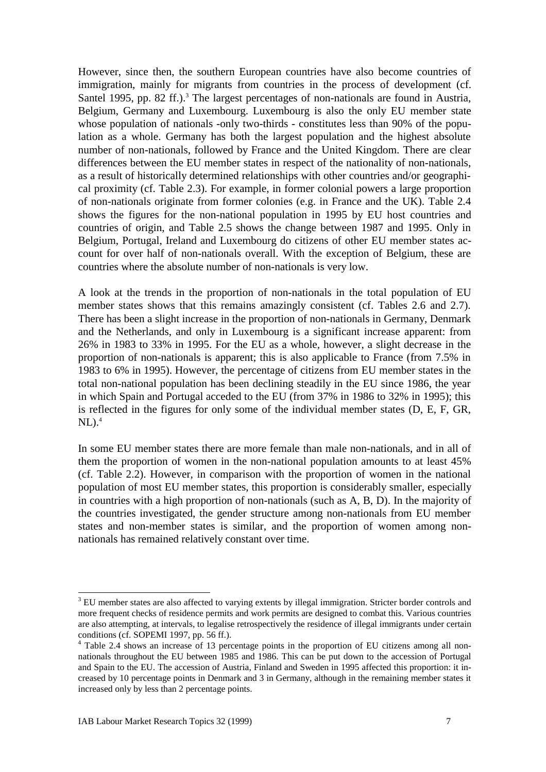However, since then, the southern European countries have also become countries of immigration, mainly for migrants from countries in the process of development (cf. Santel 1995, pp. 82 ff.).<sup>3</sup> The largest percentages of non-nationals are found in Austria, Belgium, Germany and Luxembourg. Luxembourg is also the only EU member state whose population of nationals -only two-thirds - constitutes less than 90% of the population as a whole. Germany has both the largest population and the highest absolute number of non-nationals, followed by France and the United Kingdom. There are clear differences between the EU member states in respect of the nationality of non-nationals, as a result of historically determined relationships with other countries and/or geographical proximity (cf. Table 2.3). For example, in former colonial powers a large proportion of non-nationals originate from former colonies (e.g. in France and the UK). Table 2.4 shows the figures for the non-national population in 1995 by EU host countries and countries of origin, and Table 2.5 shows the change between 1987 and 1995. Only in Belgium, Portugal, Ireland and Luxembourg do citizens of other EU member states account for over half of non-nationals overall. With the exception of Belgium, these are countries where the absolute number of non-nationals is very low.

A look at the trends in the proportion of non-nationals in the total population of EU member states shows that this remains amazingly consistent (cf. Tables 2.6 and 2.7). There has been a slight increase in the proportion of non-nationals in Germany, Denmark and the Netherlands, and only in Luxembourg is a significant increase apparent: from 26% in 1983 to 33% in 1995. For the EU as a whole, however, a slight decrease in the proportion of non-nationals is apparent; this is also applicable to France (from 7.5% in 1983 to 6% in 1995). However, the percentage of citizens from EU member states in the total non-national population has been declining steadily in the EU since 1986, the year in which Spain and Portugal acceded to the EU (from 37% in 1986 to 32% in 1995); this is reflected in the figures for only some of the individual member states (D, E, F, GR,  $\rm NL$ ).<sup>4</sup>

In some EU member states there are more female than male non-nationals, and in all of them the proportion of women in the non-national population amounts to at least 45% (cf. Table 2.2). However, in comparison with the proportion of women in the national population of most EU member states, this proportion is considerably smaller, especially in countries with a high proportion of non-nationals (such as A, B, D). In the majority of the countries investigated, the gender structure among non-nationals from EU member states and non-member states is similar, and the proportion of women among nonnationals has remained relatively constant over time.

<sup>&</sup>lt;sup>3</sup> EU member states are also affected to varying extents by illegal immigration. Stricter border controls and more frequent checks of residence permits and work permits are designed to combat this. Various countries are also attempting, at intervals, to legalise retrospectively the residence of illegal immigrants under certain conditions (cf. SOPEMI 1997, pp. 56 ff.).

<sup>&</sup>lt;sup>4</sup> Table 2.4 shows an increase of 13 percentage points in the proportion of EU citizens among all nonnationals throughout the EU between 1985 and 1986. This can be put down to the accession of Portugal and Spain to the EU. The accession of Austria, Finland and Sweden in 1995 affected this proportion: it increased by 10 percentage points in Denmark and 3 in Germany, although in the remaining member states it increased only by less than 2 percentage points.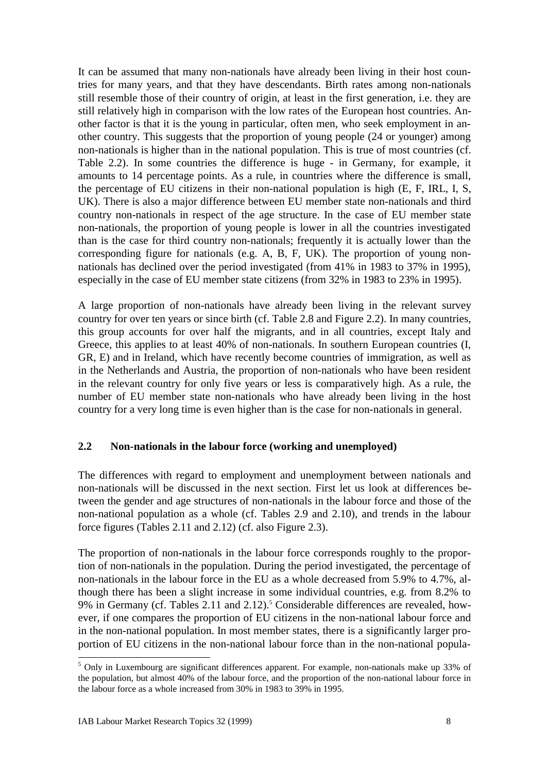It can be assumed that many non-nationals have already been living in their host countries for many years, and that they have descendants. Birth rates among non-nationals still resemble those of their country of origin, at least in the first generation, i.e. they are still relatively high in comparison with the low rates of the European host countries. Another factor is that it is the young in particular, often men, who seek employment in another country. This suggests that the proportion of young people (24 or younger) among non-nationals is higher than in the national population. This is true of most countries (cf. Table 2.2). In some countries the difference is huge - in Germany, for example, it amounts to 14 percentage points. As a rule, in countries where the difference is small, the percentage of EU citizens in their non-national population is high (E, F, IRL, I, S, UK). There is also a major difference between EU member state non-nationals and third country non-nationals in respect of the age structure. In the case of EU member state non-nationals, the proportion of young people is lower in all the countries investigated than is the case for third country non-nationals; frequently it is actually lower than the corresponding figure for nationals (e.g. A, B, F, UK). The proportion of young nonnationals has declined over the period investigated (from 41% in 1983 to 37% in 1995), especially in the case of EU member state citizens (from 32% in 1983 to 23% in 1995).

A large proportion of non-nationals have already been living in the relevant survey country for over ten years or since birth (cf. Table 2.8 and Figure 2.2). In many countries, this group accounts for over half the migrants, and in all countries, except Italy and Greece, this applies to at least 40% of non-nationals. In southern European countries (I, GR, E) and in Ireland, which have recently become countries of immigration, as well as in the Netherlands and Austria, the proportion of non-nationals who have been resident in the relevant country for only five years or less is comparatively high. As a rule, the number of EU member state non-nationals who have already been living in the host country for a very long time is even higher than is the case for non-nationals in general.

### **2.2 Non-nationals in the labour force (working and unemployed)**

The differences with regard to employment and unemployment between nationals and non-nationals will be discussed in the next section. First let us look at differences between the gender and age structures of non-nationals in the labour force and those of the non-national population as a whole (cf. Tables 2.9 and 2.10), and trends in the labour force figures (Tables 2.11 and 2.12) (cf. also Figure 2.3).

The proportion of non-nationals in the labour force corresponds roughly to the proportion of non-nationals in the population. During the period investigated, the percentage of non-nationals in the labour force in the EU as a whole decreased from 5.9% to 4.7%, although there has been a slight increase in some individual countries, e.g. from 8.2% to 9% in Germany (cf. Tables 2.11 and 2.12).<sup>5</sup> Considerable differences are revealed, however, if one compares the proportion of EU citizens in the non-national labour force and in the non-national population. In most member states, there is a significantly larger proportion of EU citizens in the non-national labour force than in the non-national popula-

<sup>&</sup>lt;sup>5</sup> Only in Luxembourg are significant differences apparent. For example, non-nationals make up 33% of the population, but almost 40% of the labour force, and the proportion of the non-national labour force in the labour force as a whole increased from 30% in 1983 to 39% in 1995.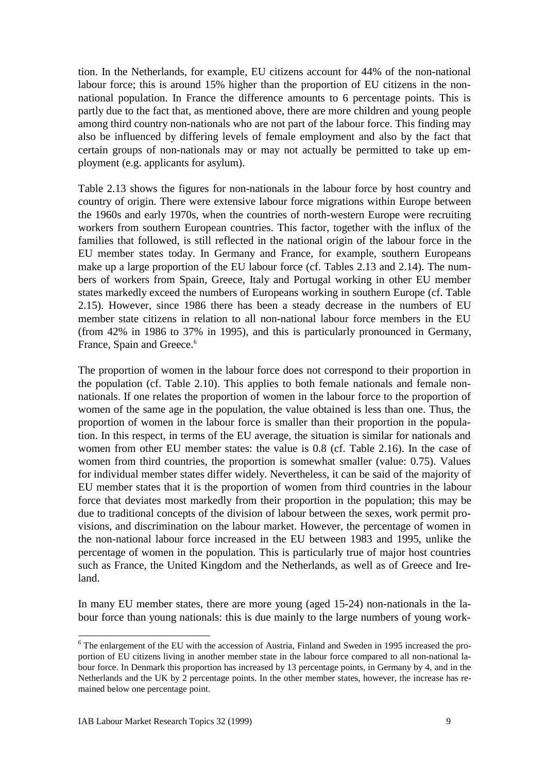tion. In the Netherlands, for example, EU citizens account for 44% of the non-national labour force; this is around 15% higher than the proportion of EU citizens in the nonnational population. In France the difference amounts to 6 percentage points. This is partly due to the fact that, as mentioned above, there are more children and young people among third country non-nationals who are not part of the labour force. This finding may also be influenced by differing levels of female employment and also by the fact that certain groups of non-nationals may or may not actually be permitted to take up employment (e.g. applicants for asylum).

Table 2.13 shows the figures for non-nationals in the labour force by host country and country of origin. There were extensive labour force migrations within Europe between the 1960s and early 1970s, when the countries of north-western Europe were recruiting workers from southern European countries. This factor, together with the influx of the families that followed, is still reflected in the national origin of the labour force in the EU member states today. In Germany and France, for example, southern Europeans make up a large proportion of the EU labour force (cf. Tables 2.13 and 2.14). The numbers of workers from Spain, Greece, Italy and Portugal working in other EU member states markedly exceed the numbers of Europeans working in southern Europe (cf. Table 2.15). However, since 1986 there has been a steady decrease in the numbers of EU member state citizens in relation to all non-national labour force members in the EU (from 42% in 1986 to 37% in 1995), and this is particularly pronounced in Germany, France, Spain and Greece.<sup>6</sup>

The proportion of women in the labour force does not correspond to their proportion in the population (cf. Table 2.10). This applies to both female nationals and female nonnationals. If one relates the proportion of women in the labour force to the proportion of women of the same age in the population, the value obtained is less than one. Thus, the proportion of women in the labour force is smaller than their proportion in the population. In this respect, in terms of the EU average, the situation is similar for nationals and women from other EU member states: the value is 0.8 (cf. Table 2.16). In the case of women from third countries, the proportion is somewhat smaller (value: 0.75). Values for individual member states differ widely. Nevertheless, it can be said of the majority of EU member states that it is the proportion of women from third countries in the labour force that deviates most markedly from their proportion in the population; this may be due to traditional concepts of the division of labour between the sexes, work permit provisions, and discrimination on the labour market. However, the percentage of women in the non-national labour force increased in the EU between 1983 and 1995, unlike the percentage of women in the population. This is particularly true of major host countries such as France, the United Kingdom and the Netherlands, as well as of Greece and Ireland.

In many EU member states, there are more young (aged 15-24) non-nationals in the labour force than young nationals: this is due mainly to the large numbers of young work-

<sup>&</sup>lt;sup>6</sup> The enlargement of the EU with the accession of Austria, Finland and Sweden in 1995 increased the proportion of EU citizens living in another member state in the labour force compared to all non-national labour force. In Denmark this proportion has increased by 13 percentage points, in Germany by 4, and in the Netherlands and the UK by 2 percentage points. In the other member states, however, the increase has remained below one percentage point.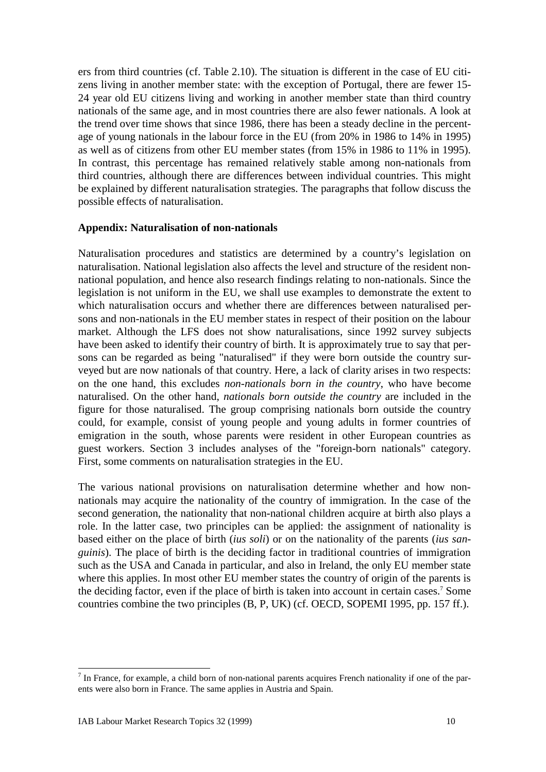ers from third countries (cf. Table 2.10). The situation is different in the case of EU citizens living in another member state: with the exception of Portugal, there are fewer 15- 24 year old EU citizens living and working in another member state than third country nationals of the same age, and in most countries there are also fewer nationals. A look at the trend over time shows that since 1986, there has been a steady decline in the percentage of young nationals in the labour force in the EU (from 20% in 1986 to 14% in 1995) as well as of citizens from other EU member states (from 15% in 1986 to 11% in 1995). In contrast, this percentage has remained relatively stable among non-nationals from third countries, although there are differences between individual countries. This might be explained by different naturalisation strategies. The paragraphs that follow discuss the possible effects of naturalisation.

#### **Appendix: Naturalisation of non-nationals**

Naturalisation procedures and statistics are determined by a country's legislation on naturalisation. National legislation also affects the level and structure of the resident nonnational population, and hence also research findings relating to non-nationals. Since the legislation is not uniform in the EU, we shall use examples to demonstrate the extent to which naturalisation occurs and whether there are differences between naturalised persons and non-nationals in the EU member states in respect of their position on the labour market. Although the LFS does not show naturalisations, since 1992 survey subjects have been asked to identify their country of birth. It is approximately true to say that persons can be regarded as being "naturalised" if they were born outside the country surveyed but are now nationals of that country. Here, a lack of clarity arises in two respects: on the one hand, this excludes *non-nationals born in the country*, who have become naturalised. On the other hand, *nationals born outside the country* are included in the figure for those naturalised. The group comprising nationals born outside the country could, for example, consist of young people and young adults in former countries of emigration in the south, whose parents were resident in other European countries as guest workers. Section 3 includes analyses of the "foreign-born nationals" category. First, some comments on naturalisation strategies in the EU.

The various national provisions on naturalisation determine whether and how nonnationals may acquire the nationality of the country of immigration. In the case of the second generation, the nationality that non-national children acquire at birth also plays a role. In the latter case, two principles can be applied: the assignment of nationality is based either on the place of birth (*ius soli*) or on the nationality of the parents (*ius sanguinis*). The place of birth is the deciding factor in traditional countries of immigration such as the USA and Canada in particular, and also in Ireland, the only EU member state where this applies. In most other EU member states the country of origin of the parents is the deciding factor, even if the place of birth is taken into account in certain cases.<sup>7</sup> Some countries combine the two principles (B, P, UK) (cf. OECD, SOPEMI 1995, pp. 157 ff.).

 $<sup>7</sup>$  In France, for example, a child born of non-national parents acquires French nationality if one of the par-</sup> ents were also born in France. The same applies in Austria and Spain.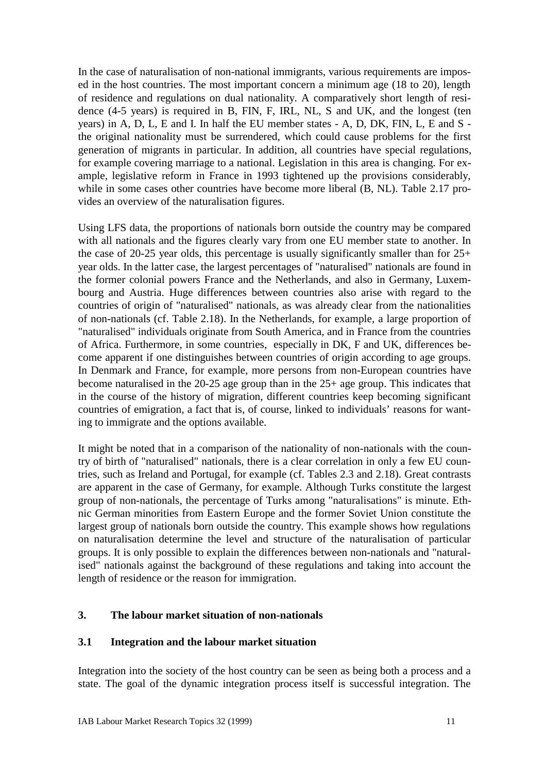In the case of naturalisation of non-national immigrants, various requirements are imposed in the host countries. The most important concern a minimum age (18 to 20), length of residence and regulations on dual nationality. A comparatively short length of residence (4-5 years) is required in B, FIN, F, IRL, NL, S and UK, and the longest (ten years) in A, D, L, E and I. In half the EU member states - A, D, DK, FIN, L, E and S the original nationality must be surrendered, which could cause problems for the first generation of migrants in particular. In addition, all countries have special regulations, for example covering marriage to a national. Legislation in this area is changing. For example, legislative reform in France in 1993 tightened up the provisions considerably, while in some cases other countries have become more liberal (B, NL). Table 2.17 provides an overview of the naturalisation figures.

Using LFS data, the proportions of nationals born outside the country may be compared with all nationals and the figures clearly vary from one EU member state to another. In the case of 20-25 year olds, this percentage is usually significantly smaller than for  $25+$ year olds. In the latter case, the largest percentages of "naturalised" nationals are found in the former colonial powers France and the Netherlands, and also in Germany, Luxembourg and Austria. Huge differences between countries also arise with regard to the countries of origin of "naturalised" nationals, as was already clear from the nationalities of non-nationals (cf. Table 2.18). In the Netherlands, for example, a large proportion of "naturalised" individuals originate from South America, and in France from the countries of Africa. Furthermore, in some countries, especially in DK, F and UK, differences become apparent if one distinguishes between countries of origin according to age groups. In Denmark and France, for example, more persons from non-European countries have become naturalised in the 20-25 age group than in the 25+ age group. This indicates that in the course of the history of migration, different countries keep becoming significant countries of emigration, a fact that is, of course, linked to individuals' reasons for wanting to immigrate and the options available.

It might be noted that in a comparison of the nationality of non-nationals with the country of birth of "naturalised" nationals, there is a clear correlation in only a few EU countries, such as Ireland and Portugal, for example (cf. Tables 2.3 and 2.18). Great contrasts are apparent in the case of Germany, for example. Although Turks constitute the largest group of non-nationals, the percentage of Turks among "naturalisations" is minute. Ethnic German minorities from Eastern Europe and the former Soviet Union constitute the largest group of nationals born outside the country. This example shows how regulations on naturalisation determine the level and structure of the naturalisation of particular groups. It is only possible to explain the differences between non-nationals and "naturalised" nationals against the background of these regulations and taking into account the length of residence or the reason for immigration.

### **3. The labour market situation of non-nationals**

#### **3.1 Integration and the labour market situation**

Integration into the society of the host country can be seen as being both a process and a state. The goal of the dynamic integration process itself is successful integration. The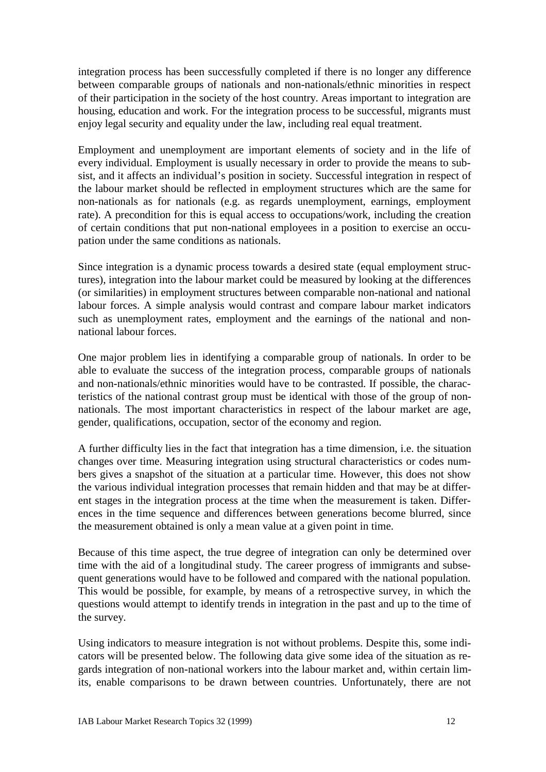integration process has been successfully completed if there is no longer any difference between comparable groups of nationals and non-nationals/ethnic minorities in respect of their participation in the society of the host country. Areas important to integration are housing, education and work. For the integration process to be successful, migrants must enjoy legal security and equality under the law, including real equal treatment.

Employment and unemployment are important elements of society and in the life of every individual. Employment is usually necessary in order to provide the means to subsist, and it affects an individual's position in society. Successful integration in respect of the labour market should be reflected in employment structures which are the same for non-nationals as for nationals (e.g. as regards unemployment, earnings, employment rate). A precondition for this is equal access to occupations/work, including the creation of certain conditions that put non-national employees in a position to exercise an occupation under the same conditions as nationals.

Since integration is a dynamic process towards a desired state (equal employment structures), integration into the labour market could be measured by looking at the differences (or similarities) in employment structures between comparable non-national and national labour forces. A simple analysis would contrast and compare labour market indicators such as unemployment rates, employment and the earnings of the national and nonnational labour forces.

One major problem lies in identifying a comparable group of nationals. In order to be able to evaluate the success of the integration process, comparable groups of nationals and non-nationals/ethnic minorities would have to be contrasted. If possible, the characteristics of the national contrast group must be identical with those of the group of nonnationals. The most important characteristics in respect of the labour market are age, gender, qualifications, occupation, sector of the economy and region.

A further difficulty lies in the fact that integration has a time dimension, i.e. the situation changes over time. Measuring integration using structural characteristics or codes numbers gives a snapshot of the situation at a particular time. However, this does not show the various individual integration processes that remain hidden and that may be at different stages in the integration process at the time when the measurement is taken. Differences in the time sequence and differences between generations become blurred, since the measurement obtained is only a mean value at a given point in time.

Because of this time aspect, the true degree of integration can only be determined over time with the aid of a longitudinal study. The career progress of immigrants and subsequent generations would have to be followed and compared with the national population. This would be possible, for example, by means of a retrospective survey, in which the questions would attempt to identify trends in integration in the past and up to the time of the survey.

Using indicators to measure integration is not without problems. Despite this, some indicators will be presented below. The following data give some idea of the situation as regards integration of non-national workers into the labour market and, within certain limits, enable comparisons to be drawn between countries. Unfortunately, there are not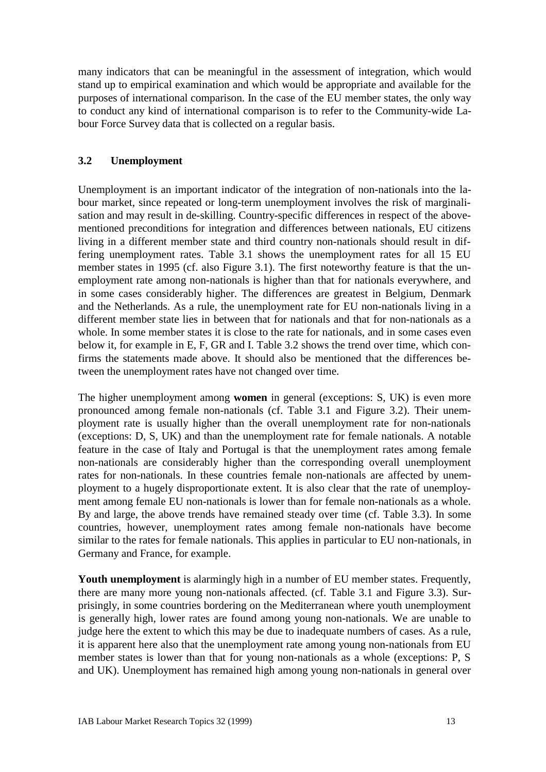many indicators that can be meaningful in the assessment of integration, which would stand up to empirical examination and which would be appropriate and available for the purposes of international comparison. In the case of the EU member states, the only way to conduct any kind of international comparison is to refer to the Community-wide Labour Force Survey data that is collected on a regular basis.

### **3.2 Unemployment**

Unemployment is an important indicator of the integration of non-nationals into the labour market, since repeated or long-term unemployment involves the risk of marginalisation and may result in de-skilling. Country-specific differences in respect of the abovementioned preconditions for integration and differences between nationals, EU citizens living in a different member state and third country non-nationals should result in differing unemployment rates. Table 3.1 shows the unemployment rates for all 15 EU member states in 1995 (cf. also Figure 3.1). The first noteworthy feature is that the unemployment rate among non-nationals is higher than that for nationals everywhere, and in some cases considerably higher. The differences are greatest in Belgium, Denmark and the Netherlands. As a rule, the unemployment rate for EU non-nationals living in a different member state lies in between that for nationals and that for non-nationals as a whole. In some member states it is close to the rate for nationals, and in some cases even below it, for example in E, F, GR and I. Table 3.2 shows the trend over time, which confirms the statements made above. It should also be mentioned that the differences between the unemployment rates have not changed over time.

The higher unemployment among **women** in general (exceptions: S, UK) is even more pronounced among female non-nationals (cf. Table 3.1 and Figure 3.2). Their unemployment rate is usually higher than the overall unemployment rate for non-nationals (exceptions: D, S, UK) and than the unemployment rate for female nationals. A notable feature in the case of Italy and Portugal is that the unemployment rates among female non-nationals are considerably higher than the corresponding overall unemployment rates for non-nationals. In these countries female non-nationals are affected by unemployment to a hugely disproportionate extent. It is also clear that the rate of unemployment among female EU non-nationals is lower than for female non-nationals as a whole. By and large, the above trends have remained steady over time (cf. Table 3.3). In some countries, however, unemployment rates among female non-nationals have become similar to the rates for female nationals. This applies in particular to EU non-nationals, in Germany and France, for example.

**Youth unemployment** is alarmingly high in a number of EU member states. Frequently, there are many more young non-nationals affected. (cf. Table 3.1 and Figure 3.3). Surprisingly, in some countries bordering on the Mediterranean where youth unemployment is generally high, lower rates are found among young non-nationals. We are unable to judge here the extent to which this may be due to inadequate numbers of cases. As a rule, it is apparent here also that the unemployment rate among young non-nationals from EU member states is lower than that for young non-nationals as a whole (exceptions: P, S and UK). Unemployment has remained high among young non-nationals in general over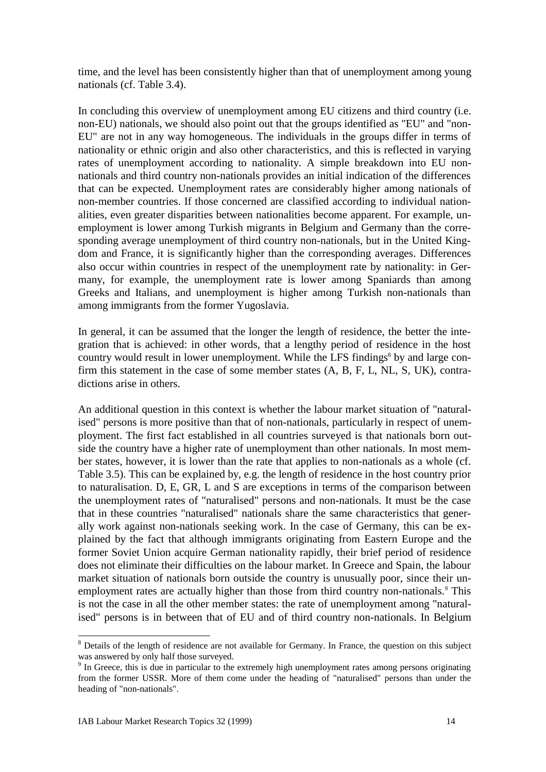time, and the level has been consistently higher than that of unemployment among young nationals (cf. Table 3.4).

In concluding this overview of unemployment among EU citizens and third country (i.e. non-EU) nationals, we should also point out that the groups identified as "EU" and "non-EU" are not in any way homogeneous. The individuals in the groups differ in terms of nationality or ethnic origin and also other characteristics, and this is reflected in varying rates of unemployment according to nationality. A simple breakdown into EU nonnationals and third country non-nationals provides an initial indication of the differences that can be expected. Unemployment rates are considerably higher among nationals of non-member countries. If those concerned are classified according to individual nationalities, even greater disparities between nationalities become apparent. For example, unemployment is lower among Turkish migrants in Belgium and Germany than the corresponding average unemployment of third country non-nationals, but in the United Kingdom and France, it is significantly higher than the corresponding averages. Differences also occur within countries in respect of the unemployment rate by nationality: in Germany, for example, the unemployment rate is lower among Spaniards than among Greeks and Italians, and unemployment is higher among Turkish non-nationals than among immigrants from the former Yugoslavia.

In general, it can be assumed that the longer the length of residence, the better the integration that is achieved: in other words, that a lengthy period of residence in the host country would result in lower unemployment. While the LFS findings<sup>8</sup> by and large confirm this statement in the case of some member states (A, B, F, L, NL, S, UK), contradictions arise in others.

An additional question in this context is whether the labour market situation of "naturalised" persons is more positive than that of non-nationals, particularly in respect of unemployment. The first fact established in all countries surveyed is that nationals born outside the country have a higher rate of unemployment than other nationals. In most member states, however, it is lower than the rate that applies to non-nationals as a whole (cf. Table 3.5). This can be explained by, e.g. the length of residence in the host country prior to naturalisation. D, E, GR, L and S are exceptions in terms of the comparison between the unemployment rates of "naturalised" persons and non-nationals. It must be the case that in these countries "naturalised" nationals share the same characteristics that generally work against non-nationals seeking work. In the case of Germany, this can be explained by the fact that although immigrants originating from Eastern Europe and the former Soviet Union acquire German nationality rapidly, their brief period of residence does not eliminate their difficulties on the labour market. In Greece and Spain, the labour market situation of nationals born outside the country is unusually poor, since their unemployment rates are actually higher than those from third country non-nationals.<sup>9</sup> This is not the case in all the other member states: the rate of unemployment among "naturalised" persons is in between that of EU and of third country non-nationals. In Belgium

<sup>&</sup>lt;sup>8</sup> Details of the length of residence are not available for Germany. In France, the question on this subject was answered by only half those surveyed.

<sup>&</sup>lt;sup>9</sup> In Greece, this is due in particular to the extremely high unemployment rates among persons originating from the former USSR. More of them come under the heading of "naturalised" persons than under the heading of "non-nationals".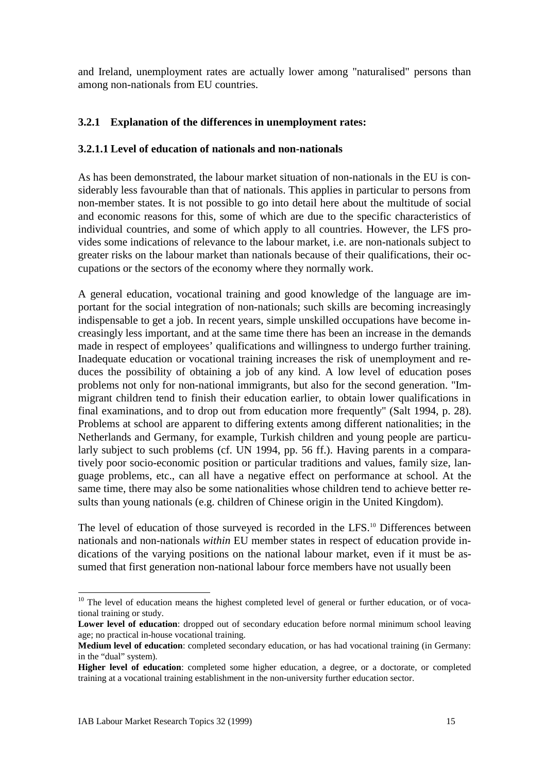and Ireland, unemployment rates are actually lower among "naturalised" persons than among non-nationals from EU countries.

### **3.2.1 Explanation of the differences in unemployment rates:**

#### **3.2.1.1 Level of education of nationals and non-nationals**

As has been demonstrated, the labour market situation of non-nationals in the EU is considerably less favourable than that of nationals. This applies in particular to persons from non-member states. It is not possible to go into detail here about the multitude of social and economic reasons for this, some of which are due to the specific characteristics of individual countries, and some of which apply to all countries. However, the LFS provides some indications of relevance to the labour market, i.e. are non-nationals subject to greater risks on the labour market than nationals because of their qualifications, their occupations or the sectors of the economy where they normally work.

A general education, vocational training and good knowledge of the language are important for the social integration of non-nationals; such skills are becoming increasingly indispensable to get a job. In recent years, simple unskilled occupations have become increasingly less important, and at the same time there has been an increase in the demands made in respect of employees' qualifications and willingness to undergo further training. Inadequate education or vocational training increases the risk of unemployment and reduces the possibility of obtaining a job of any kind. A low level of education poses problems not only for non-national immigrants, but also for the second generation. "Immigrant children tend to finish their education earlier, to obtain lower qualifications in final examinations, and to drop out from education more frequently" (Salt 1994, p. 28). Problems at school are apparent to differing extents among different nationalities; in the Netherlands and Germany, for example, Turkish children and young people are particularly subject to such problems (cf. UN 1994, pp. 56 ff.). Having parents in a comparatively poor socio-economic position or particular traditions and values, family size, language problems, etc., can all have a negative effect on performance at school. At the same time, there may also be some nationalities whose children tend to achieve better results than young nationals (e.g. children of Chinese origin in the United Kingdom).

The level of education of those surveyed is recorded in the LFS.<sup>10</sup> Differences between nationals and non-nationals *within* EU member states in respect of education provide indications of the varying positions on the national labour market, even if it must be assumed that first generation non-national labour force members have not usually been

<sup>&</sup>lt;sup>10</sup> The level of education means the highest completed level of general or further education, or of vocational training or study.

Lower level of education: dropped out of secondary education before normal minimum school leaving age; no practical in-house vocational training.

**Medium level of education**: completed secondary education, or has had vocational training (in Germany: in the "dual" system).

**Higher level of education**: completed some higher education, a degree, or a doctorate, or completed training at a vocational training establishment in the non-university further education sector.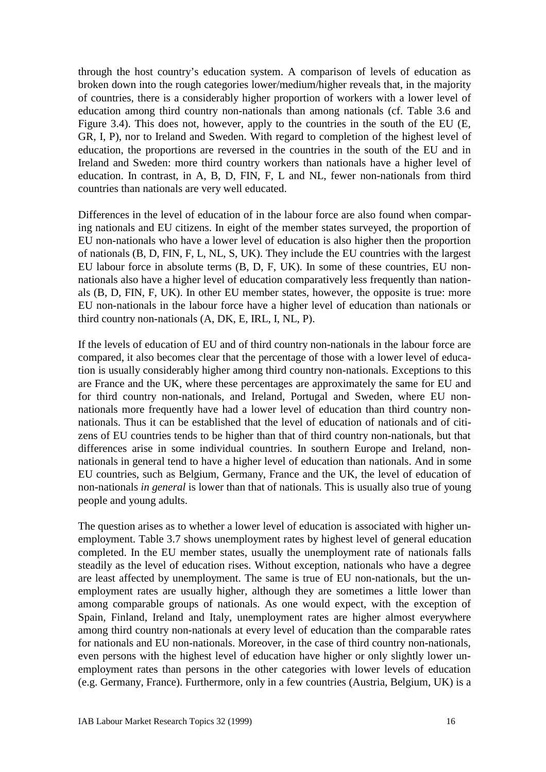through the host country's education system. A comparison of levels of education as broken down into the rough categories lower/medium/higher reveals that, in the majority of countries, there is a considerably higher proportion of workers with a lower level of education among third country non-nationals than among nationals (cf. Table 3.6 and Figure 3.4). This does not, however, apply to the countries in the south of the EU (E, GR, I, P), nor to Ireland and Sweden. With regard to completion of the highest level of education, the proportions are reversed in the countries in the south of the EU and in Ireland and Sweden: more third country workers than nationals have a higher level of education. In contrast, in A, B, D, FIN, F, L and NL, fewer non-nationals from third countries than nationals are very well educated.

Differences in the level of education of in the labour force are also found when comparing nationals and EU citizens. In eight of the member states surveyed, the proportion of EU non-nationals who have a lower level of education is also higher then the proportion of nationals (B, D, FIN, F, L, NL, S, UK). They include the EU countries with the largest EU labour force in absolute terms (B, D, F, UK). In some of these countries, EU nonnationals also have a higher level of education comparatively less frequently than nationals (B, D, FIN, F, UK). In other EU member states, however, the opposite is true: more EU non-nationals in the labour force have a higher level of education than nationals or third country non-nationals (A, DK, E, IRL, I, NL, P).

If the levels of education of EU and of third country non-nationals in the labour force are compared, it also becomes clear that the percentage of those with a lower level of education is usually considerably higher among third country non-nationals. Exceptions to this are France and the UK, where these percentages are approximately the same for EU and for third country non-nationals, and Ireland, Portugal and Sweden, where EU nonnationals more frequently have had a lower level of education than third country nonnationals. Thus it can be established that the level of education of nationals and of citizens of EU countries tends to be higher than that of third country non-nationals, but that differences arise in some individual countries. In southern Europe and Ireland, nonnationals in general tend to have a higher level of education than nationals. And in some EU countries, such as Belgium, Germany, France and the UK, the level of education of non-nationals *in general* is lower than that of nationals. This is usually also true of young people and young adults.

The question arises as to whether a lower level of education is associated with higher unemployment. Table 3.7 shows unemployment rates by highest level of general education completed. In the EU member states, usually the unemployment rate of nationals falls steadily as the level of education rises. Without exception, nationals who have a degree are least affected by unemployment. The same is true of EU non-nationals, but the unemployment rates are usually higher, although they are sometimes a little lower than among comparable groups of nationals. As one would expect, with the exception of Spain, Finland, Ireland and Italy, unemployment rates are higher almost everywhere among third country non-nationals at every level of education than the comparable rates for nationals and EU non-nationals. Moreover, in the case of third country non-nationals, even persons with the highest level of education have higher or only slightly lower unemployment rates than persons in the other categories with lower levels of education (e.g. Germany, France). Furthermore, only in a few countries (Austria, Belgium, UK) is a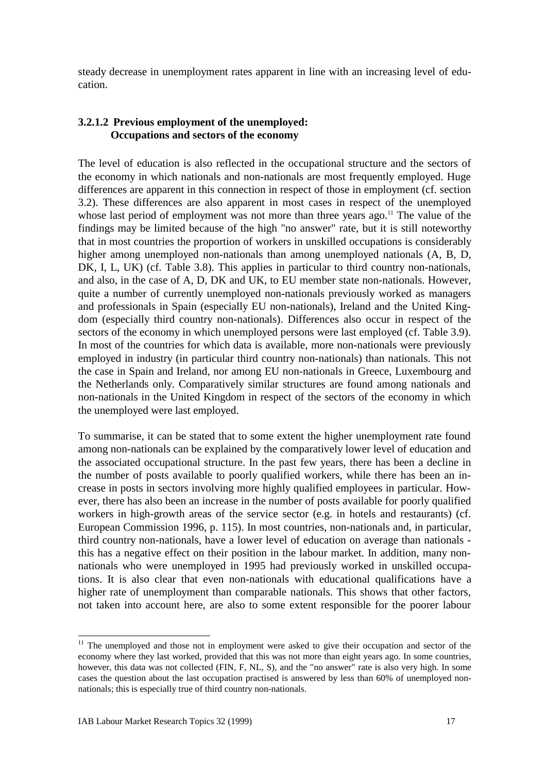steady decrease in unemployment rates apparent in line with an increasing level of education.

### **3.2.1.2 Previous employment of the unemployed: Occupations and sectors of the economy**

The level of education is also reflected in the occupational structure and the sectors of the economy in which nationals and non-nationals are most frequently employed. Huge differences are apparent in this connection in respect of those in employment (cf. section 3.2). These differences are also apparent in most cases in respect of the unemployed whose last period of employment was not more than three years ago.<sup>11</sup> The value of the findings may be limited because of the high "no answer" rate, but it is still noteworthy that in most countries the proportion of workers in unskilled occupations is considerably higher among unemployed non-nationals than among unemployed nationals (A, B, D, DK, I, L, UK) (cf. Table 3.8). This applies in particular to third country non-nationals, and also, in the case of A, D, DK and UK, to EU member state non-nationals. However, quite a number of currently unemployed non-nationals previously worked as managers and professionals in Spain (especially EU non-nationals), Ireland and the United Kingdom (especially third country non-nationals). Differences also occur in respect of the sectors of the economy in which unemployed persons were last employed (cf. Table 3.9). In most of the countries for which data is available, more non-nationals were previously employed in industry (in particular third country non-nationals) than nationals. This not the case in Spain and Ireland, nor among EU non-nationals in Greece, Luxembourg and the Netherlands only. Comparatively similar structures are found among nationals and non-nationals in the United Kingdom in respect of the sectors of the economy in which the unemployed were last employed.

To summarise, it can be stated that to some extent the higher unemployment rate found among non-nationals can be explained by the comparatively lower level of education and the associated occupational structure. In the past few years, there has been a decline in the number of posts available to poorly qualified workers, while there has been an increase in posts in sectors involving more highly qualified employees in particular. However, there has also been an increase in the number of posts available for poorly qualified workers in high-growth areas of the service sector (e.g. in hotels and restaurants) (cf. European Commission 1996, p. 115). In most countries, non-nationals and, in particular, third country non-nationals, have a lower level of education on average than nationals this has a negative effect on their position in the labour market. In addition, many nonnationals who were unemployed in 1995 had previously worked in unskilled occupations. It is also clear that even non-nationals with educational qualifications have a higher rate of unemployment than comparable nationals. This shows that other factors, not taken into account here, are also to some extent responsible for the poorer labour

 $\overline{a}$  $11$  The unemployed and those not in employment were asked to give their occupation and sector of the economy where they last worked, provided that this was not more than eight years ago. In some countries, however, this data was not collected (FIN, F, NL, S), and the "no answer" rate is also very high. In some cases the question about the last occupation practised is answered by less than 60% of unemployed nonnationals; this is especially true of third country non-nationals.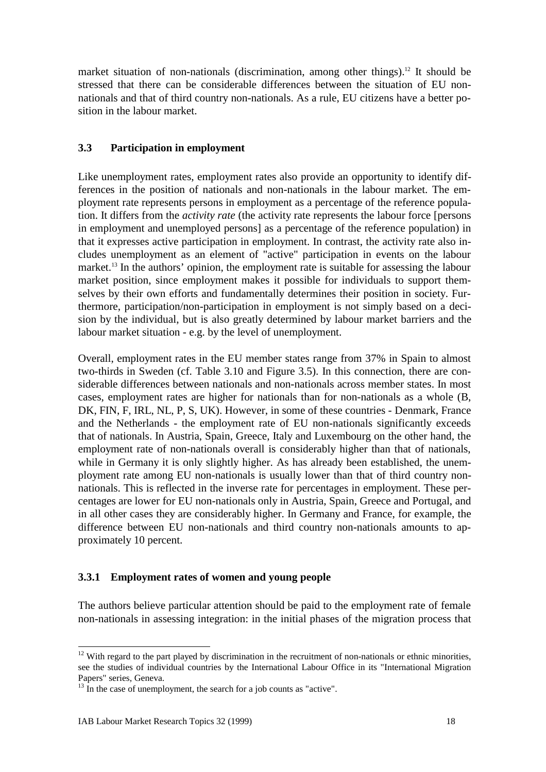market situation of non-nationals (discrimination, among other things).<sup>12</sup> It should be stressed that there can be considerable differences between the situation of EU nonnationals and that of third country non-nationals. As a rule, EU citizens have a better position in the labour market.

### **3.3 Participation in employment**

Like unemployment rates, employment rates also provide an opportunity to identify differences in the position of nationals and non-nationals in the labour market. The employment rate represents persons in employment as a percentage of the reference population. It differs from the *activity rate* (the activity rate represents the labour force [persons in employment and unemployed persons] as a percentage of the reference population) in that it expresses active participation in employment. In contrast, the activity rate also includes unemployment as an element of "active" participation in events on the labour market.<sup>13</sup> In the authors' opinion, the employment rate is suitable for assessing the labour market position, since employment makes it possible for individuals to support themselves by their own efforts and fundamentally determines their position in society. Furthermore, participation/non-participation in employment is not simply based on a decision by the individual, but is also greatly determined by labour market barriers and the labour market situation - e.g. by the level of unemployment.

Overall, employment rates in the EU member states range from 37% in Spain to almost two-thirds in Sweden (cf. Table 3.10 and Figure 3.5). In this connection, there are considerable differences between nationals and non-nationals across member states. In most cases, employment rates are higher for nationals than for non-nationals as a whole (B, DK, FIN, F, IRL, NL, P, S, UK). However, in some of these countries - Denmark, France and the Netherlands - the employment rate of EU non-nationals significantly exceeds that of nationals. In Austria, Spain, Greece, Italy and Luxembourg on the other hand, the employment rate of non-nationals overall is considerably higher than that of nationals, while in Germany it is only slightly higher. As has already been established, the unemployment rate among EU non-nationals is usually lower than that of third country nonnationals. This is reflected in the inverse rate for percentages in employment. These percentages are lower for EU non-nationals only in Austria, Spain, Greece and Portugal, and in all other cases they are considerably higher. In Germany and France, for example, the difference between EU non-nationals and third country non-nationals amounts to approximately 10 percent.

#### **3.3.1 Employment rates of women and young people**

The authors believe particular attention should be paid to the employment rate of female non-nationals in assessing integration: in the initial phases of the migration process that

 $12$  With regard to the part played by discrimination in the recruitment of non-nationals or ethnic minorities, see the studies of individual countries by the International Labour Office in its "International Migration Papers" series, Geneva.

<sup>&</sup>lt;sup>13</sup> In the case of unemployment, the search for a job counts as "active".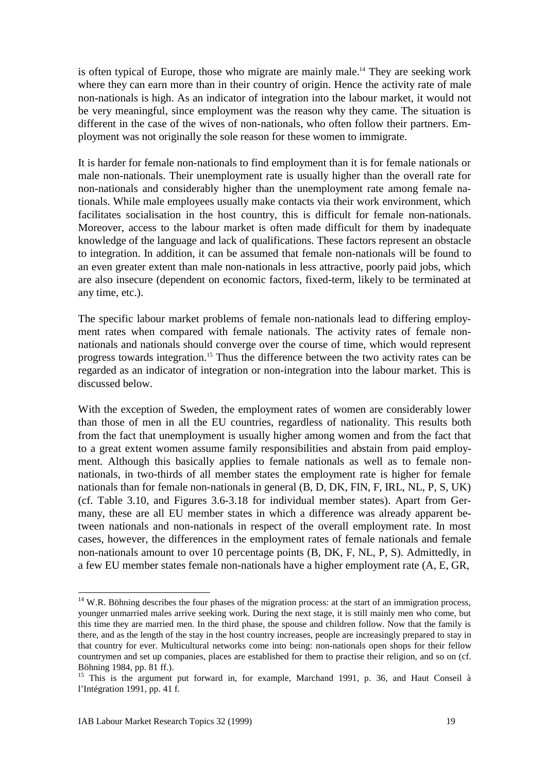is often typical of Europe, those who migrate are mainly male.<sup>14</sup> They are seeking work where they can earn more than in their country of origin. Hence the activity rate of male non-nationals is high. As an indicator of integration into the labour market, it would not be very meaningful, since employment was the reason why they came. The situation is different in the case of the wives of non-nationals, who often follow their partners. Employment was not originally the sole reason for these women to immigrate.

It is harder for female non-nationals to find employment than it is for female nationals or male non-nationals. Their unemployment rate is usually higher than the overall rate for non-nationals and considerably higher than the unemployment rate among female nationals. While male employees usually make contacts via their work environment, which facilitates socialisation in the host country, this is difficult for female non-nationals. Moreover, access to the labour market is often made difficult for them by inadequate knowledge of the language and lack of qualifications. These factors represent an obstacle to integration. In addition, it can be assumed that female non-nationals will be found to an even greater extent than male non-nationals in less attractive, poorly paid jobs, which are also insecure (dependent on economic factors, fixed-term, likely to be terminated at any time, etc.).

The specific labour market problems of female non-nationals lead to differing employment rates when compared with female nationals. The activity rates of female nonnationals and nationals should converge over the course of time, which would represent progress towards integration.15 Thus the difference between the two activity rates can be regarded as an indicator of integration or non-integration into the labour market. This is discussed below.

With the exception of Sweden, the employment rates of women are considerably lower than those of men in all the EU countries, regardless of nationality. This results both from the fact that unemployment is usually higher among women and from the fact that to a great extent women assume family responsibilities and abstain from paid employment. Although this basically applies to female nationals as well as to female nonnationals, in two-thirds of all member states the employment rate is higher for female nationals than for female non-nationals in general (B, D, DK, FIN, F, IRL, NL, P, S, UK) (cf. Table 3.10, and Figures 3.6-3.18 for individual member states). Apart from Germany, these are all EU member states in which a difference was already apparent between nationals and non-nationals in respect of the overall employment rate. In most cases, however, the differences in the employment rates of female nationals and female non-nationals amount to over 10 percentage points (B, DK, F, NL, P, S). Admittedly, in a few EU member states female non-nationals have a higher employment rate (A, E, GR,

<sup>&</sup>lt;sup>14</sup> W.R. Böhning describes the four phases of the migration process: at the start of an immigration process, younger unmarried males arrive seeking work. During the next stage, it is still mainly men who come, but this time they are married men. In the third phase, the spouse and children follow. Now that the family is there, and as the length of the stay in the host country increases, people are increasingly prepared to stay in that country for ever. Multicultural networks come into being: non-nationals open shops for their fellow countrymen and set up companies, places are established for them to practise their religion, and so on (cf. Böhning 1984, pp. 81 ff.).

<sup>&</sup>lt;sup>15</sup> This is the argument put forward in, for example, Marchand 1991, p. 36, and Haut Conseil à l'Intégration 1991, pp. 41 f.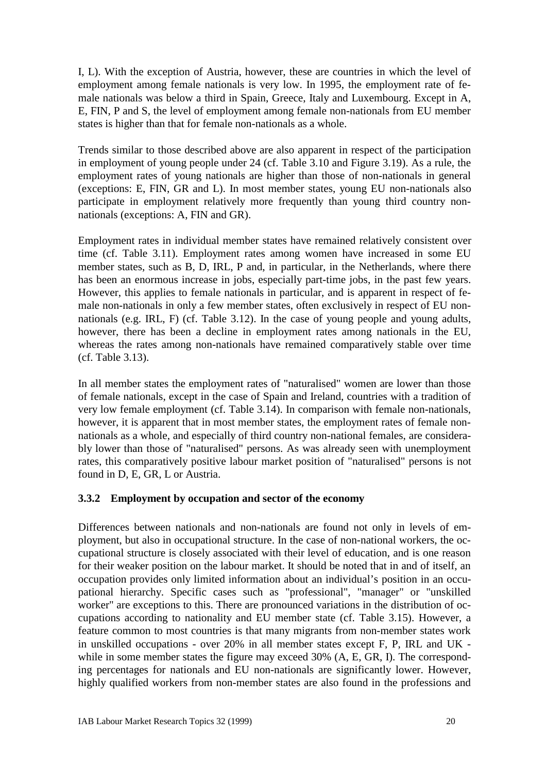I, L). With the exception of Austria, however, these are countries in which the level of employment among female nationals is very low. In 1995, the employment rate of female nationals was below a third in Spain, Greece, Italy and Luxembourg. Except in A, E, FIN, P and S, the level of employment among female non-nationals from EU member states is higher than that for female non-nationals as a whole.

Trends similar to those described above are also apparent in respect of the participation in employment of young people under 24 (cf. Table 3.10 and Figure 3.19). As a rule, the employment rates of young nationals are higher than those of non-nationals in general (exceptions: E, FIN, GR and L). In most member states, young EU non-nationals also participate in employment relatively more frequently than young third country nonnationals (exceptions: A, FIN and GR).

Employment rates in individual member states have remained relatively consistent over time (cf. Table 3.11). Employment rates among women have increased in some EU member states, such as B, D, IRL, P and, in particular, in the Netherlands, where there has been an enormous increase in jobs, especially part-time jobs, in the past few years. However, this applies to female nationals in particular, and is apparent in respect of female non-nationals in only a few member states, often exclusively in respect of EU nonnationals (e.g. IRL, F) (cf. Table 3.12). In the case of young people and young adults, however, there has been a decline in employment rates among nationals in the EU, whereas the rates among non-nationals have remained comparatively stable over time (cf. Table 3.13).

In all member states the employment rates of "naturalised" women are lower than those of female nationals, except in the case of Spain and Ireland, countries with a tradition of very low female employment (cf. Table 3.14). In comparison with female non-nationals, however, it is apparent that in most member states, the employment rates of female nonnationals as a whole, and especially of third country non-national females, are considerably lower than those of "naturalised" persons. As was already seen with unemployment rates, this comparatively positive labour market position of "naturalised" persons is not found in D, E, GR, L or Austria.

### **3.3.2 Employment by occupation and sector of the economy**

Differences between nationals and non-nationals are found not only in levels of employment, but also in occupational structure. In the case of non-national workers, the occupational structure is closely associated with their level of education, and is one reason for their weaker position on the labour market. It should be noted that in and of itself, an occupation provides only limited information about an individual's position in an occupational hierarchy. Specific cases such as "professional", "manager" or "unskilled worker" are exceptions to this. There are pronounced variations in the distribution of occupations according to nationality and EU member state (cf. Table 3.15). However, a feature common to most countries is that many migrants from non-member states work in unskilled occupations - over 20% in all member states except F, P, IRL and UK while in some member states the figure may exceed 30% (A, E, GR, I). The corresponding percentages for nationals and EU non-nationals are significantly lower. However, highly qualified workers from non-member states are also found in the professions and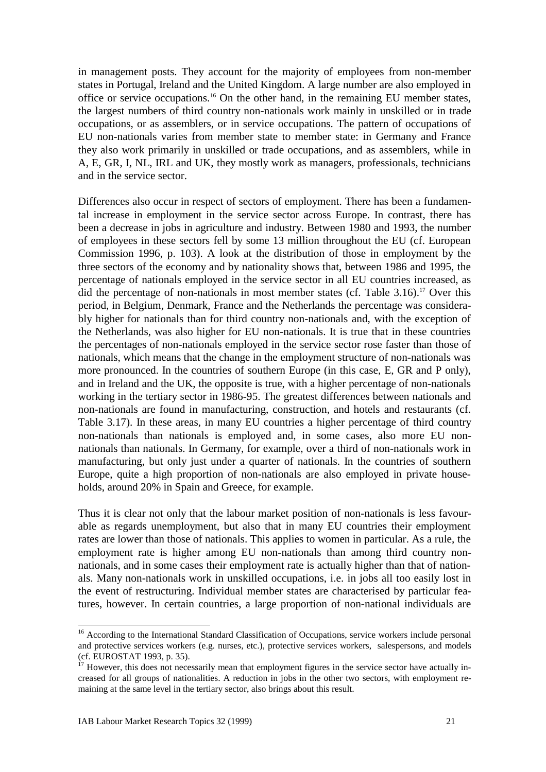in management posts. They account for the majority of employees from non-member states in Portugal, Ireland and the United Kingdom. A large number are also employed in office or service occupations.16 On the other hand, in the remaining EU member states, the largest numbers of third country non-nationals work mainly in unskilled or in trade occupations, or as assemblers, or in service occupations. The pattern of occupations of EU non-nationals varies from member state to member state: in Germany and France they also work primarily in unskilled or trade occupations, and as assemblers, while in A, E, GR, I, NL, IRL and UK, they mostly work as managers, professionals, technicians and in the service sector.

Differences also occur in respect of sectors of employment. There has been a fundamental increase in employment in the service sector across Europe. In contrast, there has been a decrease in jobs in agriculture and industry. Between 1980 and 1993, the number of employees in these sectors fell by some 13 million throughout the EU (cf. European Commission 1996, p. 103). A look at the distribution of those in employment by the three sectors of the economy and by nationality shows that, between 1986 and 1995, the percentage of nationals employed in the service sector in all EU countries increased, as did the percentage of non-nationals in most member states (cf. Table  $3.16$ ).<sup>17</sup> Over this period, in Belgium, Denmark, France and the Netherlands the percentage was considerably higher for nationals than for third country non-nationals and, with the exception of the Netherlands, was also higher for EU non-nationals. It is true that in these countries the percentages of non-nationals employed in the service sector rose faster than those of nationals, which means that the change in the employment structure of non-nationals was more pronounced. In the countries of southern Europe (in this case, E, GR and P only), and in Ireland and the UK, the opposite is true, with a higher percentage of non-nationals working in the tertiary sector in 1986-95. The greatest differences between nationals and non-nationals are found in manufacturing, construction, and hotels and restaurants (cf. Table 3.17). In these areas, in many EU countries a higher percentage of third country non-nationals than nationals is employed and, in some cases, also more EU nonnationals than nationals. In Germany, for example, over a third of non-nationals work in manufacturing, but only just under a quarter of nationals. In the countries of southern Europe, quite a high proportion of non-nationals are also employed in private households, around 20% in Spain and Greece, for example.

Thus it is clear not only that the labour market position of non-nationals is less favourable as regards unemployment, but also that in many EU countries their employment rates are lower than those of nationals. This applies to women in particular. As a rule, the employment rate is higher among EU non-nationals than among third country nonnationals, and in some cases their employment rate is actually higher than that of nationals. Many non-nationals work in unskilled occupations, i.e. in jobs all too easily lost in the event of restructuring. Individual member states are characterised by particular features, however. In certain countries, a large proportion of non-national individuals are

<sup>&</sup>lt;sup>16</sup> According to the International Standard Classification of Occupations, service workers include personal and protective services workers (e.g. nurses, etc.), protective services workers, salespersons, and models (cf. EUROSTAT 1993, p. 35).

 $17$  However, this does not necessarily mean that employment figures in the service sector have actually increased for all groups of nationalities. A reduction in jobs in the other two sectors, with employment remaining at the same level in the tertiary sector, also brings about this result.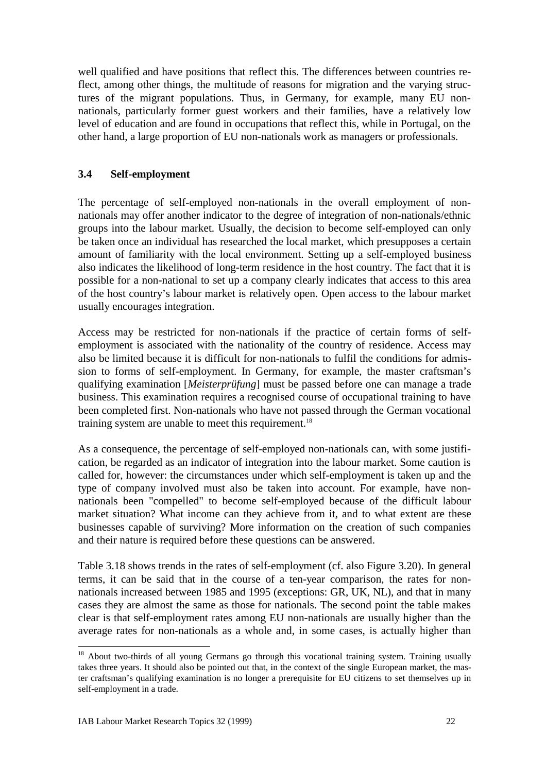well qualified and have positions that reflect this. The differences between countries reflect, among other things, the multitude of reasons for migration and the varying structures of the migrant populations. Thus, in Germany, for example, many EU nonnationals, particularly former guest workers and their families, have a relatively low level of education and are found in occupations that reflect this, while in Portugal, on the other hand, a large proportion of EU non-nationals work as managers or professionals.

### **3.4 Self-employment**

The percentage of self-employed non-nationals in the overall employment of nonnationals may offer another indicator to the degree of integration of non-nationals/ethnic groups into the labour market. Usually, the decision to become self-employed can only be taken once an individual has researched the local market, which presupposes a certain amount of familiarity with the local environment. Setting up a self-employed business also indicates the likelihood of long-term residence in the host country. The fact that it is possible for a non-national to set up a company clearly indicates that access to this area of the host country's labour market is relatively open. Open access to the labour market usually encourages integration.

Access may be restricted for non-nationals if the practice of certain forms of selfemployment is associated with the nationality of the country of residence. Access may also be limited because it is difficult for non-nationals to fulfil the conditions for admission to forms of self-employment. In Germany, for example, the master craftsman's qualifying examination [*Meisterprüfung*] must be passed before one can manage a trade business. This examination requires a recognised course of occupational training to have been completed first. Non-nationals who have not passed through the German vocational training system are unable to meet this requirement.<sup>18</sup>

As a consequence, the percentage of self-employed non-nationals can, with some justification, be regarded as an indicator of integration into the labour market. Some caution is called for, however: the circumstances under which self-employment is taken up and the type of company involved must also be taken into account. For example, have nonnationals been "compelled" to become self-employed because of the difficult labour market situation? What income can they achieve from it, and to what extent are these businesses capable of surviving? More information on the creation of such companies and their nature is required before these questions can be answered.

Table 3.18 shows trends in the rates of self-employment (cf. also Figure 3.20). In general terms, it can be said that in the course of a ten-year comparison, the rates for nonnationals increased between 1985 and 1995 (exceptions: GR, UK, NL), and that in many cases they are almost the same as those for nationals. The second point the table makes clear is that self-employment rates among EU non-nationals are usually higher than the average rates for non-nationals as a whole and, in some cases, is actually higher than

<sup>&</sup>lt;sup>18</sup> About two-thirds of all young Germans go through this vocational training system. Training usually takes three years. It should also be pointed out that, in the context of the single European market, the master craftsman's qualifying examination is no longer a prerequisite for EU citizens to set themselves up in self-employment in a trade.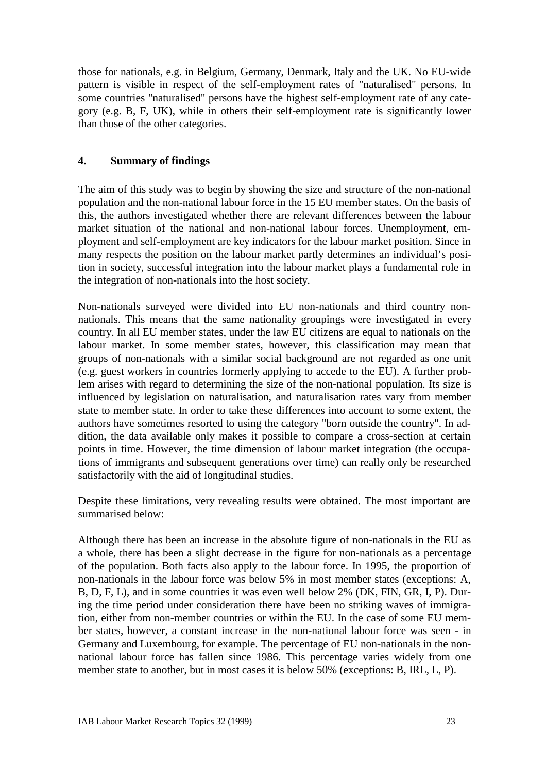those for nationals, e.g. in Belgium, Germany, Denmark, Italy and the UK. No EU-wide pattern is visible in respect of the self-employment rates of "naturalised" persons. In some countries "naturalised" persons have the highest self-employment rate of any category (e.g. B, F, UK), while in others their self-employment rate is significantly lower than those of the other categories.

### **4. Summary of findings**

The aim of this study was to begin by showing the size and structure of the non-national population and the non-national labour force in the 15 EU member states. On the basis of this, the authors investigated whether there are relevant differences between the labour market situation of the national and non-national labour forces. Unemployment, employment and self-employment are key indicators for the labour market position. Since in many respects the position on the labour market partly determines an individual's position in society, successful integration into the labour market plays a fundamental role in the integration of non-nationals into the host society.

Non-nationals surveyed were divided into EU non-nationals and third country nonnationals. This means that the same nationality groupings were investigated in every country. In all EU member states, under the law EU citizens are equal to nationals on the labour market. In some member states, however, this classification may mean that groups of non-nationals with a similar social background are not regarded as one unit (e.g. guest workers in countries formerly applying to accede to the EU). A further problem arises with regard to determining the size of the non-national population. Its size is influenced by legislation on naturalisation, and naturalisation rates vary from member state to member state. In order to take these differences into account to some extent, the authors have sometimes resorted to using the category "born outside the country". In addition, the data available only makes it possible to compare a cross-section at certain points in time. However, the time dimension of labour market integration (the occupations of immigrants and subsequent generations over time) can really only be researched satisfactorily with the aid of longitudinal studies.

Despite these limitations, very revealing results were obtained. The most important are summarised below:

Although there has been an increase in the absolute figure of non-nationals in the EU as a whole, there has been a slight decrease in the figure for non-nationals as a percentage of the population. Both facts also apply to the labour force. In 1995, the proportion of non-nationals in the labour force was below 5% in most member states (exceptions: A, B, D, F, L), and in some countries it was even well below 2% (DK, FIN, GR, I, P). During the time period under consideration there have been no striking waves of immigration, either from non-member countries or within the EU. In the case of some EU member states, however, a constant increase in the non-national labour force was seen - in Germany and Luxembourg, for example. The percentage of EU non-nationals in the nonnational labour force has fallen since 1986. This percentage varies widely from one member state to another, but in most cases it is below 50% (exceptions: B, IRL, L, P).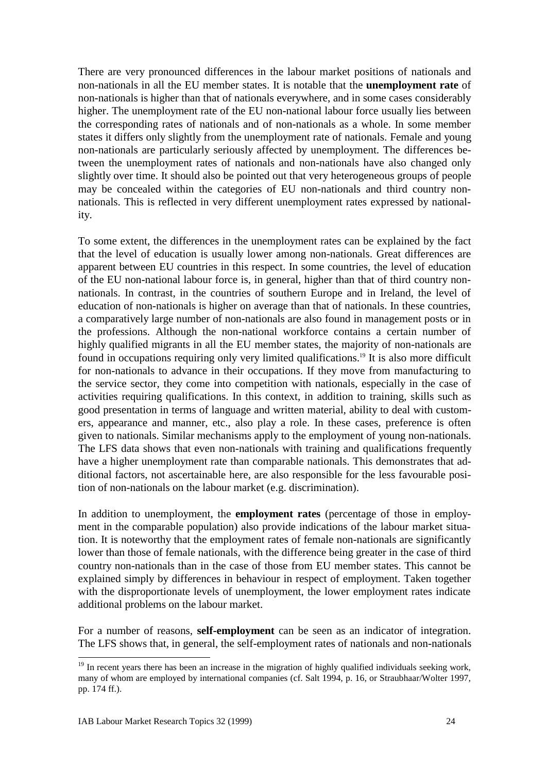There are very pronounced differences in the labour market positions of nationals and non-nationals in all the EU member states. It is notable that the **unemployment rate** of non-nationals is higher than that of nationals everywhere, and in some cases considerably higher. The unemployment rate of the EU non-national labour force usually lies between the corresponding rates of nationals and of non-nationals as a whole. In some member states it differs only slightly from the unemployment rate of nationals. Female and young non-nationals are particularly seriously affected by unemployment. The differences between the unemployment rates of nationals and non-nationals have also changed only slightly over time. It should also be pointed out that very heterogeneous groups of people may be concealed within the categories of EU non-nationals and third country nonnationals. This is reflected in very different unemployment rates expressed by nationality.

To some extent, the differences in the unemployment rates can be explained by the fact that the level of education is usually lower among non-nationals. Great differences are apparent between EU countries in this respect. In some countries, the level of education of the EU non-national labour force is, in general, higher than that of third country nonnationals. In contrast, in the countries of southern Europe and in Ireland, the level of education of non-nationals is higher on average than that of nationals. In these countries, a comparatively large number of non-nationals are also found in management posts or in the professions. Although the non-national workforce contains a certain number of highly qualified migrants in all the EU member states, the majority of non-nationals are found in occupations requiring only very limited qualifications.<sup>19</sup> It is also more difficult for non-nationals to advance in their occupations. If they move from manufacturing to the service sector, they come into competition with nationals, especially in the case of activities requiring qualifications. In this context, in addition to training, skills such as good presentation in terms of language and written material, ability to deal with customers, appearance and manner, etc., also play a role. In these cases, preference is often given to nationals. Similar mechanisms apply to the employment of young non-nationals. The LFS data shows that even non-nationals with training and qualifications frequently have a higher unemployment rate than comparable nationals. This demonstrates that additional factors, not ascertainable here, are also responsible for the less favourable position of non-nationals on the labour market (e.g. discrimination).

In addition to unemployment, the **employment rates** (percentage of those in employment in the comparable population) also provide indications of the labour market situation. It is noteworthy that the employment rates of female non-nationals are significantly lower than those of female nationals, with the difference being greater in the case of third country non-nationals than in the case of those from EU member states. This cannot be explained simply by differences in behaviour in respect of employment. Taken together with the disproportionate levels of unemployment, the lower employment rates indicate additional problems on the labour market.

For a number of reasons, **self-employment** can be seen as an indicator of integration. The LFS shows that, in general, the self-employment rates of nationals and non-nationals

 $\overline{a}$ <sup>19</sup> In recent years there has been an increase in the migration of highly qualified individuals seeking work, many of whom are employed by international companies (cf. Salt 1994, p. 16, or Straubhaar/Wolter 1997, pp. 174 ff.).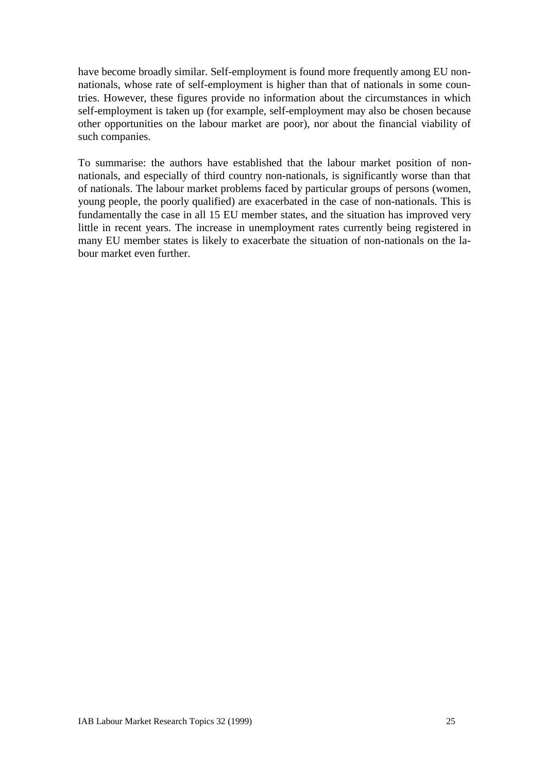have become broadly similar. Self-employment is found more frequently among EU nonnationals, whose rate of self-employment is higher than that of nationals in some countries. However, these figures provide no information about the circumstances in which self-employment is taken up (for example, self-employment may also be chosen because other opportunities on the labour market are poor), nor about the financial viability of such companies.

To summarise: the authors have established that the labour market position of nonnationals, and especially of third country non-nationals, is significantly worse than that of nationals. The labour market problems faced by particular groups of persons (women, young people, the poorly qualified) are exacerbated in the case of non-nationals. This is fundamentally the case in all 15 EU member states, and the situation has improved very little in recent years. The increase in unemployment rates currently being registered in many EU member states is likely to exacerbate the situation of non-nationals on the labour market even further.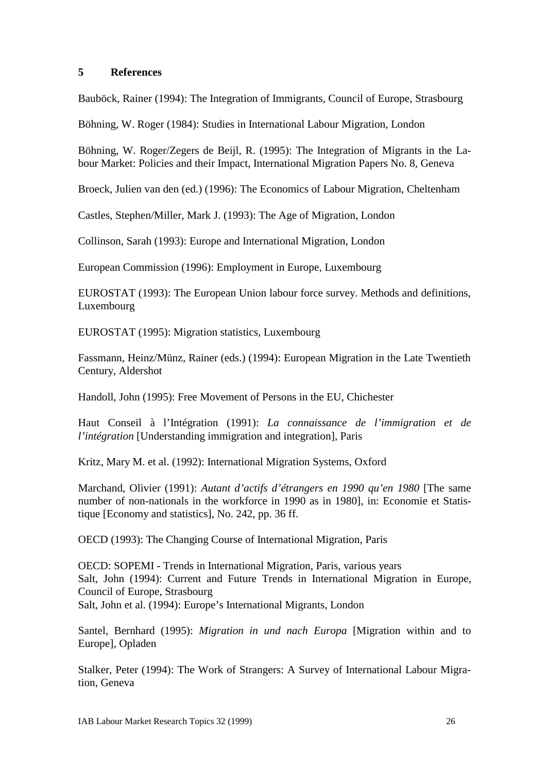#### **5 References**

Bauböck, Rainer (1994): The Integration of Immigrants, Council of Europe, Strasbourg

Böhning, W. Roger (1984): Studies in International Labour Migration, London

Böhning, W. Roger/Zegers de Beijl, R. (1995): The Integration of Migrants in the Labour Market: Policies and their Impact, International Migration Papers No. 8, Geneva

Broeck, Julien van den (ed.) (1996): The Economics of Labour Migration, Cheltenham

Castles, Stephen/Miller, Mark J. (1993): The Age of Migration, London

Collinson, Sarah (1993): Europe and International Migration, London

European Commission (1996): Employment in Europe, Luxembourg

EUROSTAT (1993): The European Union labour force survey. Methods and definitions, Luxembourg

EUROSTAT (1995): Migration statistics, Luxembourg

Fassmann, Heinz/Münz, Rainer (eds.) (1994): European Migration in the Late Twentieth Century, Aldershot

Handoll, John (1995): Free Movement of Persons in the EU, Chichester

Haut Conseil à l'Intégration (1991): *La connaissance de l'immigration et de l'intégration* [Understanding immigration and integration], Paris

Kritz, Mary M. et al. (1992): International Migration Systems, Oxford

Marchand, Olivier (1991): *Autant d'actifs d'étrangers en 1990 qu'en 1980* [The same number of non-nationals in the workforce in 1990 as in 1980], in: Economie et Statistique [Economy and statistics], No. 242, pp. 36 ff.

OECD (1993): The Changing Course of International Migration, Paris

OECD: SOPEMI - Trends in International Migration, Paris, various years Salt, John (1994): Current and Future Trends in International Migration in Europe, Council of Europe, Strasbourg Salt, John et al. (1994): Europe's International Migrants, London

Santel, Bernhard (1995): *Migration in und nach Europa* [Migration within and to Europe], Opladen

Stalker, Peter (1994): The Work of Strangers: A Survey of International Labour Migration, Geneva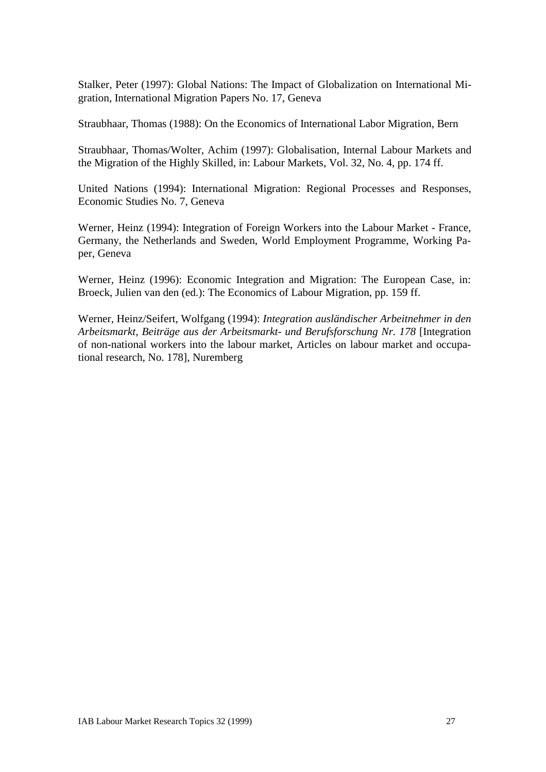Stalker, Peter (1997): Global Nations: The Impact of Globalization on International Migration, International Migration Papers No. 17, Geneva

Straubhaar, Thomas (1988): On the Economics of International Labor Migration, Bern

Straubhaar, Thomas/Wolter, Achim (1997): Globalisation, Internal Labour Markets and the Migration of the Highly Skilled, in: Labour Markets, Vol. 32, No. 4, pp. 174 ff.

United Nations (1994): International Migration: Regional Processes and Responses, Economic Studies No. 7, Geneva

Werner, Heinz (1994): Integration of Foreign Workers into the Labour Market - France, Germany, the Netherlands and Sweden, World Employment Programme, Working Paper, Geneva

Werner, Heinz (1996): Economic Integration and Migration: The European Case, in: Broeck, Julien van den (ed.): The Economics of Labour Migration, pp. 159 ff.

Werner, Heinz/Seifert, Wolfgang (1994): *Integration ausländischer Arbeitnehmer in den Arbeitsmarkt, Beiträge aus der Arbeitsmarkt- und Berufsforschung Nr. 178* [Integration of non-national workers into the labour market, Articles on labour market and occupational research, No. 178], Nuremberg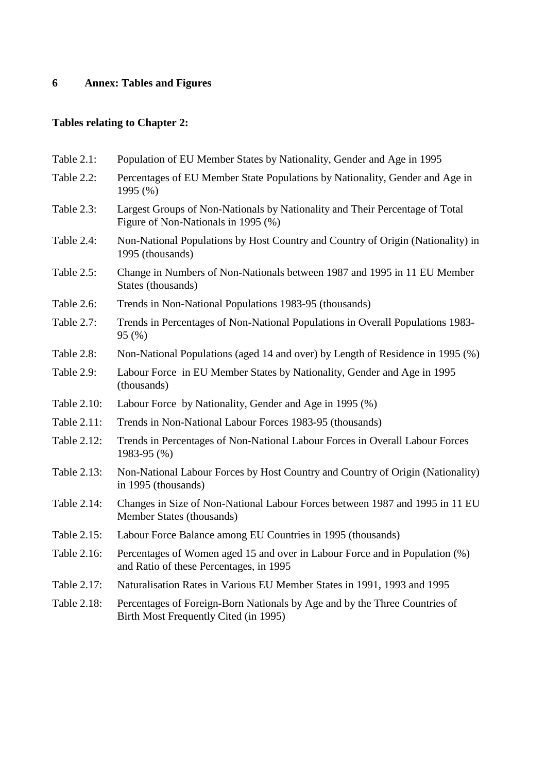# **6 Annex: Tables and Figures**

## **Tables relating to Chapter 2:**

| Table 2.1:  | Population of EU Member States by Nationality, Gender and Age in 1995                                                  |
|-------------|------------------------------------------------------------------------------------------------------------------------|
| Table 2.2:  | Percentages of EU Member State Populations by Nationality, Gender and Age in<br>1995 (%)                               |
| Table 2.3:  | Largest Groups of Non-Nationals by Nationality and Their Percentage of Total<br>Figure of Non-Nationals in 1995 (%)    |
| Table 2.4:  | Non-National Populations by Host Country and Country of Origin (Nationality) in<br>1995 (thousands)                    |
| Table 2.5:  | Change in Numbers of Non-Nationals between 1987 and 1995 in 11 EU Member<br>States (thousands)                         |
| Table 2.6:  | Trends in Non-National Populations 1983-95 (thousands)                                                                 |
| Table 2.7:  | Trends in Percentages of Non-National Populations in Overall Populations 1983-<br>95 (%)                               |
| Table 2.8:  | Non-National Populations (aged 14 and over) by Length of Residence in 1995 (%)                                         |
| Table 2.9:  | Labour Force in EU Member States by Nationality, Gender and Age in 1995<br>(thousands)                                 |
| Table 2.10: | Labour Force by Nationality, Gender and Age in 1995 (%)                                                                |
| Table 2.11: | Trends in Non-National Labour Forces 1983-95 (thousands)                                                               |
| Table 2.12: | Trends in Percentages of Non-National Labour Forces in Overall Labour Forces<br>1983-95 (%)                            |
| Table 2.13: | Non-National Labour Forces by Host Country and Country of Origin (Nationality)<br>in 1995 (thousands)                  |
| Table 2.14: | Changes in Size of Non-National Labour Forces between 1987 and 1995 in 11 EU<br>Member States (thousands)              |
| Table 2.15: | Labour Force Balance among EU Countries in 1995 (thousands)                                                            |
| Table 2.16: | Percentages of Women aged 15 and over in Labour Force and in Population (%)<br>and Ratio of these Percentages, in 1995 |
| Table 2.17: | Naturalisation Rates in Various EU Member States in 1991, 1993 and 1995                                                |
| Table 2.18: | Percentages of Foreign-Born Nationals by Age and by the Three Countries of<br>Birth Most Frequently Cited (in 1995)    |
|             |                                                                                                                        |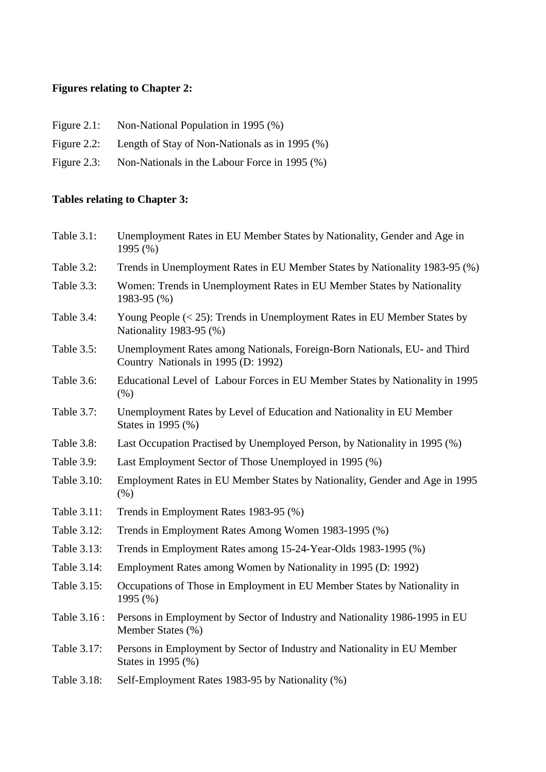## **Figures relating to Chapter 2:**

- Figure 2.1: Non-National Population in 1995 (%)
- Figure 2.2: Length of Stay of Non-Nationals as in 1995 (%)
- Figure 2.3: Non-Nationals in the Labour Force in 1995 (%)

## **Tables relating to Chapter 3:**

| Table 3.1:   | Unemployment Rates in EU Member States by Nationality, Gender and Age in<br>1995 (%)                             |
|--------------|------------------------------------------------------------------------------------------------------------------|
| Table 3.2:   | Trends in Unemployment Rates in EU Member States by Nationality 1983-95 (%)                                      |
| Table 3.3:   | Women: Trends in Unemployment Rates in EU Member States by Nationality<br>1983-95 (%)                            |
| Table 3.4:   | Young People $(< 25)$ : Trends in Unemployment Rates in EU Member States by<br>Nationality 1983-95 (%)           |
| Table 3.5:   | Unemployment Rates among Nationals, Foreign-Born Nationals, EU- and Third<br>Country Nationals in 1995 (D: 1992) |
| Table 3.6:   | Educational Level of Labour Forces in EU Member States by Nationality in 1995<br>(% )                            |
| Table 3.7:   | Unemployment Rates by Level of Education and Nationality in EU Member<br>States in 1995 (%)                      |
| Table 3.8:   | Last Occupation Practised by Unemployed Person, by Nationality in 1995 (%)                                       |
| Table 3.9:   | Last Employment Sector of Those Unemployed in 1995 (%)                                                           |
| Table 3.10:  | Employment Rates in EU Member States by Nationality, Gender and Age in 1995<br>(% )                              |
| Table 3.11:  | Trends in Employment Rates 1983-95 (%)                                                                           |
| Table 3.12:  | Trends in Employment Rates Among Women 1983-1995 (%)                                                             |
| Table 3.13:  | Trends in Employment Rates among 15-24-Year-Olds 1983-1995 (%)                                                   |
| Table 3.14:  | Employment Rates among Women by Nationality in 1995 (D: 1992)                                                    |
| Table 3.15:  | Occupations of Those in Employment in EU Member States by Nationality in<br>1995 (%)                             |
| Table 3.16 : | Persons in Employment by Sector of Industry and Nationality 1986-1995 in EU<br>Member States (%)                 |
| Table 3.17:  | Persons in Employment by Sector of Industry and Nationality in EU Member<br>States in 1995 (%)                   |
| Table 3.18:  | Self-Employment Rates 1983-95 by Nationality (%)                                                                 |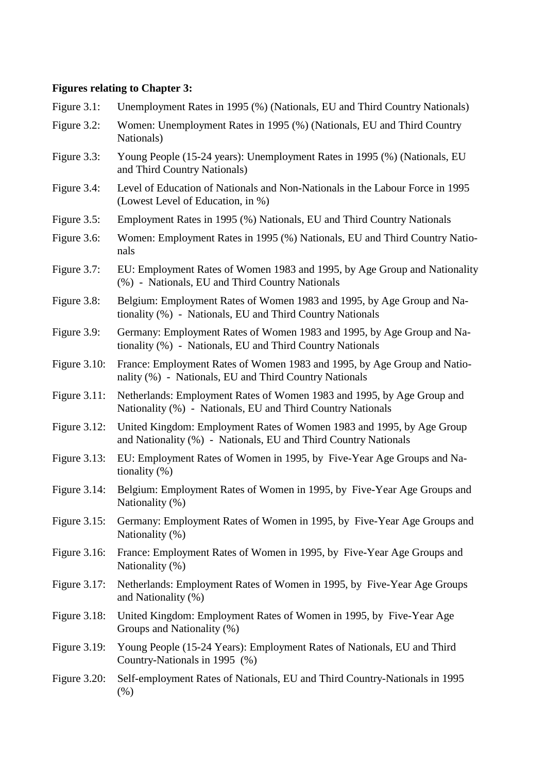# **Figures relating to Chapter 3:**

| Figure $3.1$ :  | Unemployment Rates in 1995 (%) (Nationals, EU and Third Country Nationals)                                                               |
|-----------------|------------------------------------------------------------------------------------------------------------------------------------------|
| Figure 3.2:     | Women: Unemployment Rates in 1995 (%) (Nationals, EU and Third Country<br>Nationals)                                                     |
| Figure 3.3:     | Young People (15-24 years): Unemployment Rates in 1995 (%) (Nationals, EU<br>and Third Country Nationals)                                |
| Figure 3.4:     | Level of Education of Nationals and Non-Nationals in the Labour Force in 1995<br>(Lowest Level of Education, in %)                       |
| Figure 3.5:     | Employment Rates in 1995 (%) Nationals, EU and Third Country Nationals                                                                   |
| Figure 3.6:     | Women: Employment Rates in 1995 (%) Nationals, EU and Third Country Natio-<br>nals                                                       |
| Figure 3.7:     | EU: Employment Rates of Women 1983 and 1995, by Age Group and Nationality<br>(%) - Nationals, EU and Third Country Nationals             |
| Figure 3.8:     | Belgium: Employment Rates of Women 1983 and 1995, by Age Group and Na-<br>tionality (%) - Nationals, EU and Third Country Nationals      |
| Figure 3.9:     | Germany: Employment Rates of Women 1983 and 1995, by Age Group and Na-<br>tionality (%) - Nationals, EU and Third Country Nationals      |
| Figure $3.10$ : | France: Employment Rates of Women 1983 and 1995, by Age Group and Natio-<br>nality (%) - Nationals, EU and Third Country Nationals       |
| Figure $3.11$ : | Netherlands: Employment Rates of Women 1983 and 1995, by Age Group and<br>Nationality (%) - Nationals, EU and Third Country Nationals    |
| Figure $3.12$ : | United Kingdom: Employment Rates of Women 1983 and 1995, by Age Group<br>and Nationality (%) - Nationals, EU and Third Country Nationals |
| Figure $3.13$ : | EU: Employment Rates of Women in 1995, by Five-Year Age Groups and Na-<br>tionality $(\%)$                                               |
| Figure $3.14$ : | Belgium: Employment Rates of Women in 1995, by Five-Year Age Groups and<br>Nationality (%)                                               |
| Figure $3.15$ : | Germany: Employment Rates of Women in 1995, by Five-Year Age Groups and<br>Nationality (%)                                               |
| Figure $3.16$ : | France: Employment Rates of Women in 1995, by Five-Year Age Groups and<br>Nationality (%)                                                |
| Figure $3.17$ : | Netherlands: Employment Rates of Women in 1995, by Five-Year Age Groups<br>and Nationality (%)                                           |
| Figure $3.18$ : | United Kingdom: Employment Rates of Women in 1995, by Five-Year Age<br>Groups and Nationality (%)                                        |
| Figure $3.19$ : | Young People (15-24 Years): Employment Rates of Nationals, EU and Third<br>Country-Nationals in 1995 (%)                                 |
| Figure $3.20$ : | Self-employment Rates of Nationals, EU and Third Country-Nationals in 1995<br>$(\%)$                                                     |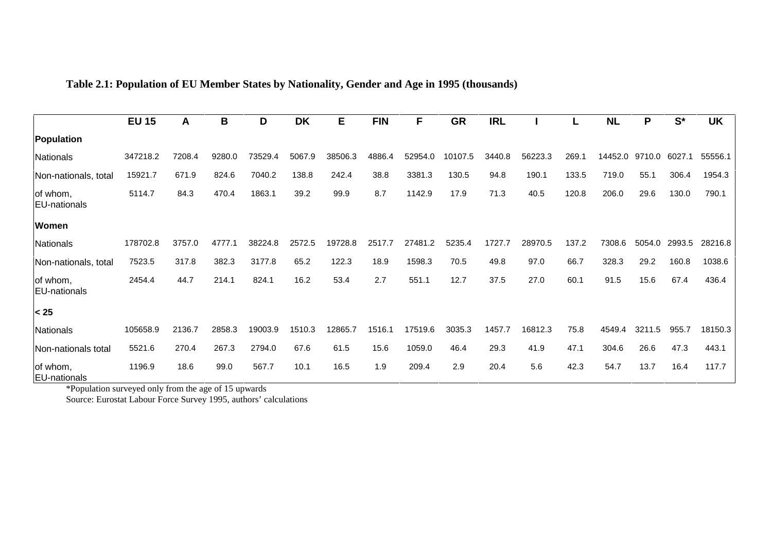**Table 2.1: Population of EU Member States by Nationality, Gender and Age in 1995 (thousands)**

|                                  | <b>EU 15</b> | A      | B      | D       | <b>DK</b> | E       | <b>FIN</b> | F           | <b>GR</b> | <b>IRL</b> |         |       | <b>NL</b> | P      | $S^*$  | <b>UK</b> |
|----------------------------------|--------------|--------|--------|---------|-----------|---------|------------|-------------|-----------|------------|---------|-------|-----------|--------|--------|-----------|
|                                  |              |        |        |         |           |         |            |             |           |            |         |       |           |        |        |           |
| Population                       |              |        |        |         |           |         |            |             |           |            |         |       |           |        |        |           |
| Nationals                        | 347218.2     | 7208.4 | 9280.0 | 73529.4 | 5067.9    | 38506.3 | 4886.4     | 52954.0     | 10107.5   | 3440.8     | 56223.3 | 269.1 | 14452.0   | 9710.0 | 6027.1 | 55556.1   |
| Non-nationals, total             | 15921.7      | 671.9  | 824.6  | 7040.2  | 138.8     | 242.4   | 38.8       | 3381.3      | 130.5     | 94.8       | 190.1   | 133.5 | 719.0     | 55.1   | 306.4  | 1954.3    |
| of whom,<br><b>EU-nationals</b>  | 5114.7       | 84.3   | 470.4  | 1863.1  | 39.2      | 99.9    | 8.7        | 1142.9      | 17.9      | 71.3       | 40.5    | 120.8 | 206.0     | 29.6   | 130.0  | 790.1     |
| <b>Women</b>                     |              |        |        |         |           |         |            |             |           |            |         |       |           |        |        |           |
| Nationals                        | 178702.8     | 3757.0 | 4777.  | 38224.8 | 2572.5    | 19728.8 | 2517.7     | 27481<br>.2 | 5235.4    | 1727.7     | 28970.5 | 137.2 | 7308.6    | 5054.0 | 2993.5 | 28216.8   |
| Non-nationals, total             | 7523.5       | 317.8  | 382.3  | 3177.8  | 65.2      | 122.3   | 18.9       | 1598.3      | 70.5      | 49.8       | 97.0    | 66.7  | 328.3     | 29.2   | 160.8  | 1038.6    |
| of whom,<br><b>EU-nationals</b>  | 2454.4       | 44.7   | 214.1  | 824.1   | 16.2      | 53.4    | 2.7        | 551.1       | 12.7      | 37.5       | 27.0    | 60.1  | 91.5      | 15.6   | 67.4   | 436.4     |
| $25$                             |              |        |        |         |           |         |            |             |           |            |         |       |           |        |        |           |
| Nationals                        | 105658.9     | 2136.7 | 2858.3 | 19003.9 | 1510.3    | 12865.7 | 1516.1     | 17519.6     | 3035.3    | 1457.7     | 16812.3 | 75.8  | 4549.4    | 3211.5 | 955.7  | 18150.3   |
| Non-nationals total              | 5521.6       | 270.4  | 267.3  | 2794.0  | 67.6      | 61.5    | 15.6       | 1059.0      | 46.4      | 29.3       | 41.9    | 47.1  | 304.6     | 26.6   | 47.3   | 443.1     |
| of whom,<br><b>IFU-nationals</b> | 1196.9       | 18.6   | 99.0   | 567.7   | 10.1      | 16.5    | 1.9        | 209.4       | 2.9       | 20.4       | 5.6     | 42.3  | 54.7      | 13.7   | 16.4   | 117.7     |

EU-nationals \*Population surveyed only from the age of 15 upwards

Source: Eurostat Labour Force Survey 1995, authors' calculations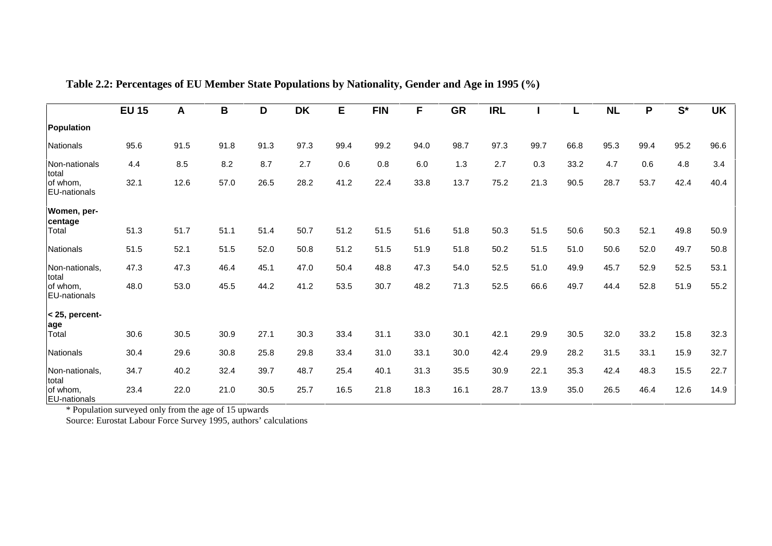|                                   | <b>EU 15</b> | A    | B    | D    | <b>DK</b> | E    | <b>FIN</b> | F    | <b>GR</b> | <b>IRL</b> |      | L    | <b>NL</b> | P    | $S^*$ | <b>UK</b> |
|-----------------------------------|--------------|------|------|------|-----------|------|------------|------|-----------|------------|------|------|-----------|------|-------|-----------|
| Population                        |              |      |      |      |           |      |            |      |           |            |      |      |           |      |       |           |
| Nationals                         | 95.6         | 91.5 | 91.8 | 91.3 | 97.3      | 99.4 | 99.2       | 94.0 | 98.7      | 97.3       | 99.7 | 66.8 | 95.3      | 99.4 | 95.2  | 96.6      |
| Non-nationals<br>total            | 4.4          | 8.5  | 8.2  | 8.7  | 2.7       | 0.6  | 0.8        | 6.0  | 1.3       | 2.7        | 0.3  | 33.2 | 4.7       | 0.6  | 4.8   | 3.4       |
| of whom.<br><b>EU-nationals</b>   | 32.1         | 12.6 | 57.0 | 26.5 | 28.2      | 41.2 | 22.4       | 33.8 | 13.7      | 75.2       | 21.3 | 90.5 | 28.7      | 53.7 | 42.4  | 40.4      |
| Women, per-<br>centage            |              |      |      |      |           |      |            |      |           |            |      |      |           |      |       |           |
| Total                             | 51.3         | 51.7 | 51.1 | 51.4 | 50.7      | 51.2 | 51.5       | 51.6 | 51.8      | 50.3       | 51.5 | 50.6 | 50.3      | 52.1 | 49.8  | 50.9      |
| Nationals                         | 51.5         | 52.1 | 51.5 | 52.0 | 50.8      | 51.2 | 51.5       | 51.9 | 51.8      | 50.2       | 51.5 | 51.0 | 50.6      | 52.0 | 49.7  | 50.8      |
| Non-nationals,                    | 47.3         | 47.3 | 46.4 | 45.1 | 47.0      | 50.4 | 48.8       | 47.3 | 54.0      | 52.5       | 51.0 | 49.9 | 45.7      | 52.9 | 52.5  | 53.1      |
| total<br>of whom,<br>EU-nationals | 48.0         | 53.0 | 45.5 | 44.2 | 41.2      | 53.5 | 30.7       | 48.2 | 71.3      | 52.5       | 66.6 | 49.7 | 44.4      | 52.8 | 51.9  | 55.2      |
| < 25, percent-<br>age             |              |      |      |      |           |      |            |      |           |            |      |      |           |      |       |           |
| Total                             | 30.6         | 30.5 | 30.9 | 27.1 | 30.3      | 33.4 | 31.1       | 33.0 | 30.1      | 42.1       | 29.9 | 30.5 | 32.0      | 33.2 | 15.8  | 32.3      |
| Nationals                         | 30.4         | 29.6 | 30.8 | 25.8 | 29.8      | 33.4 | 31.0       | 33.1 | 30.0      | 42.4       | 29.9 | 28.2 | 31.5      | 33.1 | 15.9  | 32.7      |
| Non-nationals,<br>total           | 34.7         | 40.2 | 32.4 | 39.7 | 48.7      | 25.4 | 40.1       | 31.3 | 35.5      | 30.9       | 22.1 | 35.3 | 42.4      | 48.3 | 15.5  | 22.7      |
| of whom.<br><b>EU-nationals</b>   | 23.4         | 22.0 | 21.0 | 30.5 | 25.7      | 16.5 | 21.8       | 18.3 | 16.1      | 28.7       | 13.9 | 35.0 | 26.5      | 46.4 | 12.6  | 14.9      |

**Table 2.2: Percentages of EU Member State Populations by Nationality, Gender and Age in 1995 (%)**

\* Population surveyed only from the age of 15 upwards

Source: Eurostat Labour Force Survey 1995, authors' calculations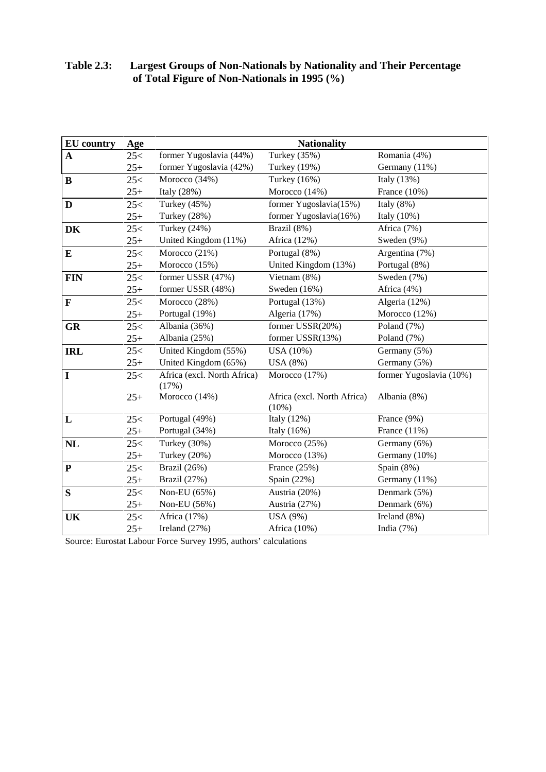| <b>EU</b> country | Age   |                             | <b>Nationality</b>                      |                         |
|-------------------|-------|-----------------------------|-----------------------------------------|-------------------------|
| $\mathbf A$       | 25<   | former Yugoslavia (44%)     | Turkey (35%)                            | Romania (4%)            |
|                   | $25+$ | former Yugoslavia (42%)     | <b>Turkey</b> (19%)                     | Germany (11%)           |
| $\bf{B}$          | 25<   | Morocco (34%)               | Turkey (16%)                            | Italy (13%)             |
|                   | $25+$ | Italy (28%)                 | Morocco (14%)                           | France $(10\%)$         |
| $\mathbf{D}$      | 25<   | Turkey (45%)                | former Yugoslavia(15%)                  | Italy $(8\%)$           |
|                   | $25+$ | Turkey (28%)                | former Yugoslavia(16%)                  | Italy (10%)             |
| DK                | 25<   | Turkey (24%)                | Brazil (8%)                             | Africa (7%)             |
|                   | $25+$ | United Kingdom (11%)        | Africa (12%)                            | Sweden (9%)             |
| E                 | 25<   | Morocco (21%)               | Portugal (8%)                           | Argentina (7%)          |
|                   | $25+$ | Morocco (15%)               | United Kingdom (13%)                    | Portugal (8%)           |
| <b>FIN</b>        | 25<   | former USSR (47%)           | Vietnam (8%)                            | Sweden (7%)             |
|                   | $25+$ | former USSR (48%)           | Sweden (16%)                            | Africa (4%)             |
| $\mathbf F$       | 25<   | Morocco (28%)               | Portugal (13%)                          | Algeria (12%)           |
|                   | $25+$ | Portugal (19%)              | Algeria (17%)                           | Morocco (12%)           |
| <b>GR</b>         | 25<   | Albania (36%)               | former USSR(20%)                        | Poland (7%)             |
|                   | $25+$ | Albania (25%)               | former USSR(13%)                        | Poland (7%)             |
| <b>IRL</b>        | 25<   | United Kingdom (55%)        | USA (10%)                               | Germany (5%)            |
|                   | $25+$ | United Kingdom (65%)        | USA(8%)                                 | Germany (5%)            |
| $\overline{I}$    | 25<   | Africa (excl. North Africa) | Morocco (17%)                           | former Yugoslavia (10%) |
|                   |       | (17%)                       |                                         |                         |
|                   | $25+$ | Morocco (14%)               | Africa (excl. North Africa)<br>$(10\%)$ | Albania (8%)            |
| $\mathbf{L}$      | 25<   | Portugal (49%)              | Italy (12%)                             | France (9%)             |
|                   | $25+$ | Portugal (34%)              | Italy $(16%)$                           | France $(11\%)$         |
| <b>NL</b>         | 25<   | Turkey (30%)                | Morocco (25%)                           | Germany (6%)            |
|                   | $25+$ | Turkey (20%)                | Morocco (13%)                           | Germany (10%)           |
| ${\bf P}$         | 25<   | Brazil (26%)                | France (25%)                            | Spain (8%)              |
|                   | $25+$ | Brazil (27%)                | Spain (22%)                             | Germany (11%)           |
| ${\bf S}$         | 25<   | Non-EU (65%)                | Austria (20%)                           | Denmark (5%)            |
|                   | $25+$ | Non-EU (56%)                | Austria (27%)                           | Denmark (6%)            |
| UK                | 25<   | Africa (17%)                | USA (9%)                                | Ireland (8%)            |
|                   | $25+$ | Ireland $(27%)$             | Africa (10%)                            | India $(7%)$            |

#### **Table 2.3: Largest Groups of Non-Nationals by Nationality and Their Percentage of Total Figure of Non-Nationals in 1995 (%)**

Source: Eurostat Labour Force Survey 1995, authors' calculations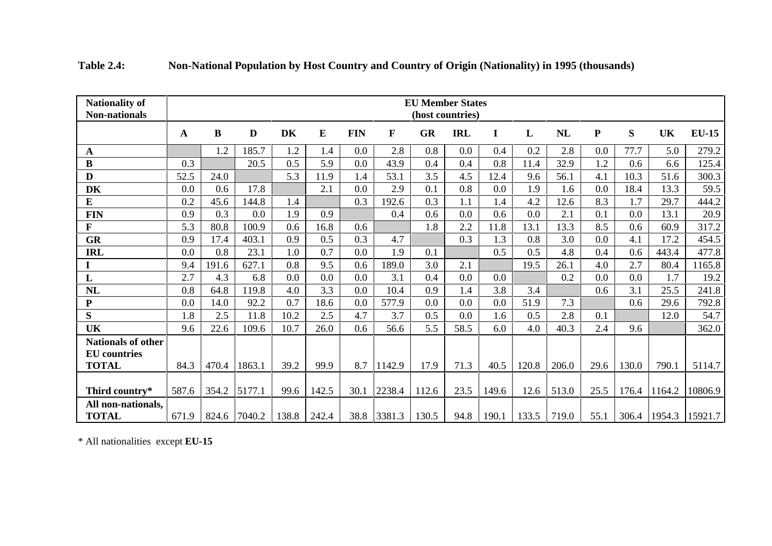| <b>Nationality of</b><br><b>Non-nationals</b> | <b>EU Member States</b><br>(host countries) |           |              |      |             |            |             |           |            |             |       |       |           |       |                |              |
|-----------------------------------------------|---------------------------------------------|-----------|--------------|------|-------------|------------|-------------|-----------|------------|-------------|-------|-------|-----------|-------|----------------|--------------|
|                                               | A                                           | ${\bf B}$ | $\mathbf{D}$ | DK   | E           | <b>FIN</b> | $\mathbf F$ | <b>GR</b> | <b>IRL</b> | $\mathbf I$ | L     | NL    | ${\bf P}$ | S     | <b>UK</b>      | <b>EU-15</b> |
| $\mathbf{A}$                                  |                                             | 1.2       | 185.7        | 1.2  | 1.4         | 0.0        | 2.8         | 0.8       | 0.0        | 0.4         | 0.2   | 2.8   | 0.0       | 77.7  | 5.0            | 279.2        |
| $\bf{B}$                                      | 0.3                                         |           | 20.5         | 0.5  | 5.9         | 0.0        | 43.9        | 0.4       | 0.4        | 0.8         | 11.4  | 32.9  | 1.2       | 0.6   | 6.6            | 125.4        |
| D                                             | 52.5                                        | 24.0      |              | 5.3  | 11.9        | 1.4        | 53.1        | 3.5       | 4.5        | 12.4        | 9.6   | 56.1  | 4.1       | 10.3  | 51.6           | 300.3        |
| DK                                            | 0.0                                         | 0.6       | 17.8         |      | 2.1         | 0.0        | 2.9         | 0.1       | 0.8        | 0.0         | 1.9   | 1.6   | 0.0       | 18.4  | 13.3           | 59.5         |
| ${\bf E}$                                     | 0.2                                         | 45.6      | 144.8        | 1.4  |             | 0.3        | 192.6       | 0.3       | 1.1        | 1.4         | 4.2   | 12.6  | 8.3       | 1.7   | 29.7           | 444.2        |
| <b>FIN</b>                                    | 0.9                                         | 0.3       | 0.0          | 1.9  | 0.9         |            | 0.4         | 0.6       | 0.0        | 0.6         | 0.0   | 2.1   | 0.1       | 0.0   | 13.1           | 20.9         |
| $\mathbf{F}$                                  | 5.3                                         | 80.8      | 100.9        | 0.6  | 16.8        | 0.6        |             | 1.8       | 2.2        | 11.8        | 13.1  | 13.3  | 8.5       | 0.6   | 60.9           | 317.2        |
| GR                                            | 0.9                                         | 17.4      | 403.1        | 0.9  | 0.5         | 0.3        | 4.7         |           | 0.3        | 1.3         | 0.8   | 3.0   | 0.0       | 4.1   | 17.2           | 454.5        |
| <b>IRL</b>                                    | 0.0                                         | 0.8       | 23.1         | 1.0  | 0.7         | 0.0        | 1.9         | 0.1       |            | 0.5         | 0.5   | 4.8   | 0.4       | 0.6   | 443.4          | 477.8        |
|                                               | 9.4                                         | 191.6     | 627.1        | 0.8  | 9.5         | 0.6        | 189.0       | 3.0       | 2.1        |             | 19.5  | 26.1  | 4.0       | 2.7   | 80.4           | 1165.8       |
| L                                             | 2.7                                         | 4.3       | 6.8          | 0.0  | 0.0         | 0.0        | 3.1         | 0.4       | 0.0        | 0.0         |       | 0.2   | 0.0       | 0.0   | 1.7            | 19.2         |
| NL                                            | 0.8                                         | 64.8      | 119.8        | 4.0  | 3.3         | 0.0        | 10.4        | 0.9       | 1.4        | 3.8         | 3.4   |       | 0.6       | 3.1   | 25.5           | 241.8        |
| ${\bf P}$                                     | 0.0                                         | 14.0      | 92.2         | 0.7  | 18.6        | 0.0        | 577.9       | 0.0       | 0.0        | 0.0         | 51.9  | 7.3   |           | 0.6   | 29.6           | 792.8        |
| S                                             | 1.8                                         | 2.5       | 11.8         | 10.2 | 2.5         | 4.7        | 3.7         | 0.5       | 0.0        | 1.6         | 0.5   | 2.8   | 0.1       |       | 12.0           | 54.7         |
| <b>UK</b>                                     | 9.6                                         | 22.6      | 109.6        | 10.7 | 26.0        | 0.6        | 56.6        | 5.5       | 58.5       | 6.0         | 4.0   | 40.3  | 2.4       | 9.6   |                | 362.0        |
| <b>Nationals of other</b>                     |                                             |           |              |      |             |            |             |           |            |             |       |       |           |       |                |              |
| <b>EU</b> countries                           |                                             |           |              |      |             |            |             |           |            |             |       |       |           |       |                |              |
| <b>TOTAL</b>                                  | 84.3                                        | 470.4     | 1863.1       | 39.2 | 99.9        | 8.7        | 1142.9      | 17.9      | 71.3       | 40.5        | 120.8 | 206.0 | 29.6      | 130.0 | 790.1          | 5114.7       |
| Third country*                                | 587.6                                       | 354.2     | 5177.1       | 99.6 | 142.5       | 30.1       | 2238.4      | 112.6     | 23.5       | 149.6       | 12.6  | 513.0 | 25.5      | 176.4 | 1164.2         | 10806.9      |
| All non-nationals,<br><b>TOTAL</b>            | 671.9                                       |           | 824.6 7040.2 |      | 138.8 242.4 |            | 38.8 3381.3 | 130.5     | 94.8       | 190.1       | 133.5 | 719.0 | 55.1      |       | 306.4   1954.3 | 15921.7      |

| <b>Table 2.4:</b> | Non-National Population by Host Country and Country of Origin (Nationality) in 1995 (thousands) |
|-------------------|-------------------------------------------------------------------------------------------------|
|                   |                                                                                                 |

\* All nationalities except **EU-15**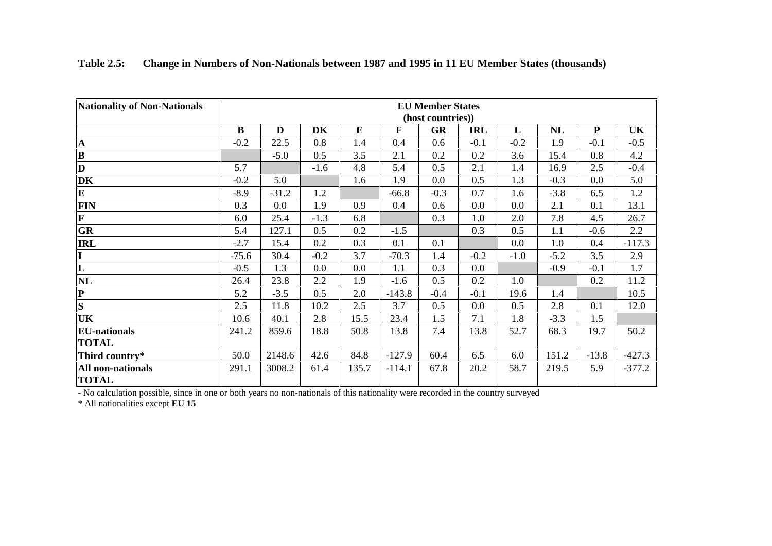| <b>Nationality of Non-Nationals</b> | <b>EU Member States</b> |         |        |          |              |                   |            |        |        |           |          |  |  |  |
|-------------------------------------|-------------------------|---------|--------|----------|--------------|-------------------|------------|--------|--------|-----------|----------|--|--|--|
|                                     |                         |         |        |          |              | (host countries)) |            |        |        |           |          |  |  |  |
|                                     | $\bf{B}$                | D       | DK     | $\bf{E}$ | $\mathbf{F}$ | <b>GR</b>         | <b>IRL</b> | L      | NL     | ${\bf P}$ | UK       |  |  |  |
| $\mathbf A$                         | $-0.2$                  | 22.5    | 0.8    | 1.4      | 0.4          | 0.6               | $-0.1$     | $-0.2$ | 1.9    | $-0.1$    | $-0.5$   |  |  |  |
| $\overline{\mathbf{B}}$             |                         | $-5.0$  | 0.5    | 3.5      | 2.1          | 0.2               | 0.2        | 3.6    | 15.4   | 0.8       | 4.2      |  |  |  |
| D                                   | 5.7                     |         | $-1.6$ | 4.8      | 5.4          | 0.5               | 2.1        | 1.4    | 16.9   | 2.5       | $-0.4$   |  |  |  |
| DK                                  | $-0.2$                  | 5.0     |        | 1.6      | 1.9          | 0.0               | 0.5        | 1.3    | $-0.3$ | 0.0       | 5.0      |  |  |  |
| $\overline{\mathbf{E}}$             | $-8.9$                  | $-31.2$ | 1.2    |          | $-66.8$      | $-0.3$            | 0.7        | 1.6    | $-3.8$ | 6.5       | 1.2      |  |  |  |
| FIN                                 | 0.3                     | $0.0\,$ | 1.9    | 0.9      | 0.4          | 0.6               | 0.0        | 0.0    | 2.1    | 0.1       | 13.1     |  |  |  |
| $\overline{\mathbf{F}}$             | 6.0                     | 25.4    | $-1.3$ | 6.8      |              | 0.3               | 1.0        | 2.0    | 7.8    | 4.5       | 26.7     |  |  |  |
| GR                                  | 5.4                     | 127.1   | 0.5    | 0.2      | $-1.5$       |                   | 0.3        | 0.5    | 1.1    | $-0.6$    | 2.2      |  |  |  |
| <b>IRL</b>                          | $-2.7$                  | 15.4    | 0.2    | 0.3      | 0.1          | 0.1               |            | 0.0    | 1.0    | 0.4       | $-117.3$ |  |  |  |
| I                                   | $-75.6$                 | 30.4    | $-0.2$ | 3.7      | $-70.3$      | 1.4               | $-0.2$     | $-1.0$ | $-5.2$ | 3.5       | 2.9      |  |  |  |
| $\overline{\mathbf{L}}$             | $-0.5$                  | 1.3     | 0.0    | 0.0      | 1.1          | 0.3               | 0.0        |        | $-0.9$ | $-0.1$    | 1.7      |  |  |  |
| NL                                  | 26.4                    | 23.8    | 2.2    | 1.9      | $-1.6$       | 0.5               | 0.2        | 1.0    |        | 0.2       | 11.2     |  |  |  |
| $\mathbf{P}$                        | 5.2                     | $-3.5$  | 0.5    | 2.0      | $-143.8$     | $-0.4$            | $-0.1$     | 19.6   | 1.4    |           | 10.5     |  |  |  |
| $\overline{\mathbf{s}}$             | 2.5                     | 11.8    | 10.2   | 2.5      | 3.7          | 0.5               | 0.0        | 0.5    | 2.8    | 0.1       | 12.0     |  |  |  |
| UK                                  | 10.6                    | 40.1    | 2.8    | 15.5     | 23.4         | 1.5               | 7.1        | 1.8    | $-3.3$ | 1.5       |          |  |  |  |
| <b>EU-nationals</b>                 | 241.2                   | 859.6   | 18.8   | 50.8     | 13.8         | 7.4               | 13.8       | 52.7   | 68.3   | 19.7      | 50.2     |  |  |  |
| <b>TOTAL</b>                        |                         |         |        |          |              |                   |            |        |        |           |          |  |  |  |
| Third country*                      | 50.0                    | 2148.6  | 42.6   | 84.8     | $-127.9$     | 60.4              | 6.5        | 6.0    | 151.2  | $-13.8$   | $-427.3$ |  |  |  |
| All non-nationals<br><b>TOTAL</b>   | 291.1                   | 3008.2  | 61.4   | 135.7    | $-114.1$     | 67.8              | 20.2       | 58.7   | 219.5  | 5.9       | $-377.2$ |  |  |  |

**Table 2.5: Change in Numbers of Non-Nationals between 1987 and 1995 in 11 EU Member States (thousands)**

- No calculation possible, since in one or both years no non-nationals of this nationality were recorded in the country surveye d \* All nationalities except **EU 15**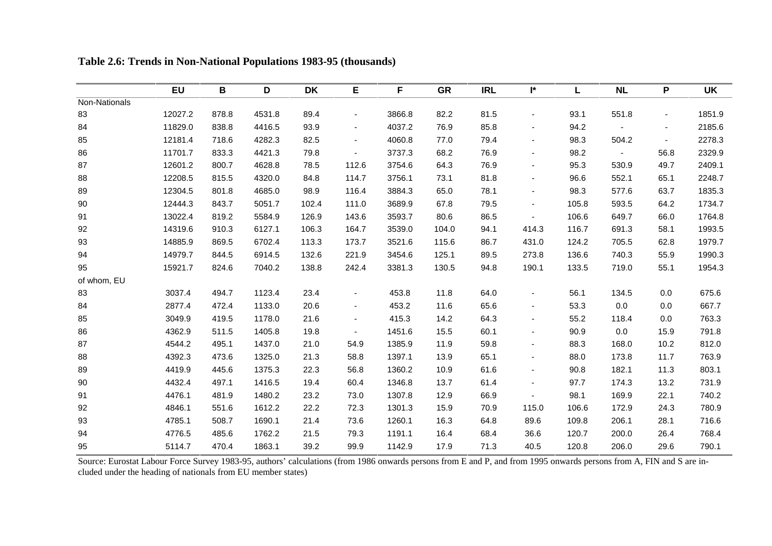|               | <b>EU</b> | B     | D      | <b>DK</b> | Е                        | F      | <b>GR</b> | <b>IRL</b> | I*                       | L     | <b>NL</b> | P                        | <b>UK</b> |
|---------------|-----------|-------|--------|-----------|--------------------------|--------|-----------|------------|--------------------------|-------|-----------|--------------------------|-----------|
| Non-Nationals |           |       |        |           |                          |        |           |            |                          |       |           |                          |           |
| 83            | 12027.2   | 878.8 | 4531.8 | 89.4      | $\blacksquare$           | 3866.8 | 82.2      | 81.5       | $\blacksquare$           | 93.1  | 551.8     | $\blacksquare$           | 1851.9    |
| 84            | 11829.0   | 838.8 | 4416.5 | 93.9      |                          | 4037.2 | 76.9      | 85.8       |                          | 94.2  |           | $\overline{\phantom{a}}$ | 2185.6    |
| 85            | 12181.4   | 718.6 | 4282.3 | 82.5      | $\blacksquare$           | 4060.8 | 77.0      | 79.4       | $\overline{\phantom{a}}$ | 98.3  | 504.2     | $\blacksquare$           | 2278.3    |
| 86            | 11701.7   | 833.3 | 4421.3 | 79.8      | $\overline{\phantom{a}}$ | 3737.3 | 68.2      | 76.9       | $\overline{\phantom{a}}$ | 98.2  |           | 56.8                     | 2329.9    |
| 87            | 12601.2   | 800.7 | 4628.8 | 78.5      | 112.6                    | 3754.6 | 64.3      | 76.9       | $\overline{\phantom{a}}$ | 95.3  | 530.9     | 49.7                     | 2409.1    |
| 88            | 12208.5   | 815.5 | 4320.0 | 84.8      | 114.7                    | 3756.1 | 73.1      | 81.8       | $\blacksquare$           | 96.6  | 552.1     | 65.1                     | 2248.7    |
| 89            | 12304.5   | 801.8 | 4685.0 | 98.9      | 116.4                    | 3884.3 | 65.0      | 78.1       | $\overline{\phantom{a}}$ | 98.3  | 577.6     | 63.7                     | 1835.3    |
| 90            | 12444.3   | 843.7 | 5051.7 | 102.4     | 111.0                    | 3689.9 | 67.8      | 79.5       | $\blacksquare$           | 105.8 | 593.5     | 64.2                     | 1734.7    |
| 91            | 13022.4   | 819.2 | 5584.9 | 126.9     | 143.6                    | 3593.7 | 80.6      | 86.5       |                          | 106.6 | 649.7     | 66.0                     | 1764.8    |
| 92            | 14319.6   | 910.3 | 6127.1 | 106.3     | 164.7                    | 3539.0 | 104.0     | 94.1       | 414.3                    | 116.7 | 691.3     | 58.1                     | 1993.5    |
| 93            | 14885.9   | 869.5 | 6702.4 | 113.3     | 173.7                    | 3521.6 | 115.6     | 86.7       | 431.0                    | 124.2 | 705.5     | 62.8                     | 1979.7    |
| 94            | 14979.7   | 844.5 | 6914.5 | 132.6     | 221.9                    | 3454.6 | 125.1     | 89.5       | 273.8                    | 136.6 | 740.3     | 55.9                     | 1990.3    |
| 95            | 15921.7   | 824.6 | 7040.2 | 138.8     | 242.4                    | 3381.3 | 130.5     | 94.8       | 190.1                    | 133.5 | 719.0     | 55.1                     | 1954.3    |
| of whom, EU   |           |       |        |           |                          |        |           |            |                          |       |           |                          |           |
| 83            | 3037.4    | 494.7 | 1123.4 | 23.4      | $\sim$                   | 453.8  | 11.8      | 64.0       | $\blacksquare$           | 56.1  | 134.5     | 0.0                      | 675.6     |
| 84            | 2877.4    | 472.4 | 1133.0 | 20.6      |                          | 453.2  | 11.6      | 65.6       |                          | 53.3  | 0.0       | 0.0                      | 667.7     |
| 85            | 3049.9    | 419.5 | 1178.0 | 21.6      |                          | 415.3  | 14.2      | 64.3       | $\overline{\phantom{a}}$ | 55.2  | 118.4     | 0.0                      | 763.3     |
| 86            | 4362.9    | 511.5 | 1405.8 | 19.8      | $\blacksquare$           | 1451.6 | 15.5      | 60.1       | $\overline{\phantom{a}}$ | 90.9  | 0.0       | 15.9                     | 791.8     |
| 87            | 4544.2    | 495.1 | 1437.0 | 21.0      | 54.9                     | 1385.9 | 11.9      | 59.8       | $\overline{\phantom{a}}$ | 88.3  | 168.0     | 10.2                     | 812.0     |
| 88            | 4392.3    | 473.6 | 1325.0 | 21.3      | 58.8                     | 1397.1 | 13.9      | 65.1       | $\overline{\phantom{a}}$ | 88.0  | 173.8     | 11.7                     | 763.9     |
| 89            | 4419.9    | 445.6 | 1375.3 | 22.3      | 56.8                     | 1360.2 | 10.9      | 61.6       | $\overline{\phantom{a}}$ | 90.8  | 182.1     | 11.3                     | 803.1     |
| 90            | 4432.4    | 497.1 | 1416.5 | 19.4      | 60.4                     | 1346.8 | 13.7      | 61.4       | $\overline{\phantom{a}}$ | 97.7  | 174.3     | 13.2                     | 731.9     |
| 91            | 4476.1    | 481.9 | 1480.2 | 23.2      | 73.0                     | 1307.8 | 12.9      | 66.9       |                          | 98.1  | 169.9     | 22.1                     | 740.2     |
| 92            | 4846.1    | 551.6 | 1612.2 | 22.2      | 72.3                     | 1301.3 | 15.9      | 70.9       | 115.0                    | 106.6 | 172.9     | 24.3                     | 780.9     |
| 93            | 4785.1    | 508.7 | 1690.1 | 21.4      | 73.6                     | 1260.1 | 16.3      | 64.8       | 89.6                     | 109.8 | 206.1     | 28.1                     | 716.6     |
| 94            | 4776.5    | 485.6 | 1762.2 | 21.5      | 79.3                     | 1191.1 | 16.4      | 68.4       | 36.6                     | 120.7 | 200.0     | 26.4                     | 768.4     |
| 95            | 5114.7    | 470.4 | 1863.1 | 39.2      | 99.9                     | 1142.9 | 17.9      | 71.3       | 40.5                     | 120.8 | 206.0     | 29.6                     | 790.1     |

**Table 2.6: Trends in Non-National Populations 1983-95 (thousands)**

Source: Eurostat Labour Force Survey 1983-95, authors' calculations (from 1986 onwards persons from E and P, and from 1995 onwards persons from A, FIN and S are included under the heading of nationals from EU member states)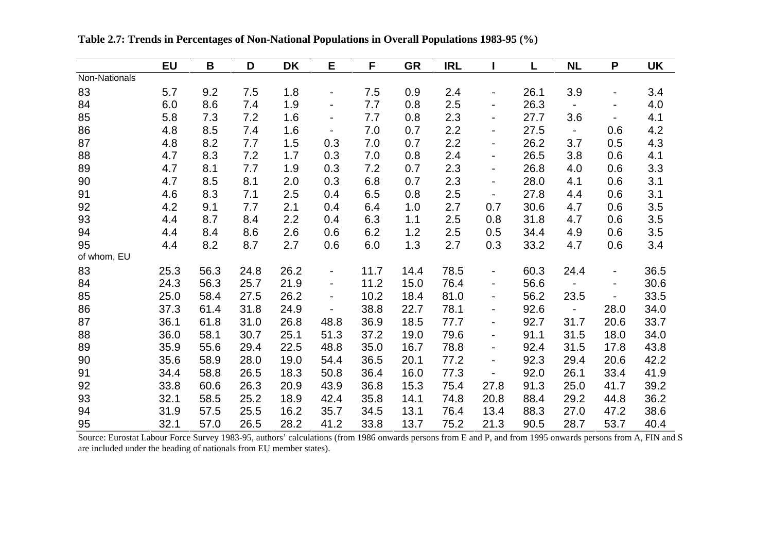|               | <b>EU</b> | B    | D    | <b>DK</b> | E                        | F    | <b>GR</b> | <b>IRL</b> |                              | L    | <b>NL</b>                | P                            | <b>UK</b> |
|---------------|-----------|------|------|-----------|--------------------------|------|-----------|------------|------------------------------|------|--------------------------|------------------------------|-----------|
| Non-Nationals |           |      |      |           |                          |      |           |            |                              |      |                          |                              |           |
| 83            | 5.7       | 9.2  | 7.5  | 1.8       |                          | 7.5  | 0.9       | 2.4        |                              | 26.1 | 3.9                      |                              | 3.4       |
| 84            | 6.0       | 8.6  | 7.4  | 1.9       | Ξ.                       | 7.7  | 0.8       | 2.5        | $\blacksquare$               | 26.3 |                          | $\blacksquare$               | 4.0       |
| 85            | 5.8       | 7.3  | 7.2  | 1.6       | -                        | 7.7  | 0.8       | 2.3        |                              | 27.7 | 3.6                      |                              | 4.1       |
| 86            | 4.8       | 8.5  | 7.4  | 1.6       | $\blacksquare$           | 7.0  | 0.7       | 2.2        | $\blacksquare$               | 27.5 | $\overline{\phantom{0}}$ | 0.6                          | 4.2       |
| 87            | 4.8       | 8.2  | 7.7  | 1.5       | 0.3                      | 7.0  | 0.7       | 2.2        | $\blacksquare$               | 26.2 | 3.7                      | 0.5                          | 4.3       |
| 88            | 4.7       | 8.3  | 7.2  | 1.7       | 0.3                      | 7.0  | 0.8       | 2.4        | $\blacksquare$               | 26.5 | 3.8                      | 0.6                          | 4.1       |
| 89            | 4.7       | 8.1  | 7.7  | 1.9       | 0.3                      | 7.2  | 0.7       | 2.3        | $\blacksquare$               | 26.8 | 4.0                      | 0.6                          | 3.3       |
| 90            | 4.7       | 8.5  | 8.1  | 2.0       | 0.3                      | 6.8  | 0.7       | 2.3        | $\qquad \qquad \blacksquare$ | 28.0 | 4.1                      | 0.6                          | 3.1       |
| 91            | 4.6       | 8.3  | 7.1  | 2.5       | 0.4                      | 6.5  | 0.8       | 2.5        | $\overline{\phantom{a}}$     | 27.8 | 4.4                      | 0.6                          | 3.1       |
| 92            | 4.2       | 9.1  | 7.7  | 2.1       | 0.4                      | 6.4  | 1.0       | 2.7        | 0.7                          | 30.6 | 4.7                      | 0.6                          | 3.5       |
| 93            | 4.4       | 8.7  | 8.4  | 2.2       | 0.4                      | 6.3  | 1.1       | 2.5        | 0.8                          | 31.8 | 4.7                      | 0.6                          | 3.5       |
| 94            | 4.4       | 8.4  | 8.6  | 2.6       | 0.6                      | 6.2  | 1.2       | 2.5        | 0.5                          | 34.4 | 4.9                      | 0.6                          | 3.5       |
| 95            | 4.4       | 8.2  | 8.7  | 2.7       | 0.6                      | 6.0  | 1.3       | 2.7        | 0.3                          | 33.2 | 4.7                      | 0.6                          | 3.4       |
| of whom, EU   |           |      |      |           |                          |      |           |            |                              |      |                          |                              |           |
| 83            | 25.3      | 56.3 | 24.8 | 26.2      | ۰                        | 11.7 | 14.4      | 78.5       | ۰                            | 60.3 | 24.4                     | $\blacksquare$               | 36.5      |
| 84            | 24.3      | 56.3 | 25.7 | 21.9      | $\overline{\phantom{0}}$ | 11.2 | 15.0      | 76.4       | $\blacksquare$               | 56.6 | $\sim$                   | $\qquad \qquad \blacksquare$ | 30.6      |
| 85            | 25.0      | 58.4 | 27.5 | 26.2      | Ξ.                       | 10.2 | 18.4      | 81.0       | Ξ.                           | 56.2 | 23.5                     |                              | 33.5      |
| 86            | 37.3      | 61.4 | 31.8 | 24.9      |                          | 38.8 | 22.7      | 78.1       | Ξ.                           | 92.6 | $\blacksquare$           | 28.0                         | 34.0      |
| 87            | 36.1      | 61.8 | 31.0 | 26.8      | 48.8                     | 36.9 | 18.5      | 77.7       | Ξ.                           | 92.7 | 31.7                     | 20.6                         | 33.7      |
| 88            | 36.0      | 58.1 | 30.7 | 25.1      | 51.3                     | 37.2 | 19.0      | 79.6       | $\blacksquare$               | 91.1 | 31.5                     | 18.0                         | 34.0      |
| 89            | 35.9      | 55.6 | 29.4 | 22.5      | 48.8                     | 35.0 | 16.7      | 78.8       | $\blacksquare$               | 92.4 | 31.5                     | 17.8                         | 43.8      |
| 90            | 35.6      | 58.9 | 28.0 | 19.0      | 54.4                     | 36.5 | 20.1      | 77.2       | $\overline{\phantom{0}}$     | 92.3 | 29.4                     | 20.6                         | 42.2      |
| 91            | 34.4      | 58.8 | 26.5 | 18.3      | 50.8                     | 36.4 | 16.0      | 77.3       | $\overline{\phantom{0}}$     | 92.0 | 26.1                     | 33.4                         | 41.9      |
| 92            | 33.8      | 60.6 | 26.3 | 20.9      | 43.9                     | 36.8 | 15.3      | 75.4       | 27.8                         | 91.3 | 25.0                     | 41.7                         | 39.2      |
| 93            | 32.1      | 58.5 | 25.2 | 18.9      | 42.4                     | 35.8 | 14.1      | 74.8       | 20.8                         | 88.4 | 29.2                     | 44.8                         | 36.2      |
| 94            | 31.9      | 57.5 | 25.5 | 16.2      | 35.7                     | 34.5 | 13.1      | 76.4       | 13.4                         | 88.3 | 27.0                     | 47.2                         | 38.6      |
| 95            | 32.1      | 57.0 | 26.5 | 28.2      | 41.2                     | 33.8 | 13.7      | 75.2       | 21.3                         | 90.5 | 28.7                     | 53.7                         | 40.4      |

**Table 2.7: Trends in Percentages of Non-National Populations in Overall Populations 1983-95 (%)**

Source: Eurostat Labour Force Survey 1983-95, authors' calculations (from 1986 onwards persons from E and P, and from 1995 onwards persons from A, FIN and S are included under the heading of nationals from EU member states).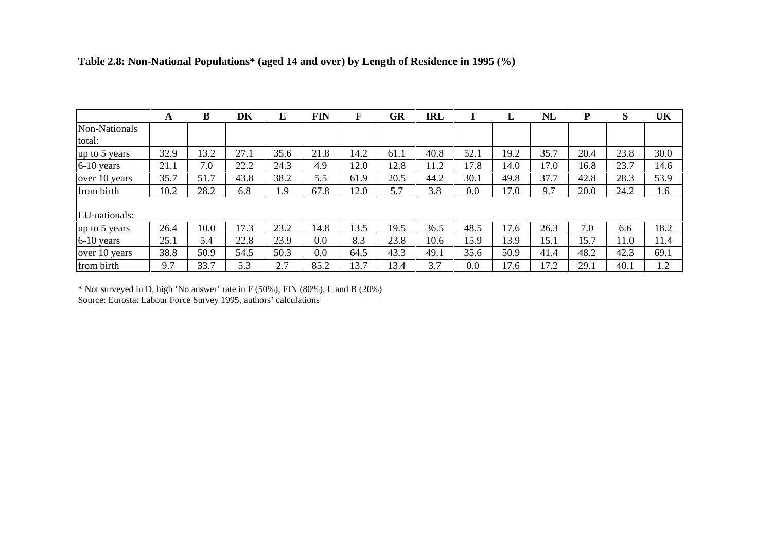|               | A    | В    | DK   | E    | <b>FIN</b> | F    | GR   | <b>IRL</b> |      |      | <b>NL</b> | P    | S    | UK   |
|---------------|------|------|------|------|------------|------|------|------------|------|------|-----------|------|------|------|
| Non-Nationals |      |      |      |      |            |      |      |            |      |      |           |      |      |      |
| total:        |      |      |      |      |            |      |      |            |      |      |           |      |      |      |
| up to 5 years | 32.9 | 13.2 | 27.1 | 35.6 | 21.8       | 14.2 | 61.1 | 40.8       | 52.1 | 19.2 | 35.7      | 20.4 | 23.8 | 30.0 |
| 6-10 years    | 21.1 | 7.0  | 22.2 | 24.3 | 4.9        | 12.0 | 12.8 | 11.2       | 17.8 | 14.0 | 17.0      | 16.8 | 23.7 | 14.6 |
| over 10 years | 35.7 | 51.7 | 43.8 | 38.2 | 5.5        | 61.9 | 20.5 | 44.2       | 30.1 | 49.8 | 37.7      | 42.8 | 28.3 | 53.9 |
| from birth    | 10.2 | 28.2 | 6.8  | 1.9  | 67.8       | 12.0 | 5.7  | 3.8        | 0.0  | 17.0 | 9.7       | 20.0 | 24.2 | 1.6  |
| EU-nationals: |      |      |      |      |            |      |      |            |      |      |           |      |      |      |
| up to 5 years | 26.4 | 10.0 | 17.3 | 23.2 | 14.8       | 13.5 | 19.5 | 36.5       | 48.5 | 17.6 | 26.3      | 7.0  | 6.6  | 18.2 |
| 6-10 years    | 25.1 | 5.4  | 22.8 | 23.9 | 0.0        | 8.3  | 23.8 | 10.6       | 15.9 | 13.9 | 15.1      | 15.7 | 11.0 | 11.4 |
| over 10 years | 38.8 | 50.9 | 54.5 | 50.3 | 0.0        | 64.5 | 43.3 | 49.1       | 35.6 | 50.9 | 41.4      | 48.2 | 42.3 | 69.1 |
| from birth    | 9.7  | 33.7 | 5.3  | 2.7  | 85.2       | 13.7 | 13.4 | 3.7        | 0.0  | 17.6 | 17.2      | 29.1 | 40.1 | 1.2  |

## **Table 2.8: Non-National Populations\* (aged 14 and over) by Length of Residence in 1995 (%)**

\* Not surveyed in D, high 'No answer' rate in F (50%), FIN (80%), L and B (20%)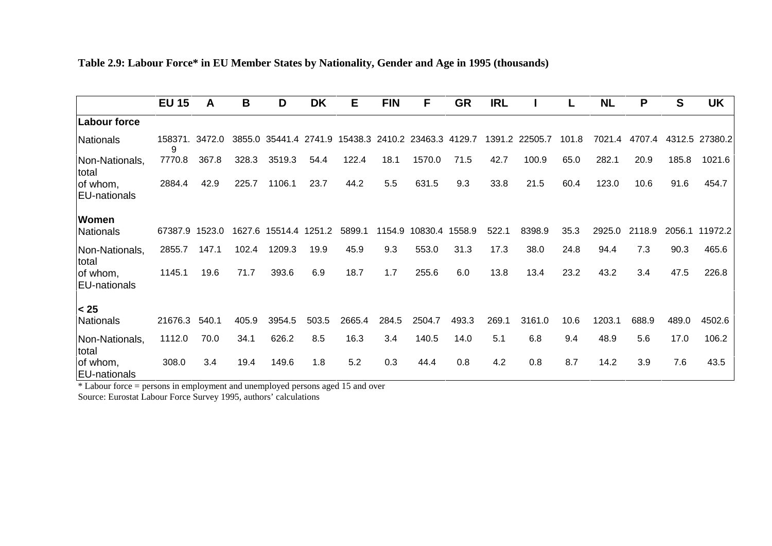| Table 2.9: Labour Force* in EU Member States by Nationality, Gender and Age in 1995 (thousands) |  |
|-------------------------------------------------------------------------------------------------|--|
|                                                                                                 |  |

|                                                                                                                   | <b>EU 15</b>        | A      | B      | D                                                   | <b>DK</b> | Е      | <b>FIN</b> | F       | <b>GR</b> | <b>IRL</b> |                | L     | <b>NL</b> | P      | S      | <b>UK</b>      |
|-------------------------------------------------------------------------------------------------------------------|---------------------|--------|--------|-----------------------------------------------------|-----------|--------|------------|---------|-----------|------------|----------------|-------|-----------|--------|--------|----------------|
| Labour force                                                                                                      |                     |        |        |                                                     |           |        |            |         |           |            |                |       |           |        |        |                |
| Nationals                                                                                                         | 158371. 3472.0<br>9 |        |        | 3855.0 35441.4 2741.9 15438.3 2410.2 23463.3 4129.7 |           |        |            |         |           |            | 1391.2 22505.7 | 101.8 | 7021.4    | 4707.4 |        | 4312.5 27380.2 |
| Non-Nationals,<br>total                                                                                           | 7770.8              | 367.8  | 328.3  | 3519.3                                              | 54.4      | 122.4  | 18.1       | 1570.0  | 71.5      | 42.7       | 100.9          | 65.0  | 282.1     | 20.9   | 185.8  | 1021.6         |
| of whom,<br><b>EU-nationals</b>                                                                                   | 2884.4              | 42.9   | 225.7  | 1106.1                                              | 23.7      | 44.2   | 5.5        | 631.5   | 9.3       | 33.8       | 21.5           | 60.4  | 123.0     | 10.6   | 91.6   | 454.7          |
| Women                                                                                                             |                     |        |        |                                                     |           |        |            |         |           |            |                |       |           |        |        |                |
| Nationals                                                                                                         | 67387.9             | 1523.0 | 1627.6 | 15514.4                                             | 1251.2    | 5899.1 | 1154.9     | 10830.4 | 1558.9    | 522.1      | 8398.9         | 35.3  | 2925.0    | 2118.9 | 2056.1 | 11972.2        |
| Non-Nationals,<br>total                                                                                           | 2855.7              | 147.1  | 102.4  | 1209.3                                              | 19.9      | 45.9   | 9.3        | 553.0   | 31.3      | 17.3       | 38.0           | 24.8  | 94.4      | 7.3    | 90.3   | 465.6          |
| of whom,<br>EU-nationals                                                                                          | 1145.1              | 19.6   | 71.7   | 393.6                                               | 6.9       | 18.7   | 1.7        | 255.6   | 6.0       | 13.8       | 13.4           | 23.2  | 43.2      | 3.4    | 47.5   | 226.8          |
| < 25                                                                                                              |                     |        |        |                                                     |           |        |            |         |           |            |                |       |           |        |        |                |
| Nationals                                                                                                         | 21676.3             | 540.1  | 405.9  | 3954.5                                              | 503.5     | 2665.4 | 284.5      | 2504.7  | 493.3     | 269.1      | 3161.0         | 10.6  | 1203.1    | 688.9  | 489.0  | 4502.6         |
| Non-Nationals,<br><b>Itotal</b>                                                                                   | 1112.0              | 70.0   | 34.1   | 626.2                                               | 8.5       | 16.3   | 3.4        | 140.5   | 14.0      | 5.1        | 6.8            | 9.4   | 48.9      | 5.6    | 17.0   | 106.2          |
| of whom,<br><b>EU-nationals</b><br>* Labour force = persons in employment and unemployed persons aged 15 and over | 308.0               | 3.4    | 19.4   | 149.6                                               | 1.8       | 5.2    | 0.3        | 44.4    | 0.8       | 4.2        | 0.8            | 8.7   | 14.2      | 3.9    | 7.6    | 43.5           |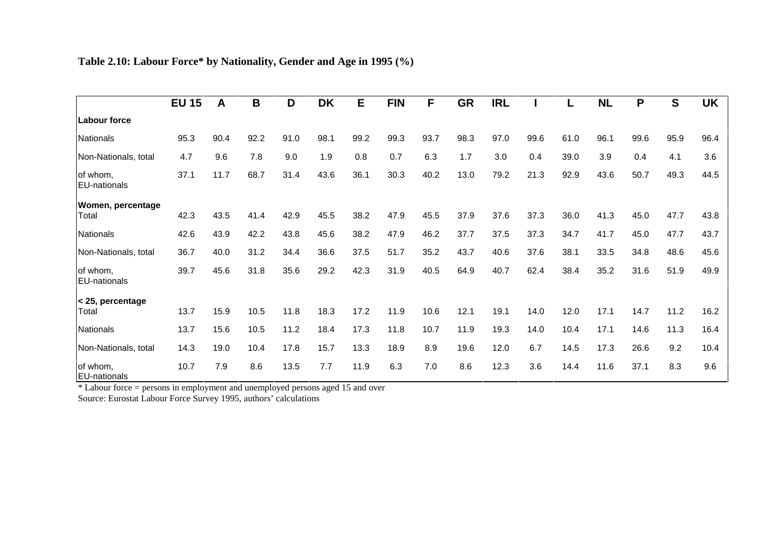| Table 2.10: Labour Force* by Nationality, Gender and Age in 1995 (%) |  |  |  |
|----------------------------------------------------------------------|--|--|--|
|                                                                      |  |  |  |

|                                 | <b>EU 15</b> | A    | B    | D    | <b>DK</b> | E    | <b>FIN</b> | F    | <b>GR</b> | <b>IRL</b> |      |      | <b>NL</b> | P    | S    | <b>UK</b> |
|---------------------------------|--------------|------|------|------|-----------|------|------------|------|-----------|------------|------|------|-----------|------|------|-----------|
| <b>Labour force</b>             |              |      |      |      |           |      |            |      |           |            |      |      |           |      |      |           |
| <b>Nationals</b>                | 95.3         | 90.4 | 92.2 | 91.0 | 98.1      | 99.2 | 99.3       | 93.7 | 98.3      | 97.0       | 99.6 | 61.0 | 96.1      | 99.6 | 95.9 | 96.4      |
| Non-Nationals, total            | 4.7          | 9.6  | 7.8  | 9.0  | 1.9       | 0.8  | 0.7        | 6.3  | 1.7       | 3.0        | 0.4  | 39.0 | 3.9       | 0.4  | 4.1  | 3.6       |
| of whom,<br>EU-nationals        | 37.1         | 11.7 | 68.7 | 31.4 | 43.6      | 36.1 | 30.3       | 40.2 | 13.0      | 79.2       | 21.3 | 92.9 | 43.6      | 50.7 | 49.3 | 44.5      |
| Women, percentage<br>Total      | 42.3         | 43.5 | 41.4 | 42.9 | 45.5      | 38.2 | 47.9       | 45.5 | 37.9      | 37.6       | 37.3 | 36.0 | 41.3      | 45.0 | 47.7 | 43.8      |
| <b>Nationals</b>                | 42.6         | 43.9 | 42.2 | 43.8 | 45.6      | 38.2 | 47.9       | 46.2 | 37.7      | 37.5       | 37.3 | 34.7 | 41.7      | 45.0 | 47.7 | 43.7      |
| Non-Nationals, total            | 36.7         | 40.0 | 31.2 | 34.4 | 36.6      | 37.5 | 51.7       | 35.2 | 43.7      | 40.6       | 37.6 | 38.1 | 33.5      | 34.8 | 48.6 | 45.6      |
| of whom,<br>EU-nationals        | 39.7         | 45.6 | 31.8 | 35.6 | 29.2      | 42.3 | 31.9       | 40.5 | 64.9      | 40.7       | 62.4 | 38.4 | 35.2      | 31.6 | 51.9 | 49.9      |
| < 25, percentage<br>Total       | 13.7         | 15.9 | 10.5 | 11.8 | 18.3      | 17.2 | 11.9       | 10.6 | 12.1      | 19.1       | 14.0 | 12.0 | 17.1      | 14.7 | 11.2 | 16.2      |
| <b>Nationals</b>                | 13.7         | 15.6 | 10.5 | 11.2 | 18.4      | 17.3 | 11.8       | 10.7 | 11.9      | 19.3       | 14.0 | 10.4 | 17.1      | 14.6 | 11.3 | 16.4      |
| Non-Nationals, total            | 14.3         | 19.0 | 10.4 | 17.8 | 15.7      | 13.3 | 18.9       | 8.9  | 19.6      | 12.0       | 6.7  | 14.5 | 17.3      | 26.6 | 9.2  | 10.4      |
| of whom,<br><b>EU-nationals</b> | 10.7         | 7.9  | 8.6  | 13.5 | 7.7       | 11.9 | 6.3        | 7.0  | 8.6       | 12.3       | 3.6  | 14.4 | 11.6      | 37.1 | 8.3  | 9.6       |

EU-nationals \* Labour force = persons in employment and unemployed persons aged 15 and over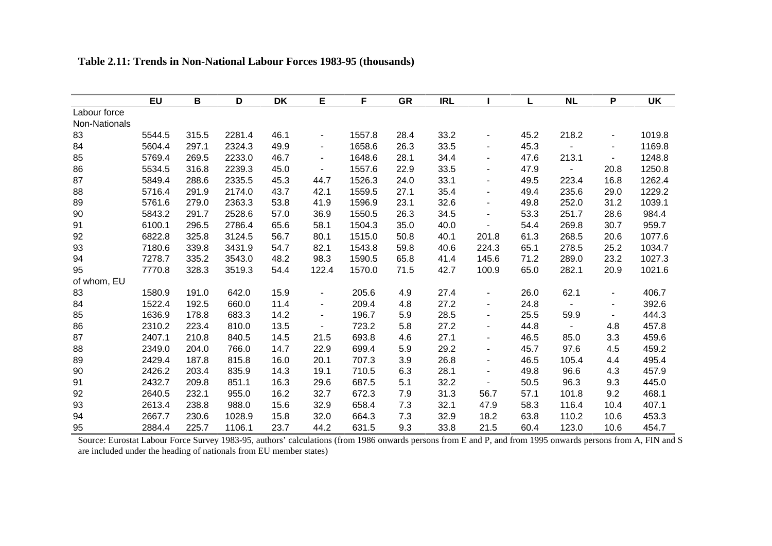|               | <b>EU</b> | B     | D      | <b>DK</b> | E                        | F      | <b>GR</b> | <b>IRL</b> |                          | L    | <b>NL</b>                | P                        | UK     |
|---------------|-----------|-------|--------|-----------|--------------------------|--------|-----------|------------|--------------------------|------|--------------------------|--------------------------|--------|
| Labour force  |           |       |        |           |                          |        |           |            |                          |      |                          |                          |        |
| Non-Nationals |           |       |        |           |                          |        |           |            |                          |      |                          |                          |        |
| 83            | 5544.5    | 315.5 | 2281.4 | 46.1      |                          | 1557.8 | 28.4      | 33.2       | ۰                        | 45.2 | 218.2                    | $\overline{\phantom{a}}$ | 1019.8 |
| 84            | 5604.4    | 297.1 | 2324.3 | 49.9      | $\overline{\phantom{a}}$ | 1658.6 | 26.3      | 33.5       | $\overline{\phantom{0}}$ | 45.3 |                          | $\blacksquare$           | 1169.8 |
| 85            | 5769.4    | 269.5 | 2233.0 | 46.7      | ۰.                       | 1648.6 | 28.1      | 34.4       | ۰                        | 47.6 | 213.1                    | $\blacksquare$           | 1248.8 |
| 86            | 5534.5    | 316.8 | 2239.3 | 45.0      |                          | 1557.6 | 22.9      | 33.5       |                          | 47.9 |                          | 20.8                     | 1250.8 |
| 87            | 5849.4    | 288.6 | 2335.5 | 45.3      | 44.7                     | 1526.3 | 24.0      | 33.1       | ۰                        | 49.5 | 223.4                    | 16.8                     | 1262.4 |
| 88            | 5716.4    | 291.9 | 2174.0 | 43.7      | 42.1                     | 1559.5 | 27.1      | 35.4       |                          | 49.4 | 235.6                    | 29.0                     | 1229.2 |
| 89            | 5761.6    | 279.0 | 2363.3 | 53.8      | 41.9                     | 1596.9 | 23.1      | 32.6       | ٠                        | 49.8 | 252.0                    | 31.2                     | 1039.1 |
| 90            | 5843.2    | 291.7 | 2528.6 | 57.0      | 36.9                     | 1550.5 | 26.3      | 34.5       |                          | 53.3 | 251.7                    | 28.6                     | 984.4  |
| 91            | 6100.1    | 296.5 | 2786.4 | 65.6      | 58.1                     | 1504.3 | 35.0      | 40.0       | $\overline{\phantom{a}}$ | 54.4 | 269.8                    | 30.7                     | 959.7  |
| 92            | 6822.8    | 325.8 | 3124.5 | 56.7      | 80.1                     | 1515.0 | 50.8      | 40.1       | 201.8                    | 61.3 | 268.5                    | 20.6                     | 1077.6 |
| 93            | 7180.6    | 339.8 | 3431.9 | 54.7      | 82.1                     | 1543.8 | 59.8      | 40.6       | 224.3                    | 65.1 | 278.5                    | 25.2                     | 1034.7 |
| 94            | 7278.7    | 335.2 | 3543.0 | 48.2      | 98.3                     | 1590.5 | 65.8      | 41.4       | 145.6                    | 71.2 | 289.0                    | 23.2                     | 1027.3 |
| 95            | 7770.8    | 328.3 | 3519.3 | 54.4      | 122.4                    | 1570.0 | 71.5      | 42.7       | 100.9                    | 65.0 | 282.1                    | 20.9                     | 1021.6 |
| of whom, EU   |           |       |        |           |                          |        |           |            |                          |      |                          |                          |        |
| 83            | 1580.9    | 191.0 | 642.0  | 15.9      |                          | 205.6  | 4.9       | 27.4       |                          | 26.0 | 62.1                     | $\blacksquare$           | 406.7  |
| 84            | 1522.4    | 192.5 | 660.0  | 11.4      | $\overline{\phantom{a}}$ | 209.4  | 4.8       | 27.2       | ۰                        | 24.8 | $\overline{\phantom{a}}$ | $\overline{\phantom{a}}$ | 392.6  |
| 85            | 1636.9    | 178.8 | 683.3  | 14.2      |                          | 196.7  | 5.9       | 28.5       |                          | 25.5 | 59.9                     |                          | 444.3  |
| 86            | 2310.2    | 223.4 | 810.0  | 13.5      |                          | 723.2  | 5.8       | 27.2       | ۰                        | 44.8 | $\blacksquare$           | 4.8                      | 457.8  |
| 87            | 2407.1    | 210.8 | 840.5  | 14.5      | 21.5                     | 693.8  | 4.6       | 27.1       |                          | 46.5 | 85.0                     | 3.3                      | 459.6  |
| 88            | 2349.0    | 204.0 | 766.0  | 14.7      | 22.9                     | 699.4  | 5.9       | 29.2       | $\overline{\phantom{0}}$ | 45.7 | 97.6                     | 4.5                      | 459.2  |
| 89            | 2429.4    | 187.8 | 815.8  | 16.0      | 20.1                     | 707.3  | 3.9       | 26.8       | ۰                        | 46.5 | 105.4                    | 4.4                      | 495.4  |
| 90            | 2426.2    | 203.4 | 835.9  | 14.3      | 19.1                     | 710.5  | 6.3       | 28.1       | $\blacksquare$           | 49.8 | 96.6                     | 4.3                      | 457.9  |
| 91            | 2432.7    | 209.8 | 851.1  | 16.3      | 29.6                     | 687.5  | 5.1       | 32.2       | $\overline{\phantom{a}}$ | 50.5 | 96.3                     | 9.3                      | 445.0  |
| 92            | 2640.5    | 232.1 | 955.0  | 16.2      | 32.7                     | 672.3  | 7.9       | 31.3       | 56.7                     | 57.1 | 101.8                    | 9.2                      | 468.1  |
| 93            | 2613.4    | 238.8 | 988.0  | 15.6      | 32.9                     | 658.4  | 7.3       | 32.1       | 47.9                     | 58.3 | 116.4                    | 10.4                     | 407.1  |
| 94            | 2667.7    | 230.6 | 1028.9 | 15.8      | 32.0                     | 664.3  | 7.3       | 32.9       | 18.2                     | 63.8 | 110.2                    | 10.6                     | 453.3  |
| 95            | 2884.4    | 225.7 | 1106.1 | 23.7      | 44.2                     | 631.5  | 9.3       | 33.8       | 21.5                     | 60.4 | 123.0                    | 10.6                     | 454.7  |

## **Table 2.11: Trends in Non-National Labour Forces 1983-95 (thousands)**

 Source: Eurostat Labour Force Survey 1983-95, authors' calculations (from 1986 onwards persons from E and P, and from 1995 onwards persons from A, FIN and S are included under the heading of nationals from EU member states)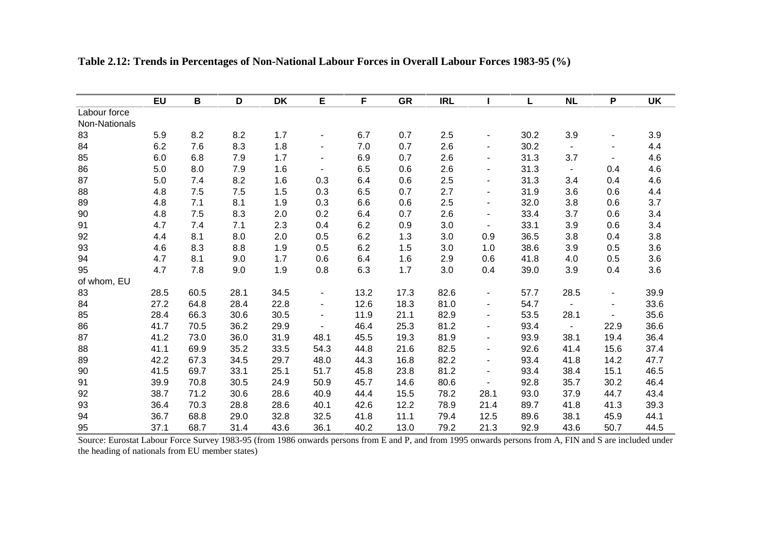|               | <b>EU</b> | В    | D     | <b>DK</b> | E                        | F    | <b>GR</b> | <b>IRL</b> |                          | L    | <b>NL</b>      | P                        | <b>UK</b> |
|---------------|-----------|------|-------|-----------|--------------------------|------|-----------|------------|--------------------------|------|----------------|--------------------------|-----------|
| Labour force  |           |      |       |           |                          |      |           |            |                          |      |                |                          |           |
| Non-Nationals |           |      |       |           |                          |      |           |            |                          |      |                |                          |           |
| 83            | 5.9       | 8.2  | 8.2   | 1.7       | $\overline{\phantom{a}}$ | 6.7  | 0.7       | 2.5        | ۰                        | 30.2 | 3.9            | $\overline{\phantom{a}}$ | 3.9       |
| 84            | 6.2       | 7.6  | 8.3   | 1.8       | $\overline{\phantom{a}}$ | 7.0  | 0.7       | 2.6        | $\blacksquare$           | 30.2 | $\blacksquare$ | $\blacksquare$           | 4.4       |
| 85            | 6.0       | 6.8  | $7.9$ | 1.7       | $\overline{\phantom{a}}$ | 6.9  | 0.7       | 2.6        | $\overline{\phantom{0}}$ | 31.3 | 3.7            |                          | 4.6       |
| 86            | 5.0       | 8.0  | 7.9   | 1.6       |                          | 6.5  | 0.6       | 2.6        |                          | 31.3 | $\blacksquare$ | 0.4                      | 4.6       |
| 87            | 5.0       | 7.4  | 8.2   | 1.6       | 0.3                      | 6.4  | 0.6       | 2.5        | $\blacksquare$           | 31.3 | 3.4            | 0.4                      | 4.6       |
| 88            | 4.8       | 7.5  | 7.5   | 1.5       | 0.3                      | 6.5  | 0.7       | 2.7        |                          | 31.9 | 3.6            | 0.6                      | 4.4       |
| 89            | 4.8       | 7.1  | 8.1   | 1.9       | 0.3                      | 6.6  | 0.6       | 2.5        | $\blacksquare$           | 32.0 | 3.8            | 0.6                      | 3.7       |
| 90            | 4.8       | 7.5  | 8.3   | 2.0       | 0.2                      | 6.4  | 0.7       | 2.6        | $\blacksquare$           | 33.4 | 3.7            | 0.6                      | 3.4       |
| 91            | 4.7       | 7.4  | 7.1   | 2.3       | 0.4                      | 6.2  | 0.9       | 3.0        | $\blacksquare$           | 33.1 | 3.9            | 0.6                      | 3.4       |
| 92            | 4.4       | 8.1  | 8.0   | 2.0       | 0.5                      | 6.2  | 1.3       | 3.0        | 0.9                      | 36.5 | 3.8            | 0.4                      | 3.8       |
| 93            | 4.6       | 8.3  | 8.8   | 1.9       | 0.5                      | 6.2  | 1.5       | 3.0        | 1.0                      | 38.6 | 3.9            | 0.5                      | 3.6       |
| 94            | 4.7       | 8.1  | 9.0   | 1.7       | 0.6                      | 6.4  | 1.6       | 2.9        | 0.6                      | 41.8 | 4.0            | 0.5                      | 3.6       |
| 95            | 4.7       | 7.8  | 9.0   | 1.9       | 0.8                      | 6.3  | 1.7       | 3.0        | 0.4                      | 39.0 | 3.9            | 0.4                      | 3.6       |
| of whom, EU   |           |      |       |           |                          |      |           |            |                          |      |                |                          |           |
| 83            | 28.5      | 60.5 | 28.1  | 34.5      | $\blacksquare$           | 13.2 | 17.3      | 82.6       |                          | 57.7 | 28.5           | $\overline{\phantom{a}}$ | 39.9      |
| 84            | 27.2      | 64.8 | 28.4  | 22.8      | $\overline{\phantom{a}}$ | 12.6 | 18.3      | 81.0       | $\blacksquare$           | 54.7 | $\blacksquare$ | $\blacksquare$           | 33.6      |
| 85            | 28.4      | 66.3 | 30.6  | 30.5      |                          | 11.9 | 21.1      | 82.9       | $\blacksquare$           | 53.5 | 28.1           |                          | 35.6      |
| 86            | 41.7      | 70.5 | 36.2  | 29.9      |                          | 46.4 | 25.3      | 81.2       | $\blacksquare$           | 93.4 | $\blacksquare$ | 22.9                     | 36.6      |
| 87            | 41.2      | 73.0 | 36.0  | 31.9      | 48.1                     | 45.5 | 19.3      | 81.9       | $\blacksquare$           | 93.9 | 38.1           | 19.4                     | 36.4      |
| 88            | 41.1      | 69.9 | 35.2  | 33.5      | 54.3                     | 44.8 | 21.6      | 82.5       | $\blacksquare$           | 92.6 | 41.4           | 15.6                     | 37.4      |
| 89            | 42.2      | 67.3 | 34.5  | 29.7      | 48.0                     | 44.3 | 16.8      | 82.2       | $\blacksquare$           | 93.4 | 41.8           | 14.2                     | 47.7      |
| 90            | 41.5      | 69.7 | 33.1  | 25.1      | 51.7                     | 45.8 | 23.8      | 81.2       | $\overline{\phantom{a}}$ | 93.4 | 38.4           | 15.1                     | 46.5      |
| 91            | 39.9      | 70.8 | 30.5  | 24.9      | 50.9                     | 45.7 | 14.6      | 80.6       | ÷,                       | 92.8 | 35.7           | 30.2                     | 46.4      |
| 92            | 38.7      | 71.2 | 30.6  | 28.6      | 40.9                     | 44.4 | 15.5      | 78.2       | 28.1                     | 93.0 | 37.9           | 44.7                     | 43.4      |
| 93            | 36.4      | 70.3 | 28.8  | 28.6      | 40.1                     | 42.6 | 12.2      | 78.9       | 21.4                     | 89.7 | 41.8           | 41.3                     | 39.3      |
| 94            | 36.7      | 68.8 | 29.0  | 32.8      | 32.5                     | 41.8 | 11.1      | 79.4       | 12.5                     | 89.6 | 38.1           | 45.9                     | 44.1      |
| 95            | 37.1      | 68.7 | 31.4  | 43.6      | 36.1                     | 40.2 | 13.0      | 79.2       | 21.3                     | 92.9 | 43.6           | 50.7                     | 44.5      |

**Table 2.12: Trends in Percentages of Non-National Labour Forces in Overall Labour Forces 1983-95 (%)**

Source: Eurostat Labour Force Survey 1983-95 (from 1986 onwards persons from E and P, and from 1995 onwards persons from A, FIN and S are included under the heading of nationals from EU member states)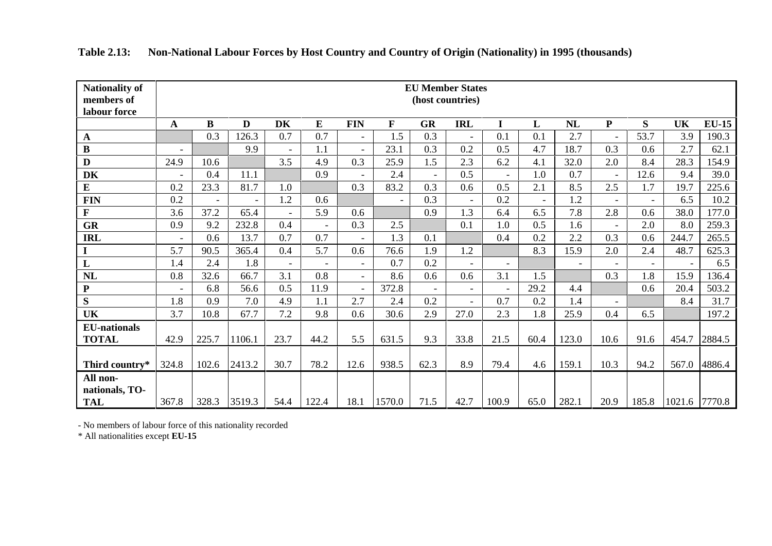| <b>Nationality of</b>      |                          |                          |        |                |                          |                          |                          |                | <b>EU Member States</b> |       |      |                |                |       |        |              |
|----------------------------|--------------------------|--------------------------|--------|----------------|--------------------------|--------------------------|--------------------------|----------------|-------------------------|-------|------|----------------|----------------|-------|--------|--------------|
| members of<br>labour force |                          |                          |        |                |                          |                          |                          |                | (host countries)        |       |      |                |                |       |        |              |
|                            | ${\bf A}$                | $\bf{B}$                 | D      | <b>DK</b>      | ${\bf E}$                | <b>FIN</b>               | $\mathbf{F}$             | <b>GR</b>      | <b>IRL</b>              | I     | L    | NL             | $\mathbf{P}$   | S     | UK     | <b>EU-15</b> |
| $\mathbf{A}$               |                          | 0.3                      | 126.3  | 0.7            | 0.7                      |                          | 1.5                      | 0.3            |                         | 0.1   | 0.1  | 2.7            |                | 53.7  | 3.9    | 190.3        |
| $\, {\bf B}$               | $\overline{\phantom{a}}$ |                          | 9.9    | $\overline{a}$ | 1.1                      | $\overline{\phantom{a}}$ | 23.1                     | 0.3            | 0.2                     | 0.5   | 4.7  | 18.7           | 0.3            | 0.6   | 2.7    | 62.1         |
| $\mathbf{D}$               | 24.9                     | 10.6                     |        | 3.5            | 4.9                      | 0.3                      | 25.9                     | 1.5            | 2.3                     | 6.2   | 4.1  | 32.0           | 2.0            | 8.4   | 28.3   | 154.9        |
| DK                         | $\blacksquare$           | 0.4                      | 11.1   |                | 0.9                      | $\overline{a}$           | 2.4                      | $\mathbf{r}$   | 0.5                     |       | 1.0  | 0.7            | $\blacksquare$ | 12.6  | 9.4    | 39.0         |
| $\bf{E}$                   | 0.2                      | 23.3                     | 81.7   | 1.0            |                          | 0.3                      | 83.2                     | 0.3            | 0.6                     | 0.5   | 2.1  | 8.5            | 2.5            | 1.7   | 19.7   | 225.6        |
| <b>FIN</b>                 | 0.2                      | $\overline{\phantom{a}}$ |        | 1.2            | 0.6                      |                          | $\overline{\phantom{a}}$ | 0.3            |                         | 0.2   |      | 1.2            | $\blacksquare$ |       | 6.5    | 10.2         |
| $\mathbf F$                | 3.6                      | 37.2                     | 65.4   | $\blacksquare$ | 5.9                      | 0.6                      |                          | 0.9            | 1.3                     | 6.4   | 6.5  | 7.8            | 2.8            | 0.6   | 38.0   | 177.0        |
| <b>GR</b>                  | 0.9                      | 9.2                      | 232.8  | 0.4            | $\overline{\phantom{a}}$ | 0.3                      | 2.5                      |                | 0.1                     | 1.0   | 0.5  | 1.6            | $\blacksquare$ | 2.0   | 8.0    | 259.3        |
| <b>IRL</b>                 | $\overline{\phantom{a}}$ | 0.6                      | 13.7   | 0.7            | 0.7                      | $\overline{\phantom{a}}$ | 1.3                      | 0.1            |                         | 0.4   | 0.2  | 2.2            | 0.3            | 0.6   | 244.7  | 265.5        |
| $\mathbf I$                | 5.7                      | 90.5                     | 365.4  | 0.4            | 5.7                      | 0.6                      | 76.6                     | 1.9            | 1.2                     |       | 8.3  | 15.9           | 2.0            | 2.4   | 48.7   | 625.3        |
| $\mathbf{L}$               | 1.4                      | 2.4                      | 1.8    | $\equiv$       | $\overline{a}$           | $\overline{a}$           | 0.7                      | 0.2            |                         |       |      | $\overline{a}$ |                |       |        | 6.5          |
| $\mathbf{NL}$              | 0.8                      | 32.6                     | 66.7   | 3.1            | 0.8                      | $\equiv$                 | 8.6                      | 0.6            | 0.6                     | 3.1   | 1.5  |                | 0.3            | 1.8   | 15.9   | 136.4        |
| ${\bf P}$                  | $\overline{a}$           | 6.8                      | 56.6   | 0.5            | 11.9                     | $\overline{a}$           | 372.8                    | $\overline{a}$ | $\sim$                  |       | 29.2 | 4.4            |                | 0.6   | 20.4   | 503.2        |
| S                          | 1.8                      | 0.9                      | 7.0    | 4.9            | 1.1                      | 2.7                      | 2.4                      | 0.2            | $\blacksquare$          | 0.7   | 0.2  | 1.4            | $\blacksquare$ |       | 8.4    | 31.7         |
| UK                         | 3.7                      | 10.8                     | 67.7   | 7.2            | 9.8                      | 0.6                      | 30.6                     | 2.9            | 27.0                    | 2.3   | 1.8  | 25.9           | 0.4            | 6.5   |        | 197.2        |
| <b>EU-nationals</b>        |                          |                          |        |                |                          |                          |                          |                |                         |       |      |                |                |       |        |              |
| <b>TOTAL</b>               | 42.9                     | 225.7                    | 1106.1 | 23.7           | 44.2                     | 5.5                      | 631.5                    | 9.3            | 33.8                    | 21.5  | 60.4 | 123.0          | 10.6           | 91.6  | 454.7  | 2884.5       |
|                            |                          |                          |        |                |                          |                          |                          |                |                         |       |      |                |                |       |        |              |
| Third country*             | 324.8                    | 102.6                    | 2413.2 | 30.7           | 78.2                     | 12.6                     | 938.5                    | 62.3           | 8.9                     | 79.4  | 4.6  | 159.1          | 10.3           | 94.2  | 567.0  | 4886.4       |
| All non-                   |                          |                          |        |                |                          |                          |                          |                |                         |       |      |                |                |       |        |              |
| nationals, TO-             |                          |                          |        |                |                          |                          |                          |                |                         |       |      |                |                |       |        |              |
| <b>TAL</b>                 | 367.8                    | 328.3                    | 3519.3 | 54.4           | 122.4                    | 18.1                     | 1570.0                   | 71.5           | 42.7                    | 100.9 | 65.0 | 282.1          | 20.9           | 185.8 | 1021.6 | 7770.8       |

**Table 2.13: Non-National Labour Forces by Host Country and Country of Origin (Nationality) in 1995 (thousands)**

- No members of labour force of this nationality recorded

\* All nationalities except **EU-15**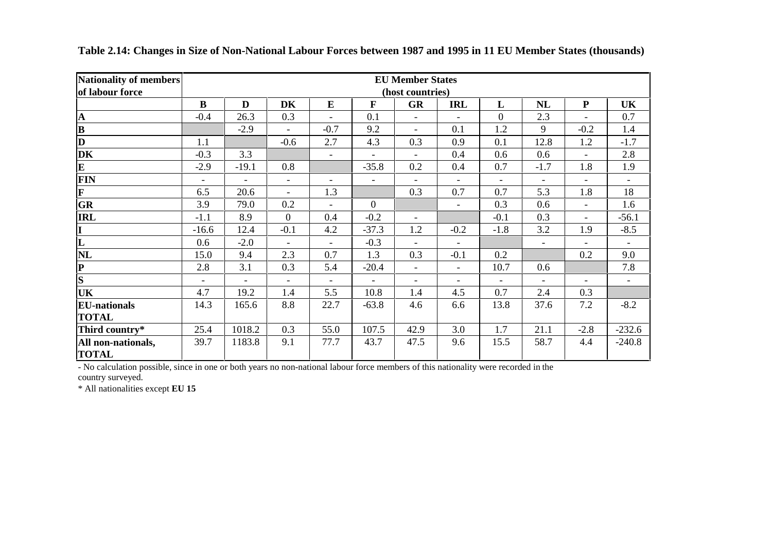| <b>Nationality of members</b><br>of labour force |                          |                          |                          |                |                          | <b>EU Member States</b><br>(host countries) |                          |                |                          |                          |                          |
|--------------------------------------------------|--------------------------|--------------------------|--------------------------|----------------|--------------------------|---------------------------------------------|--------------------------|----------------|--------------------------|--------------------------|--------------------------|
|                                                  | B                        | D                        | <b>DK</b>                | E              | $\mathbf{F}$             | <b>GR</b>                                   | <b>IRL</b>               | L              | <b>NL</b>                | ${\bf P}$                | <b>UK</b>                |
| $\overline{\mathbf{A}}$                          | $-0.4$                   | 26.3                     | 0.3                      |                | 0.1                      | $\overline{\phantom{a}}$                    |                          | $\overline{0}$ | 2.3                      | $\overline{\phantom{0}}$ | 0.7                      |
| $\overline{\mathbf{B}}$                          |                          | $-2.9$                   | $\blacksquare$           | $-0.7$         | 9.2                      | $\blacksquare$                              | 0.1                      | 1.2            | 9                        | $-0.2$                   | 1.4                      |
| $\overline{\mathbf{D}}$                          | 1.1                      |                          | $-0.6$                   | 2.7            | 4.3                      | 0.3                                         | 0.9                      | 0.1            | 12.8                     | 1.2                      | $-1.7$                   |
| DK                                               | $-0.3$                   | 3.3                      |                          | $\overline{a}$ | $\blacksquare$           | $\overline{\phantom{a}}$                    | 0.4                      | 0.6            | 0.6                      | $\overline{\phantom{a}}$ | 2.8                      |
| $\mathbf{E}$                                     | $-2.9$                   | $-19.1$                  | 0.8                      |                | $-35.8$                  | 0.2                                         | 0.4                      | 0.7            | $-1.7$                   | 1.8                      | 1.9                      |
| FIN                                              | $\overline{\phantom{a}}$ | $\overline{\phantom{a}}$ | $\overline{\phantom{a}}$ |                | $\blacksquare$           | $\overline{\phantom{a}}$                    |                          | $\blacksquare$ | $\blacksquare$           | $\overline{\phantom{a}}$ | $\overline{\phantom{a}}$ |
| $\overline{\mathbf{F}}$                          | 6.5                      | 20.6                     | $\overline{\phantom{0}}$ | 1.3            |                          | 0.3                                         | 0.7                      | 0.7            | 5.3                      | 1.8                      | 18                       |
| GR                                               | 3.9                      | 79.0                     | 0.2                      |                | $\theta$                 |                                             | $\overline{\phantom{0}}$ | 0.3            | 0.6                      | $\blacksquare$           | 1.6                      |
| <b>IRL</b>                                       | $-1.1$                   | 8.9                      | $\overline{0}$           | 0.4            | $-0.2$                   | $\overline{\phantom{a}}$                    |                          | $-0.1$         | 0.3                      | $\blacksquare$           | $-56.1$                  |
| $\frac{\overline{I}}{L}$                         | $-16.6$                  | 12.4                     | $-0.1$                   | 4.2            | $-37.3$                  | 1.2                                         | $-0.2$                   | $-1.8$         | 3.2                      | 1.9                      | $-8.5$                   |
|                                                  | 0.6                      | $-2.0$                   | $\overline{\phantom{a}}$ | $\blacksquare$ | $-0.3$                   | $\blacksquare$                              | $\overline{\phantom{a}}$ |                | $\overline{\phantom{a}}$ | $\overline{\phantom{a}}$ | $\overline{\phantom{a}}$ |
| <b>NL</b>                                        | 15.0                     | 9.4                      | 2.3                      | 0.7            | 1.3                      | 0.3                                         | $-0.1$                   | 0.2            |                          | 0.2                      | 9.0                      |
| $\frac{\overline{P}}{\overline{S}}$              | 2.8                      | 3.1                      | 0.3                      | 5.4            | $-20.4$                  | $\blacksquare$                              | $\blacksquare$           | 10.7           | 0.6                      |                          | 7.8                      |
|                                                  | $\overline{\phantom{a}}$ | $\overline{\phantom{a}}$ | $\overline{\phantom{0}}$ | $\blacksquare$ | $\overline{\phantom{0}}$ | $\overline{\phantom{a}}$                    |                          | $\blacksquare$ | $\blacksquare$           | $\overline{\phantom{0}}$ | $\overline{\phantom{a}}$ |
| <b>UK</b>                                        | 4.7                      | 19.2                     | 1.4                      | 5.5            | 10.8                     | 1.4                                         | 4.5                      | 0.7            | 2.4                      | 0.3                      |                          |
| <b>EU-nationals</b>                              | 14.3                     | 165.6                    | 8.8                      | 22.7           | $-63.8$                  | 4.6                                         | 6.6                      | 13.8           | 37.6                     | 7.2                      | $-8.2$                   |
| <b>TOTAL</b>                                     |                          |                          |                          |                |                          |                                             |                          |                |                          |                          |                          |
| Third country*                                   | 25.4                     | 1018.2                   | 0.3                      | 55.0           | 107.5                    | 42.9                                        | 3.0                      | 1.7            | 21.1                     | $-2.8$                   | $-232.6$                 |
| All non-nationals,<br><b>TOTAL</b>               | 39.7                     | 1183.8                   | 9.1                      | 77.7           | 43.7                     | 47.5                                        | 9.6                      | 15.5           | 58.7                     | 4.4                      | $-240.8$                 |

|  |  | Table 2.14: Changes in Size of Non-National Labour Forces between 1987 and 1995 in 11 EU Member States (thousands) |  |  |
|--|--|--------------------------------------------------------------------------------------------------------------------|--|--|
|  |  |                                                                                                                    |  |  |

- No calculation possible, since in one or both years no non-national labour force members of this nationality were recorded in the country surveyed.

\* All nationalities except **EU 15**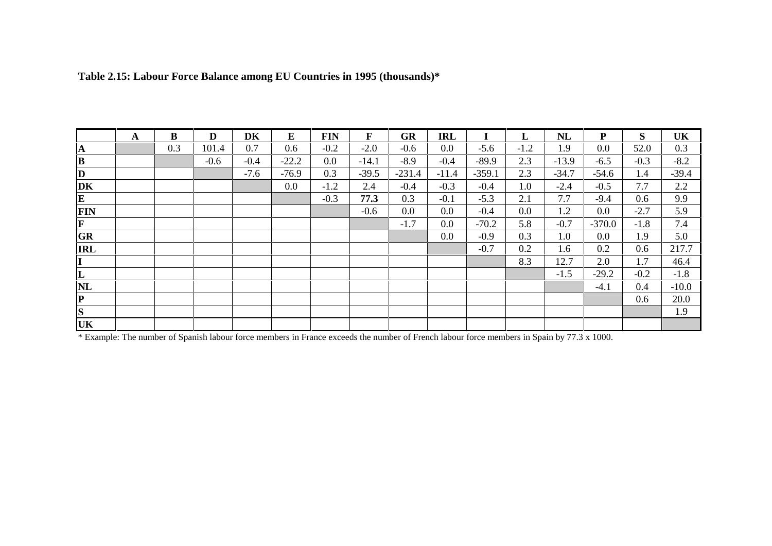| A | B   | D      | DK     | E       | <b>FIN</b> | $\mathbf{F}$ | <b>GR</b> | <b>IRL</b> |          | L      | NL      | ${\bf P}$ | S      | UK      |
|---|-----|--------|--------|---------|------------|--------------|-----------|------------|----------|--------|---------|-----------|--------|---------|
|   | 0.3 | 101.4  | 0.7    | 0.6     | $-0.2$     | $-2.0$       | $-0.6$    | 0.0        | $-5.6$   | $-1.2$ | 1.9     | 0.0       | 52.0   | 0.3     |
|   |     | $-0.6$ | $-0.4$ | $-22.2$ | $0.0\,$    | $-14.1$      | $-8.9$    | $-0.4$     | $-89.9$  | 2.3    | $-13.9$ | $-6.5$    | $-0.3$ | $-8.2$  |
|   |     |        | $-7.6$ | $-76.9$ | 0.3        | $-39.5$      | $-231.4$  | $-11.4$    | $-359.1$ | 2.3    | $-34.7$ | $-54.6$   | 1.4    | $-39.4$ |
|   |     |        |        | 0.0     | $-1.2$     | 2.4          | $-0.4$    | $-0.3$     | $-0.4$   | 1.0    | $-2.4$  | $-0.5$    | 7.7    | 2.2     |
|   |     |        |        |         | $-0.3$     | 77.3         | 0.3       | $-0.1$     | $-5.3$   | 2.1    | 7.7     | $-9.4$    | 0.6    | 9.9     |
|   |     |        |        |         |            | $-0.6$       | 0.0       | 0.0        | $-0.4$   | 0.0    | 1.2     | 0.0       | $-2.7$ | 5.9     |
|   |     |        |        |         |            |              | $-1.7$    | $0.0\,$    | $-70.2$  | 5.8    | $-0.7$  | $-370.0$  | $-1.8$ | 7.4     |
|   |     |        |        |         |            |              |           | 0.0        | $-0.9$   | 0.3    | 1.0     | 0.0       | 1.9    | 5.0     |
|   |     |        |        |         |            |              |           |            | $-0.7$   | 0.2    | 1.6     | 0.2       | 0.6    | 217.7   |
|   |     |        |        |         |            |              |           |            |          | 8.3    | 12.7    | 2.0       | 1.7    | 46.4    |
|   |     |        |        |         |            |              |           |            |          |        | $-1.5$  | $-29.2$   | $-0.2$ | $-1.8$  |
|   |     |        |        |         |            |              |           |            |          |        |         | $-4.1$    | 0.4    | $-10.0$ |
|   |     |        |        |         |            |              |           |            |          |        |         |           | 0.6    | 20.0    |
|   |     |        |        |         |            |              |           |            |          |        |         |           |        | 1.9     |
|   |     |        |        |         |            |              |           |            |          |        |         |           |        |         |

# **Table 2.15: Labour Force Balance among EU Countries in 1995 (thousands)\***

\* Example: The number of Spanish labour force members in France exceeds the number of French labour force members in Spain by 77.3 x 1000.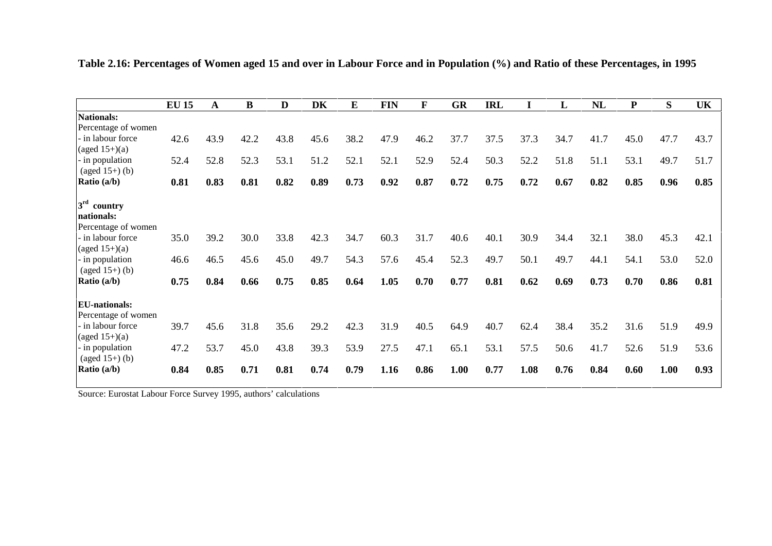|                      | <b>EU 15</b> | A    | $\bf{B}$ | D    | DK   | $\bf{E}$ | <b>FIN</b> | $\mathbf F$ | <b>GR</b> | <b>IRL</b> |      | L    | <b>NL</b> | ${\bf P}$ | S    | UK   |
|----------------------|--------------|------|----------|------|------|----------|------------|-------------|-----------|------------|------|------|-----------|-----------|------|------|
| Nationals:           |              |      |          |      |      |          |            |             |           |            |      |      |           |           |      |      |
| Percentage of women  |              |      |          |      |      |          |            |             |           |            |      |      |           |           |      |      |
| in labour force      | 42.6         | 43.9 | 42.2     | 43.8 | 45.6 | 38.2     | 47.9       | 46.2        | 37.7      | 37.5       | 37.3 | 34.7 | 41.7      | 45.0      | 47.7 | 43.7 |
| (aged $15+$ )(a)     |              |      |          |      |      |          |            |             |           |            |      |      |           |           |      |      |
| - in population      | 52.4         | 52.8 | 52.3     | 53.1 | 51.2 | 52.1     | 52.1       | 52.9        | 52.4      | 50.3       | 52.2 | 51.8 | 51.1      | 53.1      | 49.7 | 51.7 |
| $(aged 15+) (b)$     |              |      |          |      |      |          |            |             |           |            |      |      |           |           |      |      |
| Ratio (a/b)          | 0.81         | 0.83 | 0.81     | 0.82 | 0.89 | 0.73     | 0.92       | 0.87        | 0.72      | 0.75       | 0.72 | 0.67 | 0.82      | 0.85      | 0.96 | 0.85 |
| $3rd$ country        |              |      |          |      |      |          |            |             |           |            |      |      |           |           |      |      |
| nationals:           |              |      |          |      |      |          |            |             |           |            |      |      |           |           |      |      |
| Percentage of women  |              |      |          |      |      |          |            |             |           |            |      |      |           |           |      |      |
| - in labour force    | 35.0         | 39.2 | 30.0     | 33.8 | 42.3 | 34.7     | 60.3       | 31.7        | 40.6      | 40.1       | 30.9 | 34.4 | 32.1      | 38.0      | 45.3 | 42.1 |
| (aged $15+$ )(a)     |              |      |          |      |      |          |            |             |           |            |      |      |           |           |      |      |
| - in population      | 46.6         | 46.5 | 45.6     | 45.0 | 49.7 | 54.3     | 57.6       | 45.4        | 52.3      | 49.7       | 50.1 | 49.7 | 44.1      | 54.1      | 53.0 | 52.0 |
| $(aged 15+) (b)$     |              |      |          |      |      |          |            |             |           |            |      |      |           |           |      |      |
| Ratio (a/b)          | 0.75         | 0.84 | 0.66     | 0.75 | 0.85 | 0.64     | 1.05       | 0.70        | 0.77      | 0.81       | 0.62 | 0.69 | 0.73      | 0.70      | 0.86 | 0.81 |
| <b>EU-nationals:</b> |              |      |          |      |      |          |            |             |           |            |      |      |           |           |      |      |
| Percentage of women  |              |      |          |      |      |          |            |             |           |            |      |      |           |           |      |      |
| - in labour force    | 39.7         | 45.6 | 31.8     | 35.6 | 29.2 | 42.3     | 31.9       | 40.5        | 64.9      | 40.7       | 62.4 | 38.4 | 35.2      | 31.6      | 51.9 | 49.9 |
| (aged $15+$ )(a)     |              |      |          |      |      |          |            |             |           |            |      |      |           |           |      |      |
| - in population      | 47.2         | 53.7 | 45.0     | 43.8 | 39.3 | 53.9     | 27.5       | 47.1        | 65.1      | 53.1       | 57.5 | 50.6 | 41.7      | 52.6      | 51.9 | 53.6 |
| $(aged 15+) (b)$     |              |      |          |      |      |          |            |             |           |            |      |      |           |           |      |      |
| Ratio (a/b)          | 0.84         | 0.85 | 0.71     | 0.81 | 0.74 | 0.79     | 1.16       | 0.86        | 1.00      | 0.77       | 1.08 | 0.76 | 0.84      | 0.60      | 1.00 | 0.93 |
|                      |              |      |          |      |      |          |            |             |           |            |      |      |           |           |      |      |

**Table 2.16: Percentages of Women aged 15 and over in Labour Force and in Population (%) and Ratio of these Percentages, in 1995**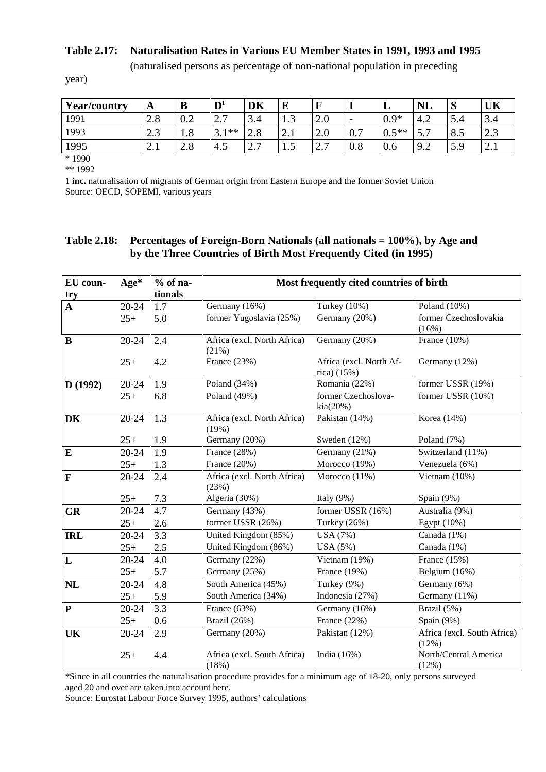#### **Table 2.17: Naturalisation Rates in Various EU Member States in 1991, 1993 and 1995**

(naturalised persons as percentage of non-national population in preceding

year)

| <b>Year/country</b> | A                  | B   | $\mathbf{D}^1$         | DK                    | E                      | F          |                          | ┻       | <b>NL</b>                                         | $\sim$<br>D | UK                     |
|---------------------|--------------------|-----|------------------------|-----------------------|------------------------|------------|--------------------------|---------|---------------------------------------------------|-------------|------------------------|
| 1991                | 2.8                | 0.2 | $\gamma$ $\tau$<br>، ۱ | 3.4                   | 1.J                    | 2.0        | $\overline{\phantom{0}}$ | $0.9*$  | 4.2                                               | E<br>5.4    | $\sim$<br>3.4          |
| 1993                | $2^{\circ}$<br>ل ک | 1.8 | $3.1**$                | 2.8                   | ◠<br>$\mathcal{L}$ . 1 | 2.0        | 0.7                      | $0.5**$ | $\overline{r}$<br>$\overline{\phantom{0}}$<br>، ب | 8.5         | $\Omega$<br>د.ء        |
| 1995                | ∠.⊥                | 2.8 | 4.5                    | $\overline{ }$<br>ر . | $\cdot$ $\cdot$        | n 7<br>، ، | 0.8                      | 0.6     | 9.2                                               | 50<br>ر.ر   | ◠<br>$\mathcal{L}$ . 1 |
| $*1990$             |                    |     |                        |                       |                        |            |                          |         |                                                   |             |                        |

\*\* 1992

1 **inc.** naturalisation of migrants of German origin from Eastern Europe and the former Soviet Union Source: OECD, SOPEMI, various years

## **Table 2.18: Percentages of Foreign-Born Nationals (all nationals = 100%), by Age and by the Three Countries of Birth Most Frequently Cited (in 1995)**

| EU coun-            | Age*      | $%$ of na-<br>tionals |                                      | Most frequently cited countries of birth |                                      |
|---------------------|-----------|-----------------------|--------------------------------------|------------------------------------------|--------------------------------------|
| try<br>$\mathbf{A}$ | 20-24     | 1.7                   | Germany (16%)                        | Turkey (10%)                             | Poland (10%)                         |
|                     | $25+$     | 5.0                   | former Yugoslavia (25%)              | Germany (20%)                            | former Czechoslovakia<br>(16%)       |
| $\bf{B}$            | $20 - 24$ | 2.4                   | Africa (excl. North Africa)<br>(21%) | Germany (20%)                            | France (10%)                         |
|                     | $25+$     | 4.2                   | France (23%)                         | Africa (excl. North Af-<br>rica) (15%)   | Germany (12%)                        |
| D(1992)             | 20-24     | 1.9                   | Poland $(34%)$                       | Romania (22%)                            | former USSR (19%)                    |
|                     | $25+$     | 6.8                   | Poland (49%)                         | former Czechoslova-<br>kia(20%)          | former USSR (10%)                    |
| DK                  | 20-24     | 1.3                   | Africa (excl. North Africa)<br>(19%) | Pakistan (14%)                           | Korea (14%)                          |
|                     | $25+$     | 1.9                   | Germany (20%)                        | Sweden (12%)                             | Poland (7%)                          |
| E                   | 20-24     | 1.9                   | France (28%)                         | Germany (21%)                            | Switzerland (11%)                    |
|                     | $25+$     | 1.3                   | France (20%)                         | Morocco (19%)                            | Venezuela (6%)                       |
| F                   | 20-24     | 2.4                   | Africa (excl. North Africa)<br>(23%) | Morocco $(11%)$                          | Vietnam $(10\%)$                     |
|                     | $25+$     | 7.3                   | Algeria (30%)                        | Italy $(9\%)$                            | Spain (9%)                           |
| <b>GR</b>           | 20-24     | 4.7                   | Germany (43%)                        | former USSR (16%)                        | Australia (9%)                       |
|                     | $25+$     | 2.6                   | former USSR (26%)                    | Turkey (26%)                             | Egypt $(10\%)$                       |
| <b>IRL</b>          | 20-24     | 3.3                   | United Kingdom (85%)                 | USA (7%)                                 | Canada (1%)                          |
|                     | $25+$     | 2.5                   | United Kingdom (86%)                 | USA (5%)                                 | Canada (1%)                          |
| L                   | $20 - 24$ | 4.0                   | Germany (22%)                        | Vietnam (19%)                            | France $(15%)$                       |
|                     | $25+$     | 5.7                   | Germany (25%)                        | France (19%)                             | Belgium (16%)                        |
| NL                  | 20-24     | 4.8                   | South America (45%)                  | Turkey (9%)                              | Germany (6%)                         |
|                     | $25+$     | 5.9                   | South America (34%)                  | Indonesia (27%)                          | Germany (11%)                        |
| ${\bf P}$           | 20-24     | 3.3                   | France (63%)                         | Germany (16%)                            | Brazil (5%)                          |
|                     | $25+$     | 0.6                   | Brazil (26%)                         | France (22%)                             | Spain (9%)                           |
| <b>UK</b>           | 20-24     | 2.9                   | Germany (20%)                        | Pakistan (12%)                           | Africa (excl. South Africa)<br>(12%) |
|                     | $25+$     | 4.4                   | Africa (excl. South Africa)<br>(18%) | India $(16\%)$                           | North/Central America<br>(12%)       |

\*Since in all countries the naturalisation procedure provides for a minimum age of 18-20, only persons surveyed aged 20 and over are taken into account here.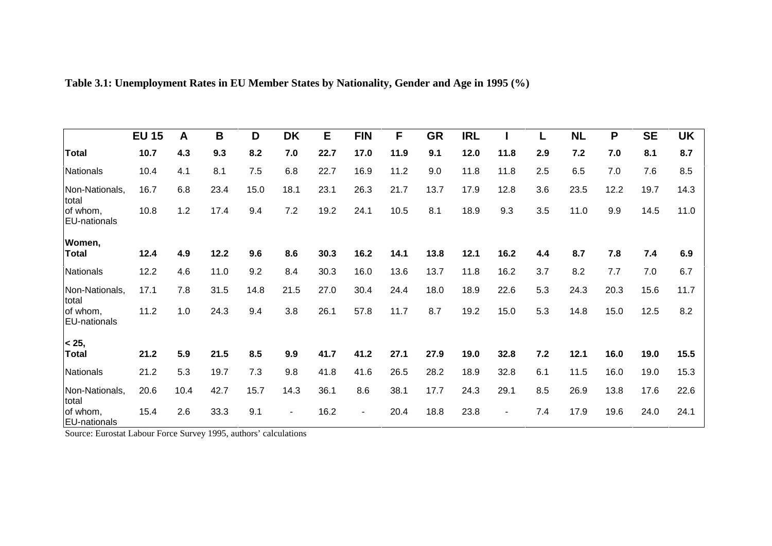|                                 | <b>EU 15</b> | A    | B    | D    | <b>DK</b>      | Е    | <b>FIN</b>     | F    | <b>GR</b> | <b>IRL</b> |        | L   | <b>NL</b> | P    | <b>SE</b> | <b>UK</b> |
|---------------------------------|--------------|------|------|------|----------------|------|----------------|------|-----------|------------|--------|-----|-----------|------|-----------|-----------|
| <b>Total</b>                    | 10.7         | 4.3  | 9.3  | 8.2  | 7.0            | 22.7 | 17.0           | 11.9 | 9.1       | 12.0       | 11.8   | 2.9 | 7.2       | 7.0  | 8.1       | 8.7       |
| Nationals                       | 10.4         | 4.1  | 8.1  | 7.5  | 6.8            | 22.7 | 16.9           | 11.2 | 9.0       | 11.8       | 11.8   | 2.5 | 6.5       | 7.0  | 7.6       | 8.5       |
| Non-Nationals,<br>total         | 16.7         | 6.8  | 23.4 | 15.0 | 18.1           | 23.1 | 26.3           | 21.7 | 13.7      | 17.9       | 12.8   | 3.6 | 23.5      | 12.2 | 19.7      | 14.3      |
| of whom,<br><b>EU-nationals</b> | 10.8         | 1.2  | 17.4 | 9.4  | 7.2            | 19.2 | 24.1           | 10.5 | 8.1       | 18.9       | 9.3    | 3.5 | 11.0      | 9.9  | 14.5      | 11.0      |
| Women,                          |              |      |      |      |                |      |                |      |           |            |        |     |           |      |           |           |
| <b>Total</b>                    | 12.4         | 4.9  | 12.2 | 9.6  | 8.6            | 30.3 | 16.2           | 14.1 | 13.8      | 12.1       | 16.2   | 4.4 | 8.7       | 7.8  | 7.4       | 6.9       |
| Nationals                       | 12.2         | 4.6  | 11.0 | 9.2  | 8.4            | 30.3 | 16.0           | 13.6 | 13.7      | 11.8       | 16.2   | 3.7 | 8.2       | 7.7  | 7.0       | 6.7       |
| Non-Nationals,<br>total         | 17.1         | 7.8  | 31.5 | 14.8 | 21.5           | 27.0 | 30.4           | 24.4 | 18.0      | 18.9       | 22.6   | 5.3 | 24.3      | 20.3 | 15.6      | 11.7      |
| of whom,<br><b>EU-nationals</b> | 11.2         | 1.0  | 24.3 | 9.4  | 3.8            | 26.1 | 57.8           | 11.7 | 8.7       | 19.2       | 15.0   | 5.3 | 14.8      | 15.0 | 12.5      | 8.2       |
| < 25,                           |              |      |      |      |                |      |                |      |           |            |        |     |           |      |           |           |
| Total                           | 21.2         | 5.9  | 21.5 | 8.5  | 9.9            | 41.7 | 41.2           | 27.1 | 27.9      | 19.0       | 32.8   | 7.2 | 12.1      | 16.0 | 19.0      | 15.5      |
| Nationals                       | 21.2         | 5.3  | 19.7 | 7.3  | 9.8            | 41.8 | 41.6           | 26.5 | 28.2      | 18.9       | 32.8   | 6.1 | 11.5      | 16.0 | 19.0      | 15.3      |
| Non-Nationals,<br>total         | 20.6         | 10.4 | 42.7 | 15.7 | 14.3           | 36.1 | 8.6            | 38.1 | 17.7      | 24.3       | 29.1   | 8.5 | 26.9      | 13.8 | 17.6      | 22.6      |
| of whom,<br><b>EU-nationals</b> | 15.4         | 2.6  | 33.3 | 9.1  | $\blacksquare$ | 16.2 | $\blacksquare$ | 20.4 | 18.8      | 23.8       | $\sim$ | 7.4 | 17.9      | 19.6 | 24.0      | 24.1      |

**Table 3.1: Unemployment Rates in EU Member States by Nationality, Gender and Age in 1995 (%)**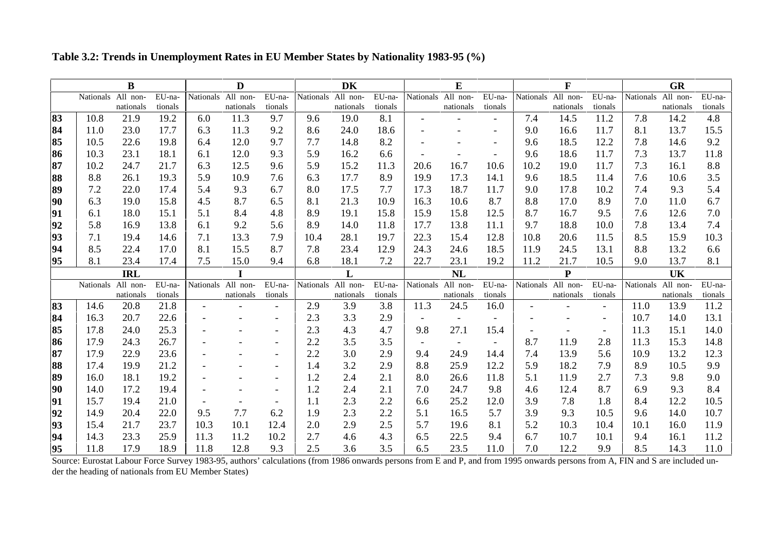|    |                    | B          |         |                    | D                  |                          |      | <b>DK</b>          |         |           | E                  |                          |      | $\mathbf{F}$       |                          |      | <b>GR</b>          |         |
|----|--------------------|------------|---------|--------------------|--------------------|--------------------------|------|--------------------|---------|-----------|--------------------|--------------------------|------|--------------------|--------------------------|------|--------------------|---------|
|    | Nationals All non- |            | EU-na-  | Nationals All non- |                    | EU-na-                   |      | Nationals All non- | EU-na-  |           | Nationals All non- | EU-na-                   |      | Nationals All non- | EU-na-                   |      | Nationals All non- | EU-na-  |
|    |                    | nationals  | tionals |                    | nationals          | tionals                  |      | nationals          | tionals |           | nationals          | tionals                  |      | nationals          | tionals                  |      | nationals          | tionals |
| 83 | 10.8               | 21.9       | 19.2    | 6.0                | 11.3               | 9.7                      | 9.6  | 19.0               | 8.1     |           |                    |                          | 7.4  | 14.5               | 11.2                     | 7.8  | 14.2               | 4.8     |
| 84 | 11.0               | 23.0       | 17.7    | 6.3                | 11.3               | 9.2                      | 8.6  | 24.0               | 18.6    |           |                    |                          | 9.0  | 16.6               | 11.7                     | 8.1  | 13.7               | 15.5    |
| 85 | 10.5               | 22.6       | 19.8    | 6.4                | 12.0               | 9.7                      | 7.7  | 14.8               | 8.2     |           |                    |                          | 9.6  | 18.5               | 12.2                     | 7.8  | 14.6               | 9.2     |
| 86 | 10.3               | 23.1       | 18.1    | 6.1                | 12.0               | 9.3                      | 5.9  | 16.2               | 6.6     |           |                    |                          | 9.6  | 18.6               | 11.7                     | 7.3  | 13.7               | 11.8    |
| 87 | 10.2               | 24.7       | 21.7    | 6.3                | 12.5               | 9.6                      | 5.9  | 15.2               | 11.3    | 20.6      | 16.7               | 10.6                     | 10.2 | 19.0               | 11.7                     | 7.3  | 16.1               | 8.8     |
| 88 | 8.8                | 26.1       | 19.3    | 5.9                | 10.9               | 7.6                      | 6.3  | 17.7               | 8.9     | 19.9      | 17.3               | 14.1                     | 9.6  | 18.5               | 11.4                     | 7.6  | 10.6               | 3.5     |
| 89 | 7.2                | 22.0       | 17.4    | 5.4                | 9.3                | 6.7                      | 8.0  | 17.5               | 7.7     | 17.3      | 18.7               | 11.7                     | 9.0  | 17.8               | 10.2                     | 7.4  | 9.3                | 5.4     |
| 90 | 6.3                | 19.0       | 15.8    | 4.5                | 8.7                | 6.5                      | 8.1  | 21.3               | 10.9    | 16.3      | 10.6               | 8.7                      | 8.8  | 17.0               | 8.9                      | 7.0  | 11.0               | 6.7     |
| 91 | 6.1                | 18.0       | 15.1    | 5.1                | 8.4                | 4.8                      | 8.9  | 19.1               | 15.8    | 15.9      | 15.8               | 12.5                     | 8.7  | 16.7               | 9.5                      | 7.6  | 12.6               | 7.0     |
| 92 | 5.8                | 16.9       | 13.8    | 6.1                | 9.2                | 5.6                      | 8.9  | 14.0               | 11.8    | 17.7      | 13.8               | 11.1                     | 9.7  | 18.8               | 10.0                     | 7.8  | 13.4               | 7.4     |
| 93 | 7.1                | 19.4       | 14.6    | 7.1                | 13.3               | 7.9                      | 10.4 | 28.1               | 19.7    | 22.3      | 15.4               | 12.8                     | 10.8 | 20.6               | 11.5                     | 8.5  | 15.9               | 10.3    |
| 94 | 8.5                | 22.4       | 17.0    | 8.1                | 15.5               | 8.7                      | 7.8  | 23.4               | 12.9    | 24.3      | 24.6               | 18.5                     | 11.9 | 24.5               | 13.1                     | 8.8  | 13.2               | 6.6     |
| 95 | 8.1                | 23.4       | 17.4    | 7.5                | 15.0               | 9.4                      | 6.8  | 18.1               | 7.2     | 22.7      | 23.1               | 19.2                     | 11.2 | 21.7               | 10.5                     | 9.0  | 13.7               | 8.1     |
|    |                    | <b>IRL</b> |         |                    |                    |                          |      | L                  |         |           | NL                 |                          |      | $\mathbf{P}$       |                          |      | UK                 |         |
|    | Nationals All non- |            | EU-na-  |                    | Nationals All non- | EU-na-                   |      | Nationals All non- | EU-na-  | Nationals | All non-           | EU-na-                   |      | Nationals All non- | EU-na-                   |      | Nationals All non- | EU-na-  |
|    |                    | nationals  | tionals |                    | nationals          | tionals                  |      | nationals          | tionals |           | nationals          | tionals                  |      | nationals          | tionals                  |      | nationals          | tionals |
| 83 | 14.6               | 20.8       | 21.8    |                    |                    |                          | 2.9  | 3.9                | 3.8     | 11.3      | 24.5               | 16.0                     |      |                    |                          | 11.0 | 13.9               | 11.2    |
| 84 | 16.3               | 20.7       | 22.6    |                    |                    |                          | 2.3  | 3.3                | 2.9     |           |                    |                          |      |                    |                          | 10.7 | 14.0               | 13.1    |
| 85 | 17.8               | 24.0       | 25.3    |                    |                    |                          | 2.3  | 4.3                | 4.7     | 9.8       | 27.1               | 15.4                     |      |                    | $\overline{\phantom{a}}$ | 11.3 | 15.1               | 14.0    |
| 86 | 17.9               | 24.3       | 26.7    |                    |                    |                          | 2.2  | 3.5                | 3.5     |           |                    | $\overline{\phantom{a}}$ | 8.7  | 11.9               | 2.8                      | 11.3 | 15.3               | 14.8    |
| 87 | 17.9               | 22.9       | 23.6    |                    |                    |                          | 2.2  | 3.0                | 2.9     | 9.4       | 24.9               | 14.4                     | 7.4  | 13.9               | 5.6                      | 10.9 | 13.2               | 12.3    |
| 88 | 17.4               | 19.9       | 21.2    |                    |                    |                          | 1.4  | 3.2                | 2.9     | 8.8       | 25.9               | 12.2                     | 5.9  | 18.2               | 7.9                      | 8.9  | 10.5               | 9.9     |
| 89 | 16.0               | 18.1       | 19.2    |                    |                    |                          | 1.2  | 2.4                | 2.1     | 8.0       | 26.6               | 11.8                     | 5.1  | 11.9               | 2.7                      | 7.3  | 9.8                | 9.0     |
| 90 | 14.0               | 17.2       | 19.4    |                    |                    |                          | 1.2  | 2.4                | 2.1     | 7.0       | 24.7               | 9.8                      | 4.6  | 12.4               | 8.7                      | 6.9  | 9.3                | 8.4     |
| 91 | 15.7               | 19.4       | 21.0    |                    |                    | $\overline{\phantom{0}}$ | 1.1  | 2.3                | 2.2     | 6.6       | 25.2               | 12.0                     | 3.9  | 7.8                | 1.8                      | 8.4  | 12.2               | 10.5    |
| 92 | 14.9               | 20.4       | 22.0    | 9.5                | 7.7                | 6.2                      | 1.9  | 2.3                | 2.2     | 5.1       | 16.5               | 5.7                      | 3.9  | 9.3                | 10.5                     | 9.6  | 14.0               | 10.7    |
| 93 | 15.4               | 21.7       | 23.7    | 10.3               | 10.1               | 12.4                     | 2.0  | 2.9                | 2.5     | 5.7       | 19.6               | 8.1                      | 5.2  | 10.3               | 10.4                     | 10.1 | 16.0               | 11.9    |
| 94 | 14.3               | 23.3       | 25.9    | 11.3               | 11.2               | 10.2                     | 2.7  | 4.6                | 4.3     | 6.5       | 22.5               | 9.4                      | 6.7  | 10.7               | 10.1                     | 9.4  | 16.1               | 11.2    |
| 95 | 11.8               | 17.9       | 18.9    | 11.8               | 12.8               | 9.3                      | 2.5  | 3.6                | 3.5     | 6.5       | 23.5               | 11.0                     | 7.0  | 12.2               | 9.9                      | 8.5  | 14.3               | 11.0    |

**Table 3.2: Trends in Unemployment Rates in EU Member States by Nationality 1983-95 (%)**

Source: Eurostat Labour Force Survey 1983-95, authors' calculations (from 1986 onwards persons from E and P, and from 1995 onwards persons from A, FIN and S are included under the heading of nationals from EU Member States)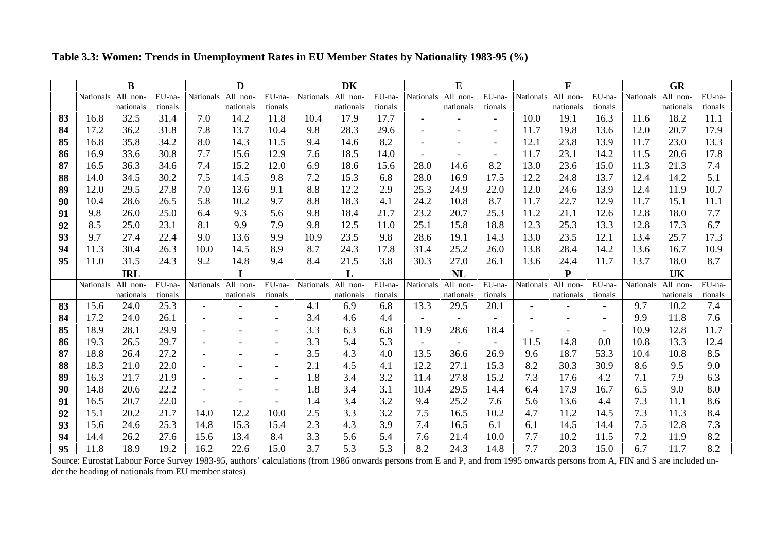**Table 3.3: Women: Trends in Unemployment Rates in EU Member States by Nationality 1983-95 (%)**

|    |                    | B                  |         |      | D                  |         |                    | <b>DK</b>  |            |                    | E                        |                          |                    | F         |                          |                  | <b>GR</b> |            |
|----|--------------------|--------------------|---------|------|--------------------|---------|--------------------|------------|------------|--------------------|--------------------------|--------------------------|--------------------|-----------|--------------------------|------------------|-----------|------------|
|    | Nationals All non- |                    | EU-na-  |      | Nationals All non- | EU-na-  | Nationals All non- |            | EU-na-     | Nationals All non- |                          | EU-na-                   | Nationals All non- |           | EU-na-                   | Nationals        | All non-  | EU-na-     |
|    |                    | nationals          | tionals |      | nationals          | tionals |                    | nationals  | tionals    |                    | nationals                | tionals                  |                    | nationals | tionals                  |                  | nationals | tionals    |
| 83 | 16.8               | 32.5               | 31.4    | 7.0  | 14.2               | 11.8    | 10.4               | 17.9       | 17.7       |                    |                          |                          | 10.0               | 19.1      | 16.3                     | 11.6             | 18.2      | 11.1       |
| 84 | 17.2               | 36.2               | 31.8    | 7.8  | 13.7               | 10.4    | 9.8                | 28.3       | 29.6       |                    |                          |                          | 11.7               | 19.8      | 13.6                     | 12.0             | 20.7      | 17.9       |
| 85 | 16.8               | 35.8               | 34.2    | 8.0  | 14.3               | 11.5    | 9.4                | 14.6       | 8.2        |                    |                          | $\overline{\phantom{0}}$ | 12.1               | 23.8      | 13.9                     | 11.7             | 23.0      | 13.3       |
| 86 | 16.9               | 33.6               | 30.8    | 7.7  | 15.6               | 12.9    | 7.6                | 18.5       | 14.0       |                    |                          | $\overline{\phantom{a}}$ | 11.7               | 23.1      | 14.2                     | 11.5             | 20.6      | 17.8       |
| 87 | 16.5               | 36.3               | 34.6    | 7.4  | 15.2               | 12.0    | 6.9                | 18.6       | 15.6       | 28.0               | 14.6                     | 8.2                      | 13.0               | 23.6      | 15.0                     | 11.3             | 21.3      | 7.4        |
| 88 | 14.0               | 34.5               | 30.2    | 7.5  | 14.5               | 9.8     | 7.2                | 15.3       | 6.8        | 28.0               | 16.9                     | 17.5                     | 12.2               | 24.8      | 13.7                     | 12.4             | 14.2      | 5.1        |
| 89 | 12.0               | 29.5               | 27.8    | 7.0  | 13.6               | 9.1     | 8.8                | 12.2       | 2.9        | 25.3               | 24.9                     | 22.0                     | 12.0               | 24.6      | 13.9                     | 12.4             | 11.9      | 10.7       |
| 90 | 10.4               | 28.6               | 26.5    | 5.8  | 10.2               | 9.7     | 8.8                | 18.3       | 4.1        | 24.2               | 10.8                     | 8.7                      | 11.7               | 22.7      | 12.9                     | 11.7             | 15.1      | 11.1       |
| 91 | 9.8                | 26.0               | 25.0    | 6.4  | 9.3                | 5.6     | 9.8                | 18.4       | 21.7       | 23.2               | 20.7                     | 25.3                     | 11.2               | 21.1      | 12.6                     | 12.8             | 18.0      | 7.7        |
| 92 | 8.5                | 25.0               | 23.1    | 8.1  | 9.9                | 7.9     | 9.8                | 12.5       | 11.0       | 25.1               | 15.8                     | 18.8                     | 12.3               | 25.3      | 13.3                     | 12.8             | 17.3      | 6.7        |
| 93 | 9.7                | 27.4               | 22.4    | 9.0  | 13.6               | 9.9     | 10.9               | 23.5       | 9.8        | 28.6               | 19.1                     | 14.3                     | 13.0               | 23.5      | 12.1                     | 13.4             | 25.7      | 17.3       |
| 94 | 11.3               | 30.4               | 26.3    | 10.0 | 14.5               | 8.9     | 8.7                | 24.3       | 17.8       | 31.4               | 25.2                     | 26.0                     | 13.8               | 28.4      | 14.2                     | 13.6             | 16.7      | 10.9       |
| 95 | 11.0               | 31.5               | 24.3    | 9.2  | 14.8               | 9.4     | 8.4                | 21.5       | 3.8        | 30.3               | 27.0                     | 26.1                     | 13.6               | 24.4      | 11.7                     | 13.7             | 18.0      | 8.7        |
|    |                    | <b>IRL</b>         |         |      |                    |         |                    | L          |            |                    | <b>NL</b>                |                          |                    | P         |                          |                  | UK        |            |
|    |                    | Nationals All non- | EU-na-  |      | Nationals All non- | EU-na-  | Nationals All non- |            | EU-na-     | <b>Nationals</b>   | All non-                 | EU-na-                   | <b>Nationals</b>   | All non-  | EU-na-                   | <b>Nationals</b> | All non-  | EU-na-     |
|    |                    | nationals          | tionals |      | nationals          | tionals |                    | nationals  | tionals    |                    | nationals                | tionals                  |                    | nationals | tionals                  |                  | nationals | tionals    |
| 83 | 15.6               | 24.0               | 25.3    |      |                    |         | 4.1                | 6.9        | 6.8        | 13.3               | 29.5                     | 20.1                     |                    |           |                          | 9.7              | 10.2      | 7.4        |
| 84 | 17.2               | 24.0               | 26.1    |      |                    |         | 3.4                | 4.6        | 4.4        |                    |                          |                          |                    |           | $\overline{\phantom{a}}$ | 9.9              | 11.8      | 7.6        |
| 85 | 18.9               | 28.1               | 29.9    |      |                    |         | 3.3                | 6.3        | 6.8        | 11.9               | 28.6                     | 18.4                     |                    |           | $\overline{\phantom{a}}$ | 10.9             | 12.8      | 11.7       |
| 86 | 19.3               | 26.5               | 29.7    |      |                    |         | 3.3                | 5.4        | 5.3        |                    | $\overline{\phantom{a}}$ | $\overline{\phantom{a}}$ | 11.5               | 14.8      | 0.0                      | 10.8             | 13.3      | 12.4       |
| 87 | 18.8               | 26.4               | 27.2    |      |                    |         | 3.5                | 4.3        | 4.0        | 13.5               | 36.6                     | 26.9                     | 9.6                | 18.7      | 53.3                     | 10.4             | 10.8      | 8.5        |
| 88 | 18.3               | 21.0               | 22.0    |      |                    |         | 2.1                | 4.5        | 4.1        | 12.2               | 27.1                     | 15.3                     | 8.2                | 30.3      | 30.9                     | 8.6              | 9.5       | 9.0        |
| 89 | 16.3               | 21.7               | 21.9    |      |                    |         | 1.8                | 3.4        | 3.2        | 11.4               | 27.8                     | 15.2                     | 7.3                | 17.6      | 4.2                      | 7.1              | 7.9       | 6.3        |
| 90 | 14.8               | 20.6               | 22.2    |      |                    |         | 1.8                | 3.4        | 3.1        | 10.4               | 29.5                     | 14.4                     | 6.4                | 17.9      | 16.7                     | 6.5              | 9.0       | 8.0        |
| 91 | 16.5               | 20.7               | 22.0    |      |                    |         | 1.4                | 3.4        | 3.2        | 9.4                | 25.2                     | 7.6                      | 5.6                | 13.6      | 4.4                      | 7.3              | 11.1      | 8.6        |
| 92 | 15.1               | 20.2               | 21.7    | 14.0 | 12.2               | 10.0    | 2.5                | 3.3        | 3.2        | 7.5                | 16.5                     | 10.2                     | 4.7                | 11.2      | 14.5                     | 7.3              | 11.3      | 8.4        |
| 93 |                    |                    |         |      |                    |         |                    |            |            |                    |                          | 6.1                      | 6.1                | 14.5      | 14.4                     |                  | 12.8      | 7.3        |
|    | 15.6               | 24.6               | 25.3    | 14.8 | 15.3               | 15.4    | 2.3                | 4.3        | 3.9        | 7.4                | 16.5                     |                          |                    |           |                          | 7.5              |           |            |
| 94 | 14.4               | 26.2               | 27.6    | 15.6 | 13.4               | 8.4     | 3.3                | 5.6<br>5.3 | 5.4<br>5.3 | 7.6                | 21.4                     | 10.0                     | 7.7                | 10.2      | 11.5                     | 7.2              | 11.9      | 8.2<br>8.2 |

Source: Eurostat Labour Force Survey 1983-95, authors' calculations (from 1986 onwards persons from E and P, and from 1995 onwards persons from A, FIN and S are included under the heading of nationals from EU member states)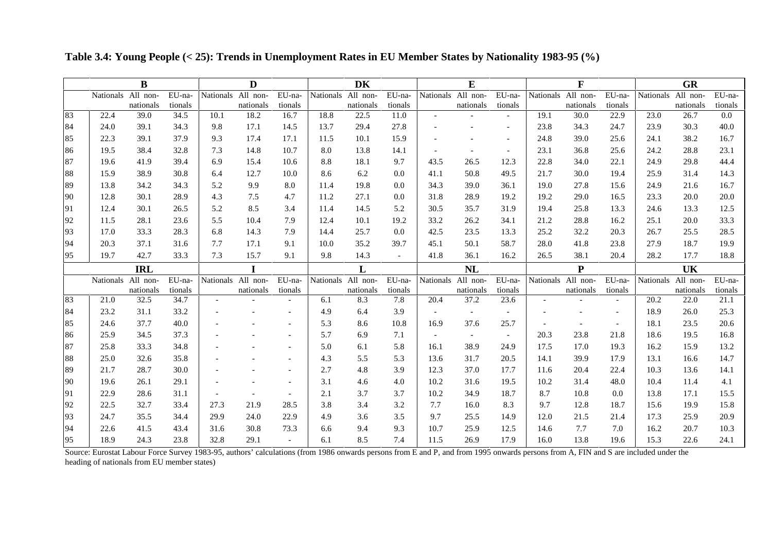|     |                    | $\bf{B}$   |         |           | D                  |                          |           | DK                 |         |                          | E                        |                          |                  | $\mathbf F$ |                          |                  | GR        |         |
|-----|--------------------|------------|---------|-----------|--------------------|--------------------------|-----------|--------------------|---------|--------------------------|--------------------------|--------------------------|------------------|-------------|--------------------------|------------------|-----------|---------|
|     | Nationals All non- |            | EU-na-  | Nationals | All non-           | EU-na-                   | Nationals | All non-           | EU-na-  | Nationals                | All non-                 | EU-na-                   | Nationals        | All non-    | EU-na-                   | <b>Nationals</b> | All non-  | EU-na-  |
|     |                    | nationals  | tionals |           | nationals          | tionals                  |           | nationals          | tionals |                          | nationals                | tionals                  |                  | nationals   | tionals                  |                  | nationals | tionals |
| 83  | 22.4               | 39.0       | 34.5    | 10.1      | 18.2               | 16.7                     | 18.8      | 22.5               | 11.0    |                          |                          |                          | 19.1             | 30.0        | 22.9                     | 23.0             | 26.7      | $0.0\,$ |
| 84  | 24.0               | 39.1       | 34.3    | 9.8       | 17.1               | 14.5                     | 13.7      | 29.4               | 27.8    |                          |                          |                          | 23.8             | 34.3        | 24.7                     | 23.9             | 30.3      | 40.0    |
| 85  | 22.3               | 39.1       | 37.9    | 9.3       | 17.4               | 17.1                     | 11.5      | 10.1               | 15.9    |                          |                          | $\overline{\phantom{a}}$ | 24.8             | 39.0        | 25.6                     | 24.1             | 38.2      | 16.7    |
| 86  | 19.5               | 38.4       | 32.8    | 7.3       | 14.8               | 10.7                     | 8.0       | 13.8               | 14.1    |                          |                          | $\overline{\phantom{a}}$ | 23.1             | 36.8        | 25.6                     | 24.2             | 28.8      | 23.1    |
| 87  | 19.6               | 41.9       | 39.4    | 6.9       | 15.4               | 10.6                     | 8.8       | 18.1               | 9.7     | 43.5                     | 26.5                     | 12.3                     | 22.8             | 34.0        | 22.1                     | 24.9             | 29.8      | 44.4    |
| 88  | 15.9               | 38.9       | 30.8    | 6.4       | 12.7               | 10.0                     | 8.6       | 6.2                | 0.0     | 41.1                     | 50.8                     | 49.5                     | 21.7             | 30.0        | 19.4                     | 25.9             | 31.4      | 14.3    |
| 89  | 13.8               | 34.2       | 34.3    | 5.2       | 9.9                | 8.0                      | 11.4      | 19.8               | 0.0     | 34.3                     | 39.0                     | 36.1                     | 19.0             | 27.8        | 15.6                     | 24.9             | 21.6      | 16.7    |
| 90  | 12.8               | 30.1       | 28.9    | 4.3       | 7.5                | 4.7                      | 11.2      | 27.1               | 0.0     | 31.8                     | 28.9                     | 19.2                     | 19.2             | 29.0        | 16.5                     | 23.3             | 20.0      | 20.0    |
| 91  | 12.4               | 30.1       | 26.5    | 5.2       | 8.5                | 3.4                      | 11.4      | 14.5               | 5.2     | 30.5                     | 35.7                     | 31.9                     | 19.4             | 25.8        | 13.3                     | 24.6             | 13.3      | 12.5    |
| 92  | 11.5               | 28.1       | 23.6    | 5.5       | 10.4               | 7.9                      | 12.4      | 10.1               | 19.2    | 33.2                     | 26.2                     | 34.1                     | 21.2             | 28.8        | 16.2                     | 25.1             | 20.0      | 33.3    |
| 93  | 17.0               | 33.3       | 28.3    | 6.8       | 14.3               | 7.9                      | 14.4      | 25.7               | 0.0     | 42.5                     | 23.5                     | 13.3                     | 25.2             | 32.2        | 20.3                     | 26.7             | 25.5      | 28.5    |
| -94 | 20.3               | 37.1       | 31.6    | 7.7       | 17.1               | 9.1                      | 10.0      | 35.2               | 39.7    | 45.1                     | 50.1                     | 58.7                     | 28.0             | 41.8        | 23.8                     | 27.9             | 18.7      | 19.9    |
| 95  | 19.7               | 42.7       | 33.3    | 7.3       | 15.7               | 9.1                      | 9.8       | 14.3               |         | 41.8                     | 36.1                     | 16.2                     | 26.5             | 38.1        | 20.4                     | 28.2             | 17.7      | 18.8    |
|     |                    | <b>IRL</b> |         |           | I                  |                          |           | L                  |         |                          | <b>NL</b>                |                          |                  | ${\bf P}$   |                          |                  | <b>UK</b> |         |
|     | Nationals All non- |            | EU-na-  |           | Nationals All non- | EU-na-                   |           | Nationals All non- | EU-na-  | Nationals                | All non-                 | EU-na-                   | <b>Nationals</b> | All non-    | EU-na-                   | Nationals        | All non-  | EU-na-  |
|     |                    |            |         |           |                    |                          |           |                    |         |                          |                          |                          |                  |             |                          |                  |           |         |
|     |                    | nationals  | tionals |           | nationals          | tionals                  |           | nationals          | tionals |                          | nationals                | tionals                  |                  | nationals   | tionals                  |                  | nationals | tionals |
| 83  | 21.0               | 32.5       | 34.7    |           |                    |                          | 6.1       | 8.3                | 7.8     | 20.4                     | 37.2                     | 23.6                     |                  |             |                          | 20.2             | 22.0      | 21.1    |
| 84  | 23.2               | 31.1       | 33.2    |           |                    |                          | 4.9       | 6.4                | 3.9     |                          | $\overline{\phantom{a}}$ |                          |                  |             | $\overline{\phantom{a}}$ | 18.9             | 26.0      | 25.3    |
| 85  | 24.6               | 37.7       | 40.0    |           |                    |                          | 5.3       | 8.6                | 10.8    | 16.9                     | 37.6                     | 25.7                     |                  |             | $\overline{\phantom{a}}$ | 18.1             | 23.5      | 20.6    |
| 86  | 25.9               | 34.5       | 37.3    |           |                    |                          | 5.7       | 6.9                | 7.1     | $\overline{\phantom{a}}$ | $\overline{\phantom{a}}$ | $\overline{\phantom{a}}$ | 20.3             | 23.8        | 21.8                     | 18.6             | 19.5      | 16.8    |
| 87  | 25.8               | 33.3       | 34.8    |           |                    |                          | 5.0       | 6.1                | 5.8     | 16.1                     | 38.9                     | 24.9                     | 17.5             | 17.0        | 19.3                     | 16.2             | 15.9      | 13.2    |
| 88  | 25.0               | 32.6       | 35.8    |           |                    |                          | 4.3       | 5.5                | 5.3     | 13.6                     | 31.7                     | 20.5                     | 14.1             | 39.9        | 17.9                     | 13.1             | 16.6      | 14.7    |
| 89  | 21.7               | 28.7       | 30.0    |           |                    |                          | 2.7       | 4.8                | 3.9     | 12.3                     | 37.0                     | 17.7                     | 11.6             | 20.4        | 22.4                     | 10.3             | 13.6      | 14.1    |
| 90  | 19.6               | 26.1       | 29.1    |           |                    |                          | 3.1       | 4.6                | 4.0     | 10.2                     | 31.6                     | 19.5                     | 10.2             | 31.4        | 48.0                     | 10.4             | 11.4      | 4.1     |
| 91  | 22.9               | 28.6       | 31.1    |           |                    | $\overline{\phantom{a}}$ | 2.1       | 3.7                | 3.7     | 10.2                     | 34.9                     | 18.7                     | 8.7              | 10.8        | 0.0                      | 13.8             | 17.1      | 15.5    |
| 92  | 22.5               | 32.7       | 33.4    | 27.3      | 21.9               | 28.5                     | 3.8       | 3.4                | 3.2     | 7.7                      | 16.0                     | 8.3                      | 9.7              | 12.8        | 18.7                     | 15.6             | 19.9      | 15.8    |
| 93  | 24.7               | 35.5       | 34.4    | 29.9      | 24.0               | 22.9                     | 4.9       | 3.6                | 3.5     | 9.7                      | 25.5                     | 14.9                     | 12.0             | 21.5        | 21.4                     | 17.3             | 25.9      | 20.9    |
| 94  | 22.6               | 41.5       | 43.4    | 31.6      | 30.8               | 73.3                     | 6.6       | 9.4                | 9.3     | 10.7                     | 25.9                     | 12.5                     | 14.6             | 7.7         | 7.0                      | 16.2             | 20.7      | 10.3    |

**Table 3.4: Young People (< 25): Trends in Unemployment Rates in EU Member States by Nationality 1983-95 (%)**

Source: Eurostat Labour Force Survey 1983-95, authors' calculations (from 1986 onwards persons from E and P, and from 1995 onwards persons from A, FIN and S are included under the heading of nationals from EU member states)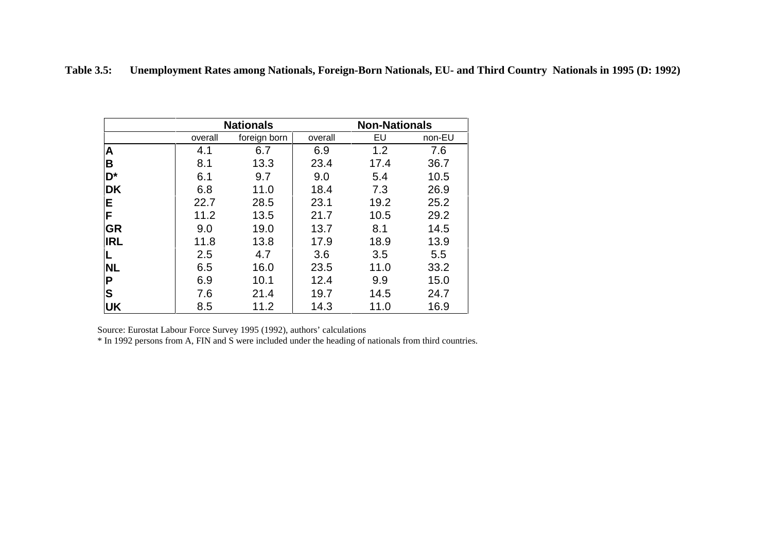| <b>Table 3.5:</b> |  |  | Unemployment Rates among Nationals, Foreign-Born Nationals, EU- and Third Country Nationals in 1995 (D: 1992) |  |
|-------------------|--|--|---------------------------------------------------------------------------------------------------------------|--|
|-------------------|--|--|---------------------------------------------------------------------------------------------------------------|--|

|                         |         | <b>Nationals</b> |         | <b>Non-Nationals</b> |        |
|-------------------------|---------|------------------|---------|----------------------|--------|
|                         | overall | foreign born     | overall | EU                   | non-EU |
| A                       | 4.1     | 6.7              | 6.9     | 1.2                  | 7.6    |
| B                       | 8.1     | 13.3             | 23.4    | 17.4                 | 36.7   |
| D*                      | 6.1     | 9.7              | 9.0     | 5.4                  | 10.5   |
| <b>DK</b>               | 6.8     | 11.0             | 18.4    | 7.3                  | 26.9   |
| E                       | 22.7    | 28.5             | 23.1    | 19.2                 | 25.2   |
| F                       | 11.2    | 13.5             | 21.7    | 10.5                 | 29.2   |
| <b>GR</b>               | 9.0     | 19.0             | 13.7    | 8.1                  | 14.5   |
| <b>IRL</b>              | 11.8    | 13.8             | 17.9    | 18.9                 | 13.9   |
| L                       | 2.5     | 4.7              | 3.6     | 3.5                  | 5.5    |
| <b>NL</b>               | 6.5     | 16.0             | 23.5    | 11.0                 | 33.2   |
| $\mathsf{P}$            | 6.9     | 10.1             | 12.4    | 9.9                  | 15.0   |
| $\overline{\mathbf{s}}$ | 7.6     | 21.4             | 19.7    | 14.5                 | 24.7   |
| UK                      | 8.5     | 11.2             | 14.3    | 11.0                 | 16.9   |

\* In 1992 persons from A, FIN and S were included under the heading of nationals from third countries.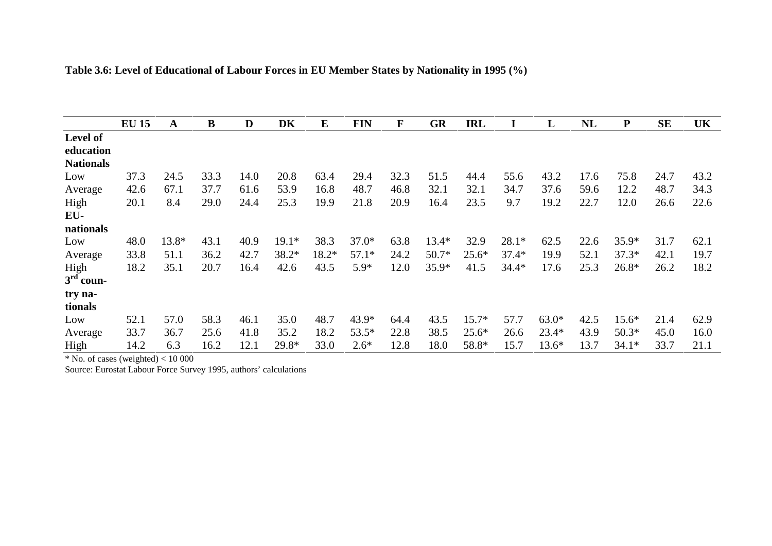|                  | <b>EU 15</b> | A     | $\bf{B}$ | D    | DK      | $\bf{E}$ | <b>FIN</b> | F    | <b>GR</b> | <b>IRL</b> |         | L       | NL   | ${\bf P}$ | <b>SE</b> | UK   |
|------------------|--------------|-------|----------|------|---------|----------|------------|------|-----------|------------|---------|---------|------|-----------|-----------|------|
| Level of         |              |       |          |      |         |          |            |      |           |            |         |         |      |           |           |      |
| education        |              |       |          |      |         |          |            |      |           |            |         |         |      |           |           |      |
| <b>Nationals</b> |              |       |          |      |         |          |            |      |           |            |         |         |      |           |           |      |
| Low              | 37.3         | 24.5  | 33.3     | 14.0 | 20.8    | 63.4     | 29.4       | 32.3 | 51.5      | 44.4       | 55.6    | 43.2    | 17.6 | 75.8      | 24.7      | 43.2 |
| Average          | 42.6         | 67.1  | 37.7     | 61.6 | 53.9    | 16.8     | 48.7       | 46.8 | 32.1      | 32.1       | 34.7    | 37.6    | 59.6 | 12.2      | 48.7      | 34.3 |
| High             | 20.1         | 8.4   | 29.0     | 24.4 | 25.3    | 19.9     | 21.8       | 20.9 | 16.4      | 23.5       | 9.7     | 19.2    | 22.7 | 12.0      | 26.6      | 22.6 |
| EU-              |              |       |          |      |         |          |            |      |           |            |         |         |      |           |           |      |
| nationals        |              |       |          |      |         |          |            |      |           |            |         |         |      |           |           |      |
| Low              | 48.0         | 13.8* | 43.1     | 40.9 | $19.1*$ | 38.3     | $37.0*$    | 63.8 | $13.4*$   | 32.9       | $28.1*$ | 62.5    | 22.6 | $35.9*$   | 31.7      | 62.1 |
| Average          | 33.8         | 51.1  | 36.2     | 42.7 | 38.2*   | 18.2*    | $57.1*$    | 24.2 | $50.7*$   | $25.6*$    | $37.4*$ | 19.9    | 52.1 | $37.3*$   | 42.1      | 19.7 |
| High             | 18.2         | 35.1  | 20.7     | 16.4 | 42.6    | 43.5     | $5.9*$     | 12.0 | 35.9*     | 41.5       | $34.4*$ | 17.6    | 25.3 | $26.8*$   | 26.2      | 18.2 |
| $3rd$ coun-      |              |       |          |      |         |          |            |      |           |            |         |         |      |           |           |      |
| try na-          |              |       |          |      |         |          |            |      |           |            |         |         |      |           |           |      |
| tionals          |              |       |          |      |         |          |            |      |           |            |         |         |      |           |           |      |
| Low              | 52.1         | 57.0  | 58.3     | 46.1 | 35.0    | 48.7     | 43.9*      | 64.4 | 43.5      | $15.7*$    | 57.7    | $63.0*$ | 42.5 | $15.6*$   | 21.4      | 62.9 |
| Average          | 33.7         | 36.7  | 25.6     | 41.8 | 35.2    | 18.2     | 53.5*      | 22.8 | 38.5      | $25.6*$    | 26.6    | $23.4*$ | 43.9 | $50.3*$   | 45.0      | 16.0 |
| High             | 14.2         | 6.3   | 16.2     | 12.1 | 29.8*   | 33.0     | $2.6*$     | 12.8 | 18.0      | 58.8*      | 15.7    | $13.6*$ | 13.7 | $34.1*$   | 33.7      | 21.1 |

| Table 3.6: Level of Educational of Labour Forces in EU Member States by Nationality in 1995 (%) |
|-------------------------------------------------------------------------------------------------|
|-------------------------------------------------------------------------------------------------|

 $*$  No. of cases (weighted)  $< 10000$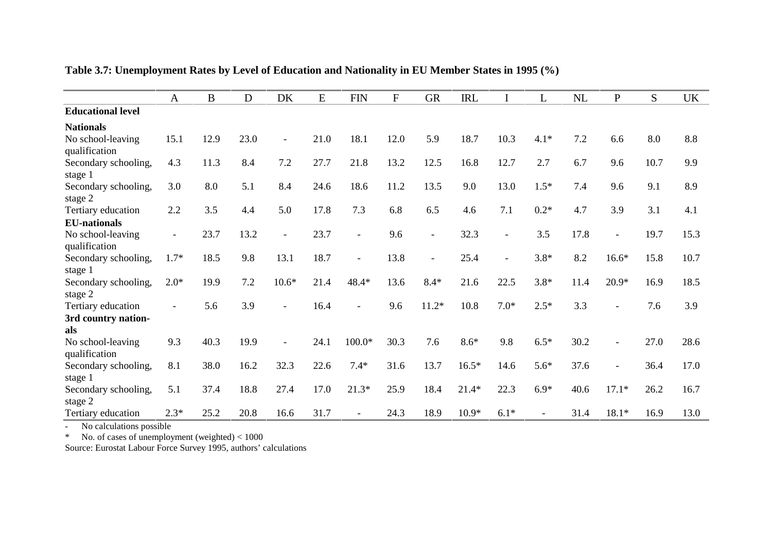|                                    | $\mathbf{A}$             | $\bf{B}$ | D    | DK             | E    | <b>FIN</b>               | $\mathbf{F}$ | <b>GR</b>                | <b>IRL</b> | $\bf I$        | L              | NL   | $\overline{P}$ | S.   | <b>UK</b> |
|------------------------------------|--------------------------|----------|------|----------------|------|--------------------------|--------------|--------------------------|------------|----------------|----------------|------|----------------|------|-----------|
| <b>Educational level</b>           |                          |          |      |                |      |                          |              |                          |            |                |                |      |                |      |           |
| <b>Nationals</b>                   |                          |          |      |                |      |                          |              |                          |            |                |                |      |                |      |           |
| No school-leaving                  | 15.1                     | 12.9     | 23.0 | $\blacksquare$ | 21.0 | 18.1                     | 12.0         | 5.9                      | 18.7       | 10.3           | $4.1*$         | 7.2  | 6.6            | 8.0  | 8.8       |
| qualification                      |                          |          |      |                |      |                          |              |                          |            |                |                |      |                |      |           |
| Secondary schooling,<br>stage 1    | 4.3                      | 11.3     | 8.4  | 7.2            | 27.7 | 21.8                     | 13.2         | 12.5                     | 16.8       | 12.7           | 2.7            | 6.7  | 9.6            | 10.7 | 9.9       |
| Secondary schooling,<br>stage 2    | 3.0                      | 8.0      | 5.1  | 8.4            | 24.6 | 18.6                     | 11.2         | 13.5                     | 9.0        | 13.0           | $1.5*$         | 7.4  | 9.6            | 9.1  | 8.9       |
| Tertiary education                 | 2.2                      | 3.5      | 4.4  | 5.0            | 17.8 | 7.3                      | 6.8          | 6.5                      | 4.6        | 7.1            | $0.2*$         | 4.7  | 3.9            | 3.1  | 4.1       |
| <b>EU-nationals</b>                |                          |          |      |                |      |                          |              |                          |            |                |                |      |                |      |           |
| No school-leaving<br>qualification | $\overline{\phantom{a}}$ | 23.7     | 13.2 |                | 23.7 | $\blacksquare$           | 9.6          | $\overline{\phantom{a}}$ | 32.3       |                | 3.5            | 17.8 |                | 19.7 | 15.3      |
| Secondary schooling,               | $1.7*$                   | 18.5     | 9.8  | 13.1           | 18.7 | $\overline{\phantom{a}}$ | 13.8         | $\overline{\phantom{a}}$ | 25.4       | $\blacksquare$ | $3.8*$         | 8.2  | $16.6*$        | 15.8 | 10.7      |
| stage 1                            |                          |          |      |                |      |                          |              |                          |            |                |                |      |                |      |           |
| Secondary schooling,<br>stage 2    | $2.0*$                   | 19.9     | 7.2  | $10.6*$        | 21.4 | 48.4*                    | 13.6         | $8.4*$                   | 21.6       | 22.5           | $3.8*$         | 11.4 | $20.9*$        | 16.9 | 18.5      |
| Tertiary education                 |                          | 5.6      | 3.9  |                | 16.4 |                          | 9.6          | $11.2*$                  | 10.8       | $7.0*$         | $2.5*$         | 3.3  |                | 7.6  | 3.9       |
| 3rd country nation-<br>als         |                          |          |      |                |      |                          |              |                          |            |                |                |      |                |      |           |
| No school-leaving<br>qualification | 9.3                      | 40.3     | 19.9 |                | 24.1 | 100.0*                   | 30.3         | 7.6                      | $8.6*$     | 9.8            | $6.5*$         | 30.2 | $\overline{a}$ | 27.0 | 28.6      |
| Secondary schooling,               | 8.1                      | 38.0     | 16.2 | 32.3           | 22.6 | $7.4*$                   | 31.6         | 13.7                     | $16.5*$    | 14.6           | $5.6*$         | 37.6 | $\overline{a}$ | 36.4 | 17.0      |
| stage 1                            |                          |          |      |                |      |                          |              |                          |            |                |                |      |                |      |           |
| Secondary schooling,<br>stage 2    | 5.1                      | 37.4     | 18.8 | 27.4           | 17.0 | $21.3*$                  | 25.9         | 18.4                     | $21.4*$    | 22.3           | $6.9*$         | 40.6 | $17.1*$        | 26.2 | 16.7      |
| Tertiary education                 | $2.3*$                   | 25.2     | 20.8 | 16.6           | 31.7 | $\overline{a}$           | 24.3         | 18.9                     | $10.9*$    | $6.1*$         | $\overline{a}$ | 31.4 | $18.1*$        | 16.9 | 13.0      |

**Table 3.7: Unemployment Rates by Level of Education and Nationality in EU Member States in 1995 (%)**

- No calculations possible \* No. of cases of unemployment (weighted) < 1000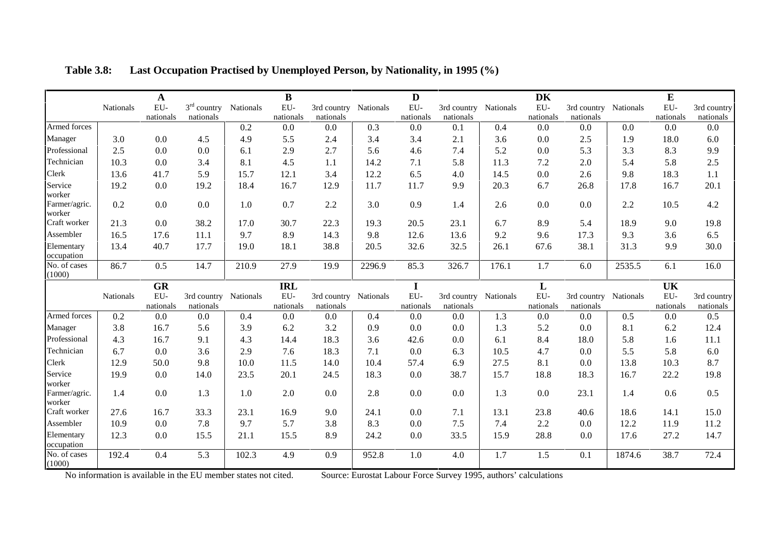|                                   |           | $\mathbf A$  |               |           | $\bf{B}$                  |             |           | D         |                       |             | <b>DK</b>        |                          |           | ${\bf E}$        |                          |
|-----------------------------------|-----------|--------------|---------------|-----------|---------------------------|-------------|-----------|-----------|-----------------------|-------------|------------------|--------------------------|-----------|------------------|--------------------------|
|                                   | Nationals | EU-          | $3rd$ country | Nationals | EU-                       | 3rd country | Nationals | EU-       | 3rd country Nationals |             | EU-              | 3rd country Nationals    |           | EU-              | 3rd country              |
|                                   |           | nationals    | nationals     |           | nationals                 | nationals   |           | nationals | nationals             |             | nationals        | nationals                |           | nationals        | nationals                |
| Armed forces                      |           |              |               | 0.2       | 0.0                       | 0.0         | 0.3       | 0.0       | 0.1                   | 0.4         | 0.0              | 0.0                      | 0.0       | 0.0              | 0.0                      |
| Manager                           | 3.0       | 0.0          | 4.5           | 4.9       | 5.5                       | 2.4         | 3.4       | 3.4       | 2.1                   | 3.6         | 0.0              | 2.5                      | 1.9       | 18.0             | 6.0                      |
| Professional                      | 2.5       | 0.0          | 0.0           | 6.1       | 2.9                       | 2.7         | 5.6       | 4.6       | 7.4                   | 5.2         | 0.0              | 5.3                      | 3.3       | 8.3              | 9.9                      |
| Technician                        | 10.3      | 0.0          | 3.4           | 8.1       | 4.5                       | 1.1         | 14.2      | 7.1       | 5.8                   | 11.3        | 7.2              | 2.0                      | 5.4       | 5.8              | 2.5                      |
| Clerk                             | 13.6      | 41.7         | 5.9           | 15.7      | 12.1                      | 3.4         | 12.2      | 6.5       | 4.0                   | 14.5        | 0.0              | 2.6                      | 9.8       | 18.3             | 1.1                      |
| Service<br>worker                 | 19.2      | 0.0          | 19.2          | 18.4      | 16.7                      | 12.9        | 11.7      | 11.7      | 9.9                   | 20.3        | 6.7              | 26.8                     | 17.8      | 16.7             | 20.1                     |
| Farmer/agric.<br>worker           | 0.2       | 0.0          | 0.0           | 1.0       | 0.7                       | 2.2         | 3.0       | 0.9       | 1.4                   | 2.6         | 0.0              | 0.0                      | 2.2       | 10.5             | 4.2                      |
| Craft worker                      | 21.3      | 0.0          | 38.2          | 17.0      | 30.7                      | 22.3        | 19.3      | 20.5      | 23.1                  | 6.7         | 8.9              | 5.4                      | 18.9      | 9.0              | 19.8                     |
| Assembler                         | 16.5      | 17.6         | 11.1          | 9.7       | 8.9                       | 14.3        | 9.8       | 12.6      | 13.6                  | 9.2         | 9.6              | 17.3                     | 9.3       | 3.6              | 6.5                      |
| Elementary<br>occupation          | 13.4      | 40.7         | 17.7          | 19.0      | 18.1                      | 38.8        | 20.5      | 32.6      | 32.5                  | 26.1        | 67.6             | 38.1                     | 31.3      | 9.9              | 30.0                     |
| No. of cases<br>(1000)            | 86.7      | 0.5          | 14.7          | 210.9     | 27.9                      | 19.9        | 2296.9    | 85.3      | 326.7                 | 176.1       | 1.7              | 6.0                      | 2535.5    | 6.1              | 16.0                     |
|                                   |           | <b>GR</b>    |               |           | <b>IRL</b>                |             |           | I         |                       |             | L                |                          |           | UK               |                          |
|                                   | Nationals | ${\rm EU}$ - | 3rd country   | Nationals | ${\rm EU}$ -<br>nationals | 3rd country | Nationals | EU-       | 3rd country           | Nationals   | EU-<br>nationals | 3rd country<br>nationals | Nationals | EU-<br>nationals | 3rd country<br>nationals |
|                                   |           | nationals    | nationals     |           |                           | nationals   |           | nationals | nationals             |             |                  |                          |           |                  |                          |
| Armed forces                      | 0.2       | 0.0          | 0.0           | 0.4       | 0.0                       | 0.0         | 0.4       | 0.0       | 0.0                   | 1.3         | 0.0              | 0.0                      | 0.5       | 0.0              | 0.5                      |
| Manager                           | 3.8       | 16.7         | 5.6           | 3.9       | 6.2                       | 3.2         | 0.9       | 0.0       | 0.0                   | 1.3         | 5.2              | 0.0                      | 8.1       | 6.2              | 12.4                     |
| Professional                      | 4.3       | 16.7         | 9.1           | 4.3       | 14.4                      | 18.3        | 3.6       | 42.6      | 0.0                   | 6.1         | 8.4              | 18.0                     | 5.8       | 1.6              | 11.1                     |
| Technician                        | 6.7       | 0.0          | 3.6           | 2.9       | 7.6                       | 18.3        | 7.1       | 0.0       | 6.3                   | 10.5        | 4.7              | 0.0                      | 5.5       | 5.8              | 6.0                      |
| Clerk                             | 12.9      | 50.0         | 9.8           | 10.0      | 11.5                      | 14.0        | 10.4      | 57.4      | 6.9                   | 27.5        | 8.1              | 0.0                      | 13.8      | 10.3             | 8.7                      |
| Service                           | 19.9      | 0.0          | 14.0          | 23.5      | 20.1                      | 24.5        | 18.3      | 0.0       | 38.7                  | 15.7        | 18.8             | 18.3                     | 16.7      | 22.2             | 19.8                     |
| worker<br>Farmer/agric.<br>worker | 1.4       | 0.0          | 1.3           | 1.0       | 2.0                       | 0.0         | 2.8       | 0.0       | 0.0                   | 1.3         | 0.0              | 23.1                     | 1.4       | 0.6              | 0.5                      |
| Craft worker                      | 27.6      | 16.7         | 33.3          | 23.1      | 16.9                      | 9.0         | 24.1      | 0.0       | 7.1                   | 13.1        | 23.8             | 40.6                     | 18.6      | 14.1             | 15.0                     |
| Assembler                         | 10.9      | 0.0          | 7.8           | 9.7       | 5.7                       | 3.8         | 8.3       | 0.0       | 7.5                   | 7.4         | 2.2              | 0.0                      | 12.2      | 11.9             | 11.2                     |
| Elementary<br>occupation          | 12.3      | 0.0          | 15.5          | 21.1      | 15.5                      | 8.9         | 24.2      | 0.0       | 33.5                  | 15.9<br>1.7 | 28.8<br>1.5      | 0.0                      | 17.6      | 27.2<br>38.7     | 14.7<br>72.4             |

**Table 3.8: Last Occupation Practised by Unemployed Person, by Nationality, in 1995 (%)**

No information is available in the EU member states not cited. Source: Eurostat Labour Force Survey 1995, authors' calculations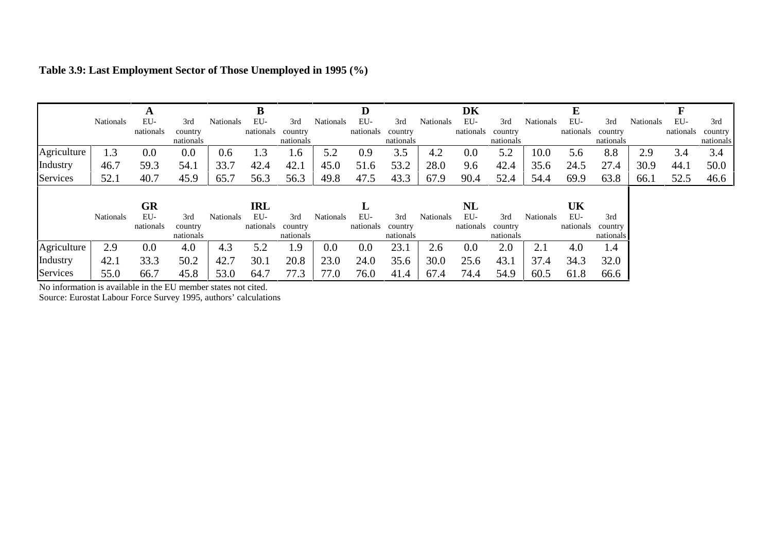|             |                  | A         |           |                  |           |           |                  | D         |           |           | DK        |           |                  |           |           |           |           |           |
|-------------|------------------|-----------|-----------|------------------|-----------|-----------|------------------|-----------|-----------|-----------|-----------|-----------|------------------|-----------|-----------|-----------|-----------|-----------|
|             | <b>Nationals</b> | EU-       | 3rd       | <b>Nationals</b> | EU-       | 3rd       | <b>Nationals</b> | EU-       | 3rd       | Nationals | EU-       | 3rd       | <b>Nationals</b> | EU-       | 3rd       | Nationals | EU-       | 3rd       |
|             |                  | nationals | country   |                  | nationals | country   |                  | nationals | country   |           | nationals | country   |                  | nationals | country   |           | nationals | country   |
|             |                  |           | nationals |                  |           | nationals |                  |           | nationals |           |           | nationals |                  |           | nationals |           |           | nationals |
| Agriculture | 1.3              | 0.0       | 0.0       | 0.6              | 1.3       | 1.6       | 5.2              | 0.9       | 3.5       | 4.2       | 0.0       | 5.2       | 10.0             | 5.6       | 8.8       | 2.9       | 3.4       | 3.4       |
| Industry    | 46.7             | 59.3      | 54.1      | 33.7             | 42.4      | 42.1      | 45.0             | 51.6      | 53.2      | 28.0      | 9.6       | 42.4      | 35.6             | 24.5      | 27.4      | 30.9      | 44.1      | 50.0      |
| Services    | 52.1             | 40.7      | 45.9      | 65.7             | 56.3      | 56.3      | 49.8             | 47.5      | 43.3      | 67.9      | 90.4      | 52.4      | 54.4             | 69.9      | 63.8      | 66.1      | 52.5      | 46.6      |
|             |                  |           |           |                  |           |           |                  |           |           |           |           |           |                  |           |           |           |           |           |
|             |                  | <b>GR</b> |           |                  | IRL       |           |                  |           |           |           | NL        |           |                  | UK        |           |           |           |           |
|             | Nationals        | EU-       | 3rd       | <b>Nationals</b> | EU-       | 3rd       | Nationals        | EU-       | 3rd       | Nationals | EU-       | 3rd       | <b>Nationals</b> | EU-       | 3rd       |           |           |           |
|             |                  | nationals | country   |                  | nationals | country   |                  | nationals | country   |           | nationals | country   |                  | nationals | country   |           |           |           |
|             |                  |           | nationals |                  |           | nationals |                  |           | nationals |           |           | nationals |                  |           | nationals |           |           |           |
| Agriculture | 2.9              | 0.0       | 4.0       | 4.3              | 5.2       | 1.9       | 0.0              | 0.0       | 23.1      | 2.6       | 0.0       | 2.0       | 2.1              | 4.0       | 1.4       |           |           |           |
| Industry    | 42.1             | 33.3      | 50.2      | 42.7             | 30.1      | 20.8      | 23.0             | 24.0      | 35.6      | 30.0      | 25.6      | 43.1      | 37.4             | 34.3      | 32.0      |           |           |           |
| Services    | 55.0             | 66.7      | 45.8      | 53.0             | 64.7      | 77.3      | 77.0             | 76.0      | 41.4      | 67.4      | 74.4      | 54.9      | 60.5             | 61.8      | 66.6      |           |           |           |

# **Table 3.9: Last Employment Sector of Those Unemployed in 1995 (%)**

No information is available in the EU member states not cited.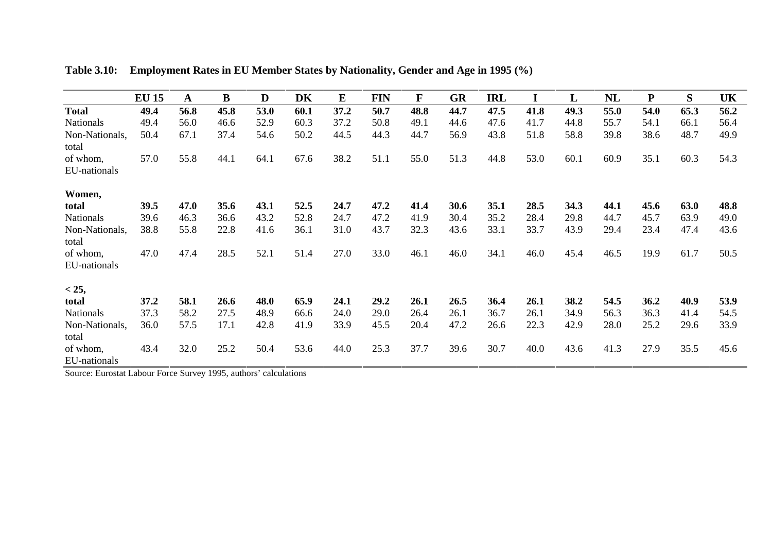|                          | <b>EU 15</b> | A    | B    | D    | DK   | ${\bf E}$ | <b>FIN</b> | $\mathbf{F}$ | <b>GR</b> | <b>IRL</b> | I    | L    | NL   | ${\bf P}$ | S    | UK   |
|--------------------------|--------------|------|------|------|------|-----------|------------|--------------|-----------|------------|------|------|------|-----------|------|------|
| <b>Total</b>             | 49.4         | 56.8 | 45.8 | 53.0 | 60.1 | 37.2      | 50.7       | 48.8         | 44.7      | 47.5       | 41.8 | 49.3 | 55.0 | 54.0      | 65.3 | 56.2 |
| <b>Nationals</b>         | 49.4         | 56.0 | 46.6 | 52.9 | 60.3 | 37.2      | 50.8       | 49.1         | 44.6      | 47.6       | 41.7 | 44.8 | 55.7 | 54.1      | 66.1 | 56.4 |
| Non-Nationals,<br>total  | 50.4         | 67.1 | 37.4 | 54.6 | 50.2 | 44.5      | 44.3       | 44.7         | 56.9      | 43.8       | 51.8 | 58.8 | 39.8 | 38.6      | 48.7 | 49.9 |
| of whom,                 | 57.0         | 55.8 | 44.1 | 64.1 | 67.6 | 38.2      | 51.1       | 55.0         | 51.3      | 44.8       | 53.0 | 60.1 | 60.9 | 35.1      | 60.3 | 54.3 |
| EU-nationals             |              |      |      |      |      |           |            |              |           |            |      |      |      |           |      |      |
| Women,                   |              |      |      |      |      |           |            |              |           |            |      |      |      |           |      |      |
| total                    | 39.5         | 47.0 | 35.6 | 43.1 | 52.5 | 24.7      | 47.2       | 41.4         | 30.6      | 35.1       | 28.5 | 34.3 | 44.1 | 45.6      | 63.0 | 48.8 |
| <b>Nationals</b>         | 39.6         | 46.3 | 36.6 | 43.2 | 52.8 | 24.7      | 47.2       | 41.9         | 30.4      | 35.2       | 28.4 | 29.8 | 44.7 | 45.7      | 63.9 | 49.0 |
| Non-Nationals,<br>total  | 38.8         | 55.8 | 22.8 | 41.6 | 36.1 | 31.0      | 43.7       | 32.3         | 43.6      | 33.1       | 33.7 | 43.9 | 29.4 | 23.4      | 47.4 | 43.6 |
| of whom,                 | 47.0         | 47.4 | 28.5 | 52.1 | 51.4 | 27.0      | 33.0       | 46.1         | 46.0      | 34.1       | 46.0 | 45.4 | 46.5 | 19.9      | 61.7 | 50.5 |
| EU-nationals             |              |      |      |      |      |           |            |              |           |            |      |      |      |           |      |      |
| < 25,                    |              |      |      |      |      |           |            |              |           |            |      |      |      |           |      |      |
| total                    | 37.2         | 58.1 | 26.6 | 48.0 | 65.9 | 24.1      | 29.2       | 26.1         | 26.5      | 36.4       | 26.1 | 38.2 | 54.5 | 36.2      | 40.9 | 53.9 |
| <b>Nationals</b>         | 37.3         | 58.2 | 27.5 | 48.9 | 66.6 | 24.0      | 29.0       | 26.4         | 26.1      | 36.7       | 26.1 | 34.9 | 56.3 | 36.3      | 41.4 | 54.5 |
| Non-Nationals,<br>total  | 36.0         | 57.5 | 17.1 | 42.8 | 41.9 | 33.9      | 45.5       | 20.4         | 47.2      | 26.6       | 22.3 | 42.9 | 28.0 | 25.2      | 29.6 | 33.9 |
| of whom,<br>EU-nationals | 43.4         | 32.0 | 25.2 | 50.4 | 53.6 | 44.0      | 25.3       | 37.7         | 39.6      | 30.7       | 40.0 | 43.6 | 41.3 | 27.9      | 35.5 | 45.6 |

**Table 3.10: Employment Rates in EU Member States by Nationality, Gender and Age in 1995 (%)**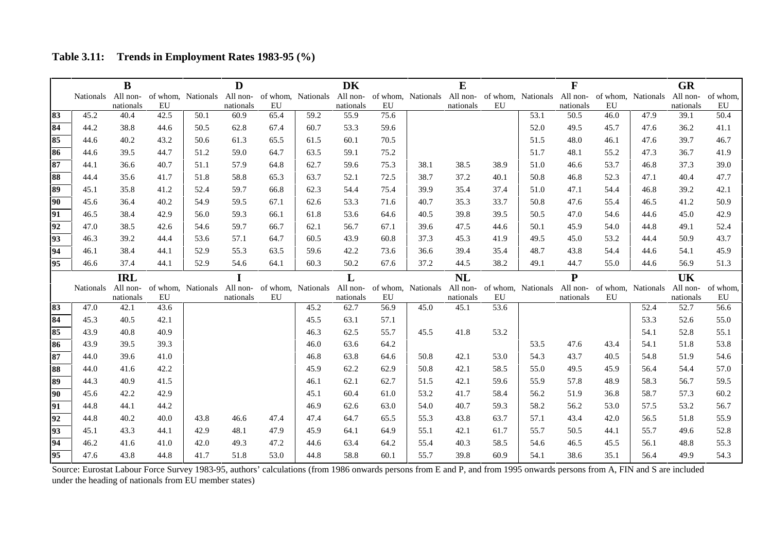**Table 3.11: Trends in Employment Rates 1983-95 (%)**

|    |                    | $\bf{B}$   |      |                    | D         |      |                    | <b>DK</b> |      |                             | E         |      |                             | F         |      |                             | <b>GR</b> |          |
|----|--------------------|------------|------|--------------------|-----------|------|--------------------|-----------|------|-----------------------------|-----------|------|-----------------------------|-----------|------|-----------------------------|-----------|----------|
|    | Nationals All non- |            |      | of whom, Nationals | All non-  |      | of whom, Nationals | All non-  |      | of whom, Nationals All non- |           |      | of whom, Nationals All non- |           |      | of whom, Nationals All non- |           | of whom, |
|    |                    | nationals  | EU   |                    | nationals | EU   |                    | nationals | EU   |                             | nationals | EU   |                             | nationals | EU   |                             | nationals | EU       |
| 83 | 45.2               | 40.4       | 42.5 | 50.1               | 60.9      | 65.4 | 59.2               | 55.9      | 75.6 |                             |           |      | 53.1                        | 50.5      | 46.0 | 47.9                        | 39.1      | 50.4     |
| 84 | 44.2               | 38.8       | 44.6 | 50.5               | 62.8      | 67.4 | 60.7               | 53.3      | 59.6 |                             |           |      | 52.0                        | 49.5      | 45.7 | 47.6                        | 36.2      | 41.1     |
| 85 | 44.6               | 40.2       | 43.2 | 50.6               | 61.3      | 65.5 | 61.5               | 60.1      | 70.5 |                             |           |      | 51.5                        | 48.0      | 46.1 | 47.6                        | 39.7      | 46.7     |
| 86 | 44.6               | 39.5       | 44.7 | 51.2               | 59.0      | 64.7 | 63.5               | 59.1      | 75.2 |                             |           |      | 51.7                        | 48.1      | 55.2 | 47.3                        | 36.7      | 41.9     |
| 87 | 44.1               | 36.6       | 40.7 | 51.1               | 57.9      | 64.8 | 62.7               | 59.6      | 75.3 | 38.1                        | 38.5      | 38.9 | 51.0                        | 46.6      | 53.7 | 46.8                        | 37.3      | 39.0     |
| 88 | 44.4               | 35.6       | 41.7 | 51.8               | 58.8      | 65.3 | 63.7               | 52.1      | 72.5 | 38.7                        | 37.2      | 40.1 | 50.8                        | 46.8      | 52.3 | 47.1                        | 40.4      | 47.7     |
| 89 | 45.1               | 35.8       | 41.2 | 52.4               | 59.7      | 66.8 | 62.3               | 54.4      | 75.4 | 39.9                        | 35.4      | 37.4 | 51.0                        | 47.1      | 54.4 | 46.8                        | 39.2      | 42.1     |
| 90 | 45.6               | 36.4       | 40.2 | 54.9               | 59.5      | 67.1 | 62.6               | 53.3      | 71.6 | 40.7                        | 35.3      | 33.7 | 50.8                        | 47.6      | 55.4 | 46.5                        | 41.2      | 50.9     |
| 91 | 46.5               | 38.4       | 42.9 | 56.0               | 59.3      | 66.1 | 61.8               | 53.6      | 64.6 | 40.5                        | 39.8      | 39.5 | 50.5                        | 47.0      | 54.6 | 44.6                        | 45.0      | 42.9     |
| 92 | 47.0               | 38.5       | 42.6 | 54.6               | 59.7      | 66.7 | 62.1               | 56.7      | 67.1 | 39.6                        | 47.5      | 44.6 | 50.1                        | 45.9      | 54.0 | 44.8                        | 49.1      | 52.4     |
| 93 | 46.3               | 39.2       | 44.4 | 53.6               | 57.1      | 64.7 | 60.5               | 43.9      | 60.8 | 37.3                        | 45.3      | 41.9 | 49.5                        | 45.0      | 53.2 | 44.4                        | 50.9      | 43.7     |
| 94 | 46.1               | 38.4       | 44.1 | 52.9               | 55.3      | 63.5 | 59.6               | 42.2      | 73.6 | 36.6                        | 39.4      | 35.4 | 48.7                        | 43.8      | 54.4 | 44.6                        | 54.1      | 45.9     |
| 95 | 46.6               | 37.4       | 44.1 | 52.9               | 54.6      | 64.1 | 60.3               | 50.2      | 67.6 | 37.2                        | 44.5      | 38.2 | 49.1                        | 44.7      | 55.0 | 44.6                        | 56.9      | 51.3     |
|    |                    | <b>IRL</b> |      |                    | I         |      |                    | L         |      |                             | <b>NL</b> |      |                             | ${\bf P}$ |      |                             | <b>UK</b> |          |
|    | <b>Nationals</b>   | All non-   |      | of whom, Nationals | All non-  |      | of whom, Nationals | All non-  |      | of whom, Nationals          | All non-  |      | of whom, Nationals All non- |           |      | of whom, Nationals          | All non-  | of whom, |
|    |                    | nationals  | EU   |                    | nationals | EU   |                    | nationals | EU   |                             | nationals | EU   |                             | nationals | EU   |                             | nationals | EU       |
| 83 | 47.0               | 42.1       | 43.6 |                    |           |      | 45.2               | 62.7      | 56.9 | 45.0                        | 45.1      | 53.6 |                             |           |      | 52.4                        | 52.7      | 56.6     |
| 84 | 45.3               | 40.5       | 42.1 |                    |           |      | 45.5               | 63.1      | 57.1 |                             |           |      |                             |           |      | 53.3                        | 52.6      | 55.0     |
| 85 | 43.9               | 40.8       | 40.9 |                    |           |      | 46.3               | 62.5      | 55.7 | 45.5                        | 41.8      | 53.2 |                             |           |      | 54.1                        | 52.8      | 55.1     |
| 86 | 43.9               | 39.5       | 39.3 |                    |           |      | 46.0               | 63.6      | 64.2 |                             |           |      | 53.5                        | 47.6      | 43.4 | 54.1                        | 51.8      | 53.8     |
| 87 | 44.0               | 39.6       | 41.0 |                    |           |      | 46.8               | 63.8      | 64.6 | 50.8                        | 42.1      | 53.0 | 54.3                        | 43.7      | 40.5 | 54.8                        | 51.9      | 54.6     |
| 88 | 44.0               | 41.6       | 42.2 |                    |           |      | 45.9               | 62.2      | 62.9 | 50.8                        | 42.1      | 58.5 | 55.0                        | 49.5      | 45.9 | 56.4                        | 54.4      | 57.0     |
| 89 | 44.3               | 40.9       | 41.5 |                    |           |      | 46.1               | 62.1      | 62.7 | 51.5                        | 42.1      | 59.6 | 55.9                        | 57.8      | 48.9 | 58.3                        | 56.7      | 59.5     |
| 90 | 45.6               | 42.2       | 42.9 |                    |           |      | 45.1               | 60.4      | 61.0 | 53.2                        | 41.7      | 58.4 | 56.2                        | 51.9      | 36.8 | 58.7                        | 57.3      | 60.2     |
| 91 | 44.8               | 44.1       | 44.2 |                    |           |      | 46.9               | 62.6      | 63.0 | 54.0                        | 40.7      | 59.3 | 58.2                        | 56.2      | 53.0 | 57.5                        | 53.2      | 56.7     |
| 92 | 44.8               | 40.2       | 40.0 | 43.8               | 46.6      | 47.4 | 47.4               | 64.7      | 65.5 | 55.3                        | 43.8      | 63.7 | 57.1                        | 43.4      | 42.0 | 56.5                        | 51.8      | 55.9     |
| 93 | 45.1               | 43.3       | 44.1 | 42.9               | 48.1      | 47.9 | 45.9               | 64.1      | 64.9 | 55.1                        | 42.1      | 61.7 | 55.7                        | 50.5      | 44.1 | 55.7                        | 49.6      | 52.8     |
| 94 | 46.2               | 41.6       | 41.0 | 42.0               | 49.3      |      |                    |           |      |                             |           | 58.5 | 54.6                        |           | 45.5 | 56.1                        | 48.8      | 55.3     |
|    |                    |            |      |                    |           | 47.2 | 44.6               | 63.4      | 64.2 | 55.4                        | 40.3      |      |                             | 46.5      |      |                             |           |          |

Source: Eurostat Labour Force Survey 1983-95, authors' calculations (from 1986 onwards persons from E and P, and from 1995 onwards persons from A, FIN and S are included under the heading of nationals from EU member states)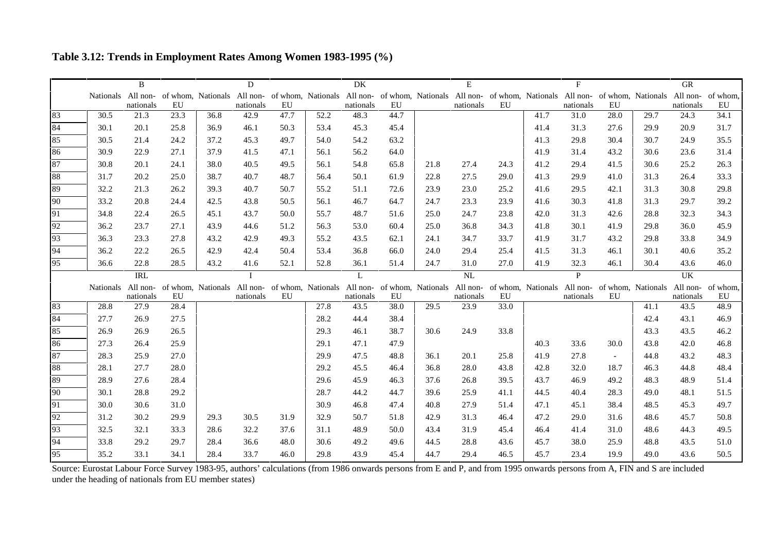**Table 3.12: Trends in Employment Rates Among Women 1983-1995 (%)**

|    |                    | B          |      |                                                                                                                                                                                                                                | D            |      |      | DK        |      |      | E         |      |      | F            |        |      | <b>GR</b> |      |
|----|--------------------|------------|------|--------------------------------------------------------------------------------------------------------------------------------------------------------------------------------------------------------------------------------|--------------|------|------|-----------|------|------|-----------|------|------|--------------|--------|------|-----------|------|
|    |                    |            |      | Nationals All non- of whom, Nationals All non- of whom, Nationals All non- of whom, Nationals All non- of whom, Nationals All non- of whom, Nationals All non- of whom, Nationals All non- of whom, Nationals All non- of whom |              |      |      |           |      |      |           |      |      |              |        |      |           |      |
|    |                    | nationals  | EU   |                                                                                                                                                                                                                                | nationals    | EU   |      | nationals | EU   |      | nationals | EU   |      | nationals    | EU     |      | nationals | EU   |
| 83 | 30.5               | 21.3       | 23.3 | 36.8                                                                                                                                                                                                                           | 42.9         | 47.7 | 52.2 | 48.3      | 44.7 |      |           |      | 41.7 | 31.0         | 28.0   | 29.7 | 24.3      | 34.1 |
| 84 | 30.1               | 20.1       | 25.8 | 36.9                                                                                                                                                                                                                           | 46.1         | 50.3 | 53.4 | 45.3      | 45.4 |      |           |      | 41.4 | 31.3         | 27.6   | 29.9 | 20.9      | 31.7 |
| 85 | 30.5               | 21.4       | 24.2 | 37.2                                                                                                                                                                                                                           | 45.3         | 49.7 | 54.0 | 54.2      | 63.2 |      |           |      | 41.3 | 29.8         | 30.4   | 30.7 | 24.9      | 35.5 |
| 86 | 30.9               | 22.9       | 27.1 | 37.9                                                                                                                                                                                                                           | 41.5         | 47.1 | 56.1 | 56.2      | 64.0 |      |           |      | 41.9 | 31.4         | 43.2   | 30.6 | 23.6      | 31.4 |
| 87 | 30.8               | 20.1       | 24.1 | 38.0                                                                                                                                                                                                                           | 40.5         | 49.5 | 56.1 | 54.8      | 65.8 | 21.8 | 27.4      | 24.3 | 41.2 | 29.4         | 41.5   | 30.6 | 25.2      | 26.3 |
| 88 | 31.7               | 20.2       | 25.0 | 38.7                                                                                                                                                                                                                           | 40.7         | 48.7 | 56.4 | 50.1      | 61.9 | 22.8 | 27.5      | 29.0 | 41.3 | 29.9         | 41.0   | 31.3 | 26.4      | 33.3 |
| 89 | 32.2               | 21.3       | 26.2 | 39.3                                                                                                                                                                                                                           | 40.7         | 50.7 | 55.2 | 51.1      | 72.6 | 23.9 | 23.0      | 25.2 | 41.6 | 29.5         | 42.1   | 31.3 | 30.8      | 29.8 |
| 90 | 33.2               | 20.8       | 24.4 | 42.5                                                                                                                                                                                                                           | 43.8         | 50.5 | 56.1 | 46.7      | 64.7 | 24.7 | 23.3      | 23.9 | 41.6 | 30.3         | 41.8   | 31.3 | 29.7      | 39.2 |
| 91 | 34.8               | 22.4       | 26.5 | 45.1                                                                                                                                                                                                                           | 43.7         | 50.0 | 55.7 | 48.7      | 51.6 | 25.0 | 24.7      | 23.8 | 42.0 | 31.3         | 42.6   | 28.8 | 32.3      | 34.3 |
| 92 | 36.2               | 23.7       | 27.1 | 43.9                                                                                                                                                                                                                           | 44.6         | 51.2 | 56.3 | 53.0      | 60.4 | 25.0 | 36.8      | 34.3 | 41.8 | 30.1         | 41.9   | 29.8 | 36.0      | 45.9 |
| 93 | 36.3               | 23.3       | 27.8 | 43.2                                                                                                                                                                                                                           | 42.9         | 49.3 | 55.2 | 43.5      | 62.1 | 24.1 | 34.7      | 33.7 | 41.9 | 31.7         | 43.2   | 29.8 | 33.8      | 34.9 |
| 94 | 36.2               | 22.2       | 26.5 | 42.9                                                                                                                                                                                                                           | 42.4         | 50.4 | 53.4 | 36.8      | 66.0 | 24.0 | 29.4      | 25.4 | 41.5 | 31.3         | 46.1   | 30.1 | 40.6      | 35.2 |
| 95 | 36.6               | 22.8       | 28.5 | 43.2                                                                                                                                                                                                                           | 41.6         | 52.1 | 52.8 | 36.1      | 51.4 | 24.7 | 31.0      | 27.0 | 41.9 | 32.3         | 46.1   | 30.4 | 43.6      | 46.0 |
|    |                    | <b>IRL</b> |      |                                                                                                                                                                                                                                | $\mathbf{I}$ |      |      | L         |      |      | NL        |      |      | $\mathbf{P}$ |        |      | UK        |      |
|    | Nationals All non- | nationals  | EU   | of whom, Nationals All non- of whom, Nationals All non- of whom, Nationals All non- of whom, Nationals All non- of whom, Nationals All non- of whom,                                                                           | nationals    | EU   |      | nationals | EU   |      | nationals | EU   |      | nationals    | EU     |      | nationals | EU   |
| 83 | 28.8               | 27.9       | 28.4 |                                                                                                                                                                                                                                |              |      | 27.8 | 43.5      | 38.0 | 29.5 | 23.9      | 33.0 |      |              |        | 41.1 | 43.5      | 48.9 |
| 84 | 27.7               | 26.9       | 27.5 |                                                                                                                                                                                                                                |              |      | 28.2 | 44.4      | 38.4 |      |           |      |      |              |        | 42.4 | 43.1      | 46.9 |
| 85 | 26.9               | 26.9       | 26.5 |                                                                                                                                                                                                                                |              |      | 29.3 | 46.1      | 38.7 | 30.6 | 24.9      | 33.8 |      |              |        | 43.3 | 43.5      | 46.2 |
| 86 | 27.3               | 26.4       | 25.9 |                                                                                                                                                                                                                                |              |      | 29.1 | 47.1      | 47.9 |      |           |      | 40.3 | 33.6         | 30.0   | 43.8 | 42.0      | 46.8 |
| 87 | 28.3               | 25.9       | 27.0 |                                                                                                                                                                                                                                |              |      | 29.9 | 47.5      | 48.8 | 36.1 | 20.1      | 25.8 | 41.9 | 27.8         | $\sim$ | 44.8 | 43.2      | 48.3 |
| 88 | 28.1               | 27.7       | 28.0 |                                                                                                                                                                                                                                |              |      | 29.2 | 45.5      | 46.4 | 36.8 | 28.0      | 43.8 | 42.8 | 32.0         | 18.7   | 46.3 | 44.8      | 48.4 |
| 89 | 28.9               | 27.6       | 28.4 |                                                                                                                                                                                                                                |              |      | 29.6 | 45.9      | 46.3 | 37.6 | 26.8      | 39.5 | 43.7 | 46.9         | 49.2   | 48.3 | 48.9      | 51.4 |
| 90 | 30.1               | 28.8       | 29.2 |                                                                                                                                                                                                                                |              |      | 28.7 | 44.2      | 44.7 | 39.6 | 25.9      | 41.1 | 44.5 | 40.4         | 28.3   | 49.0 | 48.1      | 51.5 |
| 91 | 30.0               | 30.6       | 31.0 |                                                                                                                                                                                                                                |              |      | 30.9 | 46.8      | 47.4 | 40.8 | 27.9      | 51.4 | 47.1 | 45.1         | 38.4   | 48.5 | 45.3      | 49.7 |
| 92 | 31.2               | 30.2       | 29.9 | 29.3                                                                                                                                                                                                                           | 30.5         | 31.9 | 32.9 | 50.7      | 51.8 | 42.9 | 31.3      | 46.4 | 47.2 | 29.0         | 31.6   | 48.6 | 45.7      | 50.8 |
| 93 | 32.5               | 32.1       | 33.3 | 28.6                                                                                                                                                                                                                           | 32.2         | 37.6 | 31.1 | 48.9      | 50.0 | 43.4 | 31.9      | 45.4 | 46.4 | 41.4         | 31.0   | 48.6 | 44.3      | 49.5 |
| 94 | 33.8               | 29.2       | 29.7 | 28.4                                                                                                                                                                                                                           | 36.6         | 48.0 | 30.6 | 49.2      | 49.6 | 44.5 | 28.8      | 43.6 | 45.7 | 38.0         | 25.9   | 48.8 | 43.5      | 51.0 |
| 95 | 35.2               | 33.1       | 34.1 | 28.4                                                                                                                                                                                                                           | 33.7         | 46.0 | 29.8 | 43.9      | 45.4 | 44.7 | 29.4      | 46.5 | 45.7 | 23.4         | 19.9   | 49.0 | 43.6      | 50.5 |

Source: Eurostat Labour Force Survey 1983-95, authors' calculations (from 1986 onwards persons from E and P, and from 1995 onwards persons from A, FIN and S are included under the heading of nationals from EU member states)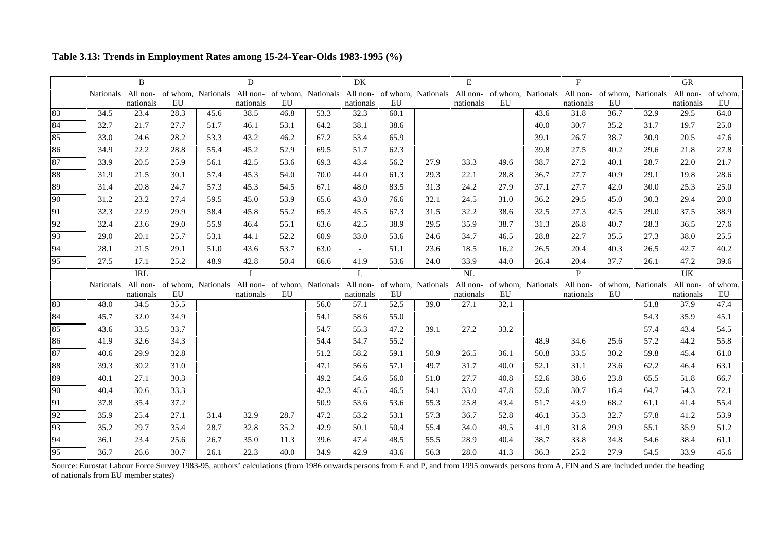**Table 3.13: Trends in Employment Rates among 15-24-Year-Olds 1983-1995 (%)**

|                      |                    | <sub>B</sub> |      |      | D         |                                                                                                                                                                                                                                |      | DK             |      |      | E         |      |      | F            |      |      | <b>GR</b> |          |
|----------------------|--------------------|--------------|------|------|-----------|--------------------------------------------------------------------------------------------------------------------------------------------------------------------------------------------------------------------------------|------|----------------|------|------|-----------|------|------|--------------|------|------|-----------|----------|
|                      |                    |              |      |      |           | Nationals All non- of whom, Nationals All non- of whom, Nationals All non- of whom, Nationals All non- of whom, Nationals All non- of whom, Nationals All non- of whom, Nationals All non- of whom, Nationals All non- of whom |      |                |      |      |           |      |      |              |      |      |           |          |
|                      |                    | nationals    | EU   |      | nationals | EU                                                                                                                                                                                                                             |      | nationals      | EU   |      | nationals | EU   |      | nationals    | EU   |      | nationals | EU       |
| 83                   | 34.5               | 23.4         | 28.3 | 45.6 | 38.5      | 46.8                                                                                                                                                                                                                           | 53.3 | 32.3           | 60.1 |      |           |      | 43.6 | 31.8         | 36.7 | 32.9 | 29.5      | 64.0     |
| 84                   | 32.7               | 21.7         | 27.7 | 51.7 | 46.1      | 53.1                                                                                                                                                                                                                           | 64.2 | 38.1           | 38.6 |      |           |      | 40.0 | 30.7         | 35.2 | 31.7 | 19.7      | 25.0     |
| 85                   | 33.0               | 24.6         | 28.2 | 53.3 | 43.2      | 46.2                                                                                                                                                                                                                           | 67.2 | 53.4           | 65.9 |      |           |      | 39.1 | 26.7         | 38.7 | 30.9 | 20.5      | 47.6     |
| 86                   | 34.9               | 22.2         | 28.8 | 55.4 | 45.2      | 52.9                                                                                                                                                                                                                           | 69.5 | 51.7           | 62.3 |      |           |      | 39.8 | 27.5         | 40.2 | 29.6 | 21.8      | 27.8     |
| 87                   | 33.9               | 20.5         | 25.9 | 56.1 | 42.5      | 53.6                                                                                                                                                                                                                           | 69.3 | 43.4           | 56.2 | 27.9 | 33.3      | 49.6 | 38.7 | 27.2         | 40.1 | 28.7 | 22.0      | 21.7     |
| 88                   | 31.9               | 21.5         | 30.1 | 57.4 | 45.3      | 54.0                                                                                                                                                                                                                           | 70.0 | 44.0           | 61.3 | 29.3 | 22.1      | 28.8 | 36.7 | 27.7         | 40.9 | 29.1 | 19.8      | 28.6     |
| 89                   | 31.4               | 20.8         | 24.7 | 57.3 | 45.3      | 54.5                                                                                                                                                                                                                           | 67.1 | 48.0           | 83.5 | 31.3 | 24.2      | 27.9 | 37.1 | 27.7         | 42.0 | 30.0 | 25.3      | 25.0     |
| 90                   | 31.2               | 23.2         | 27.4 | 59.5 | 45.0      | 53.9                                                                                                                                                                                                                           | 65.6 | 43.0           | 76.6 | 32.1 | 24.5      | 31.0 | 36.2 | 29.5         | 45.0 | 30.3 | 29.4      | 20.0     |
| 91                   | 32.3               | 22.9         | 29.9 | 58.4 | 45.8      | 55.2                                                                                                                                                                                                                           | 65.3 | 45.5           | 67.3 | 31.5 | 32.2      | 38.6 | 32.5 | 27.3         | 42.5 | 29.0 | 37.5      | 38.9     |
| 92                   | 32.4               | 23.6         | 29.0 | 55.9 | 46.4      | 55.1                                                                                                                                                                                                                           | 63.6 | 42.5           | 38.9 | 29.5 | 35.9      | 38.7 | 31.3 | 26.8         | 40.7 | 28.3 | 36.5      | 27.6     |
| 93                   | 29.0               | 20.1         | 25.7 | 53.1 | 44.1      | 52.2                                                                                                                                                                                                                           | 60.9 | 33.0           | 53.6 | 24.6 | 34.7      | 46.5 | 28.8 | 22.7         | 35.5 | 27.3 | 38.0      | 25.5     |
| 94                   | 28.1               | 21.5         | 29.1 | 51.0 | 43.6      | 53.7                                                                                                                                                                                                                           | 63.0 | $\sim$         | 51.1 | 23.6 | 18.5      | 16.2 | 26.5 | 20.4         | 40.3 | 26.5 | 42.7      | 40.2     |
| 95                   | 27.5               | 17.1         | 25.2 | 48.9 | 42.8      | 50.4                                                                                                                                                                                                                           | 66.6 | 41.9           | 53.6 | 24.0 | 33.9      | 44.0 | 26.4 | 20.4         | 37.7 | 26.1 | 47.2      | 39.6     |
|                      |                    | <b>IRL</b>   |      |      |           |                                                                                                                                                                                                                                |      | $\mathbf{I}$ . |      |      | NL        |      |      | $\mathbf{p}$ |      |      | UK        |          |
|                      |                    |              |      |      |           |                                                                                                                                                                                                                                |      |                |      |      |           |      |      |              |      |      |           |          |
|                      | Nationals All non- |              |      |      |           | of whom, Nationals All non- of whom, Nationals All non- of whom, Nationals All non- of whom, Nationals All non- of whom, Nationals All non-                                                                                    |      |                |      |      |           |      |      |              |      |      |           | of whom, |
|                      |                    | nationals    | EU   |      | nationals | EU                                                                                                                                                                                                                             |      | nationals      | EU   |      | nationals | EU   |      | nationals    | EU   |      | nationals | EU       |
|                      | 48.0               | 34.5         | 35.5 |      |           |                                                                                                                                                                                                                                | 56.0 | 57.1           | 52.5 | 39.0 | 27.1      | 32.1 |      |              |      | 51.8 | 37.9      | 47.4     |
|                      | 45.7               | 32.0         | 34.9 |      |           |                                                                                                                                                                                                                                | 54.1 | 58.6           | 55.0 |      |           |      |      |              |      | 54.3 | 35.9      | 45.1     |
| 83<br>84<br>85       | 43.6               | 33.5         | 33.7 |      |           |                                                                                                                                                                                                                                | 54.7 | 55.3           | 47.2 | 39.1 | 27.2      | 33.2 |      |              |      | 57.4 | 43.4      | 54.5     |
| 86                   | 41.9               | 32.6         | 34.3 |      |           |                                                                                                                                                                                                                                | 54.4 | 54.7           | 55.2 |      |           |      | 48.9 | 34.6         | 25.6 | 57.2 | 44.2      | 55.8     |
| 87                   | 40.6               | 29.9         | 32.8 |      |           |                                                                                                                                                                                                                                | 51.2 | 58.2           | 59.1 | 50.9 | 26.5      | 36.1 | 50.8 | 33.5         | 30.2 | 59.8 | 45.4      | 61.0     |
| 88                   | 39.3               | 30.2         | 31.0 |      |           |                                                                                                                                                                                                                                | 47.1 | 56.6           | 57.1 | 49.7 | 31.7      | 40.0 | 52.1 | 31.1         | 23.6 | 62.2 | 46.4      | 63.1     |
|                      | 40.1               | 27.1         | 30.3 |      |           |                                                                                                                                                                                                                                | 49.2 | 54.6           | 56.0 | 51.0 | 27.7      | 40.8 | 52.6 | 38.6         | 23.8 | 65.5 | 51.8      | 66.7     |
|                      | 40.4               | 30.6         | 33.3 |      |           |                                                                                                                                                                                                                                | 42.3 | 45.5           | 46.5 | 54.1 | 33.0      | 47.8 | 52.6 | 30.7         | 16.4 | 64.7 | 54.3      | 72.1     |
|                      | 37.8               | 35.4         | 37.2 |      |           |                                                                                                                                                                                                                                | 50.9 | 53.6           | 53.6 | 55.3 | 25.8      | 43.4 | 51.7 | 43.9         | 68.2 | 61.1 | 41.4      | 55.4     |
| 89<br>90<br>91<br>92 | 35.9               | 25.4         | 27.1 | 31.4 | 32.9      | 28.7                                                                                                                                                                                                                           | 47.2 | 53.2           | 53.1 | 57.3 | 36.7      | 52.8 | 46.1 | 35.3         | 32.7 | 57.8 | 41.2      | 53.9     |
| 93                   | 35.2               | 29.7         | 35.4 | 28.7 | 32.8      | 35.2                                                                                                                                                                                                                           | 42.9 | 50.1           | 50.4 | 55.4 | 34.0      | 49.5 | 41.9 | 31.8         | 29.9 | 55.1 | 35.9      | 51.2     |
| 94                   | 36.1               | 23.4         | 25.6 | 26.7 | 35.0      | 11.3                                                                                                                                                                                                                           | 39.6 | 47.4           | 48.5 | 55.5 | 28.9      | 40.4 | 38.7 | 33.8         | 34.8 | 54.6 | 38.4      | 61.1     |

Source: Eurostat Labour Force Survey 1983-95, authors' calculations (from 1986 onwards persons from E and P, and from 1995 onwards persons from A, FIN and S are included under the heading of nationals from EU member states)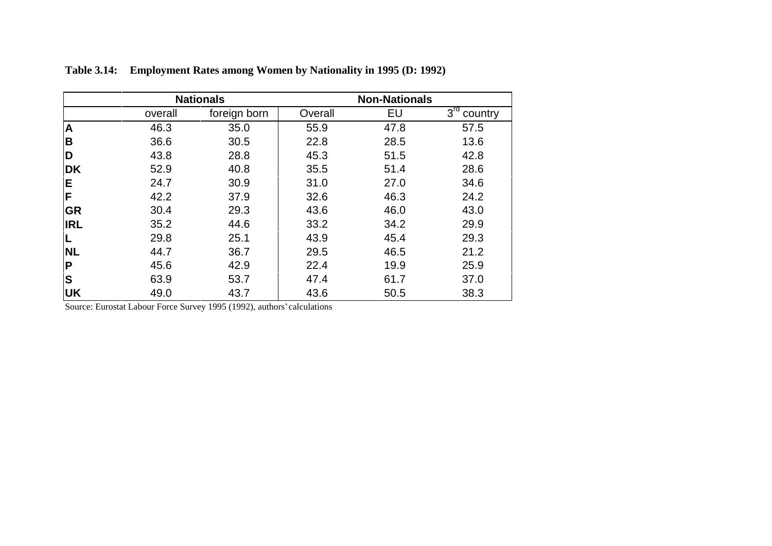|            |         | <b>Nationals</b> |         | <b>Non-Nationals</b> |                            |
|------------|---------|------------------|---------|----------------------|----------------------------|
|            | overall | foreign born     | Overall | EU                   | 3 <sup>rd</sup><br>country |
| A          | 46.3    | 35.0             | 55.9    | 47.8                 | 57.5                       |
| B          | 36.6    | 30.5             | 22.8    | 28.5                 | 13.6                       |
| D          | 43.8    | 28.8             | 45.3    | 51.5                 | 42.8                       |
| <b>DK</b>  | 52.9    | 40.8             | 35.5    | 51.4                 | 28.6                       |
| Е          | 24.7    | 30.9             | 31.0    | 27.0                 | 34.6                       |
| F          | 42.2    | 37.9             | 32.6    | 46.3                 | 24.2                       |
| <b>GR</b>  | 30.4    | 29.3             | 43.6    | 46.0                 | 43.0                       |
| <b>IRL</b> | 35.2    | 44.6             | 33.2    | 34.2                 | 29.9                       |
|            | 29.8    | 25.1             | 43.9    | 45.4                 | 29.3                       |
| <b>NL</b>  | 44.7    | 36.7             | 29.5    | 46.5                 | 21.2                       |
| P          | 45.6    | 42.9             | 22.4    | 19.9                 | 25.9                       |
| S          | 63.9    | 53.7             | 47.4    | 61.7                 | 37.0                       |
| <b>UK</b>  | 49.0    | 43.7             | 43.6    | 50.5                 | 38.3                       |

**Table 3.14: Employment Rates among Women by Nationality in 1995 (D: 1992)**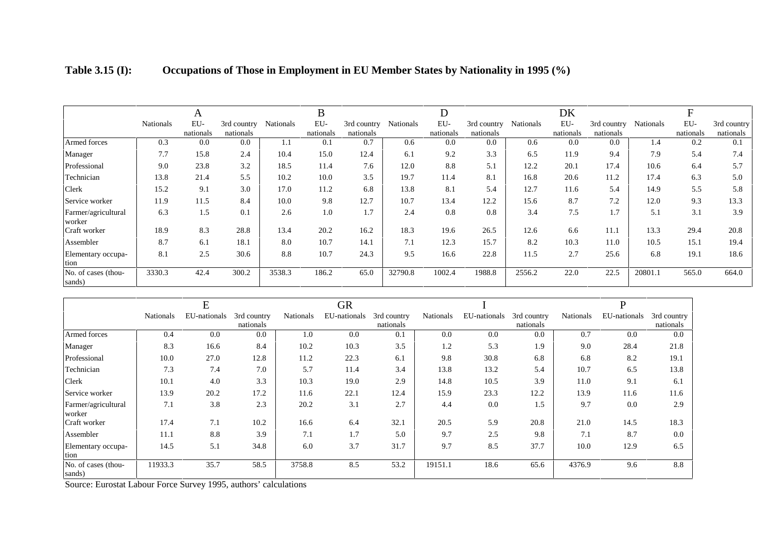|                               |                  | A                |                          |           | B                |                          |           | D                |                          |                  | DK               |                          |                  | F                |                          |
|-------------------------------|------------------|------------------|--------------------------|-----------|------------------|--------------------------|-----------|------------------|--------------------------|------------------|------------------|--------------------------|------------------|------------------|--------------------------|
|                               | <b>Nationals</b> | EU-<br>nationals | 3rd country<br>nationals | Nationals | EU-<br>nationals | 3rd country<br>nationals | Nationals | EU-<br>nationals | 3rd country<br>nationals | <b>Nationals</b> | EU-<br>nationals | 3rd country<br>nationals | <b>Nationals</b> | EU-<br>nationals | 3rd country<br>nationals |
| Armed forces                  | 0.3              | 0.0              | 0.0                      | 1.1       | 0.1              | 0.7                      | 0.6       | 0.0              | 0.0                      | 0.6              | 0.0              | 0.0                      | 1.4              | 0.2              | 0.1                      |
| Manager                       | 7.7              | 15.8             | 2.4                      | 10.4      | 15.0             | 12.4                     | 6.1       | 9.2              | 3.3                      | 6.5              | 11.9             | 9.4                      | 7.9              | 5.4              | 7.4                      |
| Professional                  | 9.0              | 23.8             | 3.2                      | 18.5      | 11.4             | 7.6                      | 12.0      | 8.8              | 5.1                      | 12.2             | 20.1             | 17.4                     | 10.6             | 6.4              | 5.7                      |
| Technician                    | 13.8             | 21.4             | 5.5                      | 10.2      | 10.0             | 3.5                      | 19.7      | 11.4             | 8.1                      | 16.8             | 20.6             | 11.2                     | 17.4             | 6.3              | 5.0                      |
| Clerk                         | 15.2             | 9.1              | 3.0                      | 17.0      | 11.2             | 6.8                      | 13.8      | 8.1              | 5.4                      | 12.7             | 11.6             | 5.4                      | 14.9             | 5.5              | 5.8                      |
| Service worker                | 11.9             | 11.5             | 8.4                      | 10.0      | 9.8              | 12.7                     | 10.7      | 13.4             | 12.2                     | 15.6             | 8.7              | 7.2                      | 12.0             | 9.3              | 13.3                     |
| Farmer/agricultural<br>worker | 6.3              | 1.5              | 0.1                      | 2.6       | 1.0              | 1.7                      | 2.4       | 0.8              | 0.8                      | 3.4              | 7.5              | 1.7                      | 5.1              | 3.1              | 3.9                      |
| Craft worker                  | 18.9             | 8.3              | 28.8                     | 13.4      | 20.2             | 16.2                     | 18.3      | 19.6             | 26.5                     | 12.6             | 6.6              | 11.1                     | 13.3             | 29.4             | 20.8                     |
| Assembler                     | 8.7              | 6.1              | 18.1                     | 8.0       | 10.7             | 14.1                     | 7.1       | 12.3             | 15.7                     | 8.2              | 10.3             | 11.0                     | 10.5             | 15.1             | 19.4                     |
| Elementary occupa-<br>tion    | 8.1              | 2.5              | 30.6                     | 8.8       | 10.7             | 24.3                     | 9.5       | 16.6             | 22.8                     | 11.5             | 2.7              | 25.6                     | 6.8              | 19.1             | 18.6                     |
| No. of cases (thou-<br>sands) | 3330.3           | 42.4             | 300.2                    | 3538.3    | 186.2            | 65.0                     | 32790.8   | 1002.4           | 1988.8                   | 2556.2           | 22.0             | 22.5                     | 20801.1          | 565.0            | 664.0                    |

| <b>Table 3.15 (I):</b> | Occupations of Those in Employment in EU Member States by Nationality in 1995 (%) |  |  |
|------------------------|-----------------------------------------------------------------------------------|--|--|
|                        |                                                                                   |  |  |

|                               |           | E            |                          |           | GR           |                          |           |              |                          |           | D            |                          |
|-------------------------------|-----------|--------------|--------------------------|-----------|--------------|--------------------------|-----------|--------------|--------------------------|-----------|--------------|--------------------------|
|                               | Nationals | EU-nationals | 3rd country<br>nationals | Nationals | EU-nationals | 3rd country<br>nationals | Nationals | EU-nationals | 3rd country<br>nationals | Nationals | EU-nationals | 3rd country<br>nationals |
| Armed forces                  | 0.4       | 0.0          | 0.0                      | 1.0       | 0.0          | 0.1                      | 0.0       | 0.0          | 0.0                      | 0.7       | 0.0          | 0.0                      |
| Manager                       | 8.3       | 16.6         | 8.4                      | 10.2      | 10.3         | 3.5                      | 1.2       | 5.3          | 1.9                      | 9.0       | 28.4         | 21.8                     |
| Professional                  | 10.0      | 27.0         | 12.8                     | 11.2      | 22.3         | 6.1                      | 9.8       | 30.8         | 6.8                      | 6.8       | 8.2          | 19.1                     |
| Technician                    | 7.3       | 7.4          | 7.0                      | 5.7       | 11.4         | 3.4                      | 13.8      | 13.2         | 5.4                      | 10.7      | 6.5          | 13.8                     |
| Clerk                         | 10.1      | 4.0          | 3.3                      | 10.3      | 19.0         | 2.9                      | 14.8      | 10.5         | 3.9                      | 11.0      | 9.1          | 6.1                      |
| Service worker                | 13.9      | 20.2         | 17.2                     | 11.6      | 22.1         | 12.4                     | 15.9      | 23.3         | 12.2                     | 13.9      | 11.6         | 11.6                     |
| Farmer/agricultural<br>worker | 7.1       | 3.8          | 2.3                      | 20.2      | 3.1          | 2.7                      | 4.4       | 0.0          | 1.5                      | 9.7       | 0.0          | 2.9                      |
| Craft worker                  | 17.4      | 7.1          | 10.2                     | 16.6      | 6.4          | 32.1                     | 20.5      | 5.9          | 20.8                     | 21.0      | 14.5         | 18.3                     |
| Assembler                     | 11.1      | 8.8          | 3.9                      | 7.1       | 1.7          | 5.0                      | 9.7       | 2.5          | 9.8                      | 7.1       | 8.7          | 0.0                      |
| Elementary occupa-<br>tion    | 14.5      | 5.1          | 34.8                     | 6.0       | 3.7          | 31.7                     | 9.7       | 8.5          | 37.7                     | 10.0      | 12.9         | 6.5                      |
| No. of cases (thou-<br>sands) | 11933.3   | 35.7         | 58.5                     | 3758.8    | 8.5          | 53.2                     | 19151.1   | 18.6         | 65.6                     | 4376.9    | 9.6          | 8.8                      |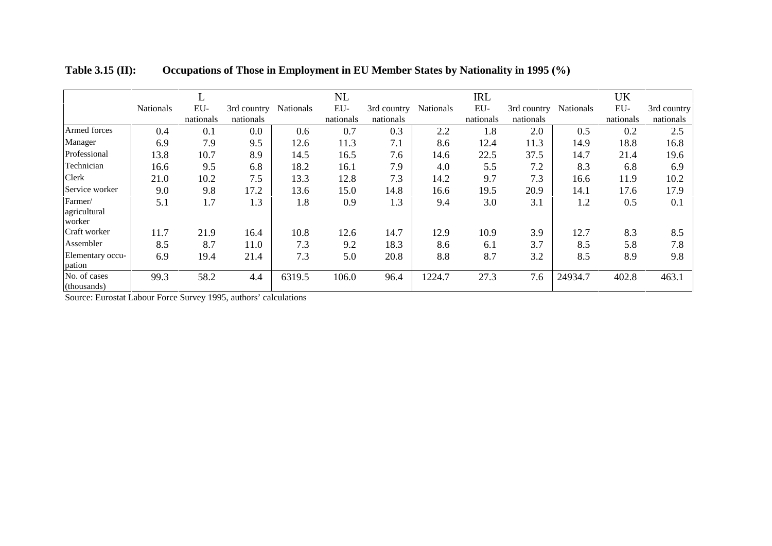|                             |                  | ட         |             |           | NL        |             |                  | <b>IRL</b> |             |                  | <b>UK</b> |             |
|-----------------------------|------------------|-----------|-------------|-----------|-----------|-------------|------------------|------------|-------------|------------------|-----------|-------------|
|                             | <b>Nationals</b> | EU-       | 3rd country | Nationals | EU-       | 3rd country | <b>Nationals</b> | EU-        | 3rd country | <b>Nationals</b> | EU-       | 3rd country |
|                             |                  | nationals | nationals   |           | nationals | nationals   |                  | nationals  | nationals   |                  | nationals | nationals   |
| Armed forces                | 0.4              | 0.1       | 0.0         | 0.6       | 0.7       | 0.3         | 2.2              | 1.8        | 2.0         | 0.5              | 0.2       | 2.5         |
| Manager                     | 6.9              | 7.9       | 9.5         | 12.6      | 11.3      | 7.1         | 8.6              | 12.4       | 11.3        | 14.9             | 18.8      | 16.8        |
| Professional                | 13.8             | 10.7      | 8.9         | 14.5      | 16.5      | 7.6         | 14.6             | 22.5       | 37.5        | 14.7             | 21.4      | 19.6        |
| Technician                  | 16.6             | 9.5       | 6.8         | 18.2      | 16.1      | 7.9         | 4.0              | 5.5        | 7.2         | 8.3              | 6.8       | 6.9         |
| <b>Clerk</b>                | 21.0             | 10.2      | 7.5         | 13.3      | 12.8      | 7.3         | 14.2             | 9.7        | 7.3         | 16.6             | 11.9      | 10.2        |
| Service worker              | 9.0              | 9.8       | 17.2        | 13.6      | 15.0      | 14.8        | 16.6             | 19.5       | 20.9        | 14.1             | 17.6      | 17.9        |
| Farmer/                     | 5.1              | 1.7       | 1.3         | 1.8       | 0.9       | 1.3         | 9.4              | 3.0        | 3.1         | 1.2              | 0.5       | 0.1         |
| agricultural<br>worker      |                  |           |             |           |           |             |                  |            |             |                  |           |             |
| Craft worker                | 11.7             | 21.9      | 16.4        | 10.8      | 12.6      | 14.7        | 12.9             | 10.9       | 3.9         | 12.7             | 8.3       | 8.5         |
| Assembler                   | 8.5              | 8.7       | 11.0        | 7.3       | 9.2       | 18.3        | 8.6              | 6.1        | 3.7         | 8.5              | 5.8       | 7.8         |
| Elementary occu-<br>pation  | 6.9              | 19.4      | 21.4        | 7.3       | 5.0       | 20.8        | 8.8              | 8.7        | 3.2         | 8.5              | 8.9       | 9.8         |
| No. of cases<br>(thousands) | 99.3             | 58.2      | 4.4         | 6319.5    | 106.0     | 96.4        | 1224.7           | 27.3       | 7.6         | 24934.7          | 402.8     | 463.1       |

**Table 3.15 (II): Occupations of Those in Employment in EU Member States by Nationality in 1995 (%)**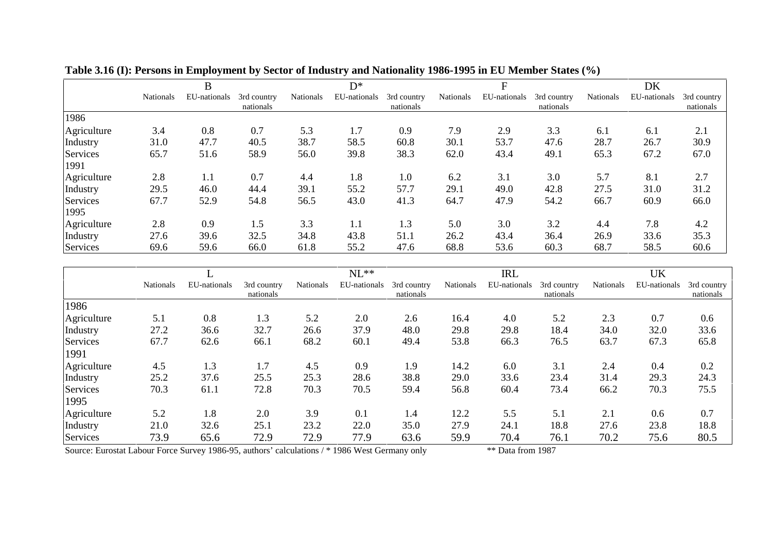|                  |                  | B            |                          |           | $D^*$        |                          |           | F            |                          |           | DK           |                          |
|------------------|------------------|--------------|--------------------------|-----------|--------------|--------------------------|-----------|--------------|--------------------------|-----------|--------------|--------------------------|
|                  | <b>Nationals</b> | EU-nationals | 3rd country<br>nationals | Nationals | EU-nationals | 3rd country<br>nationals | Nationals | EU-nationals | 3rd country<br>nationals | Nationals | EU-nationals | 3rd country<br>nationals |
| 1986             |                  |              |                          |           |              |                          |           |              |                          |           |              |                          |
| Agriculture      | 3.4              | 0.8          | 0.7                      | 5.3       | 1.7          | 0.9                      | 7.9       | 2.9          | 3.3                      | 6.1       | 6.1          | 2.1                      |
| Industry         | 31.0             | 47.7         | 40.5                     | 38.7      | 58.5         | 60.8                     | 30.1      | 53.7         | 47.6                     | 28.7      | 26.7         | 30.9                     |
| Services<br>1991 | 65.7             | 51.6         | 58.9                     | 56.0      | 39.8         | 38.3                     | 62.0      | 43.4         | 49.1                     | 65.3      | 67.2         | 67.0                     |
| Agriculture      | 2.8              | 1.1          | 0.7                      | 4.4       | 1.8          | 1.0                      | 6.2       | 3.1          | 3.0                      | 5.7       | 8.1          | 2.7                      |
| Industry         | 29.5             | 46.0         | 44.4                     | 39.1      | 55.2         | 57.7                     | 29.1      | 49.0         | 42.8                     | 27.5      | 31.0         | 31.2                     |
| Services<br>1995 | 67.7             | 52.9         | 54.8                     | 56.5      | 43.0         | 41.3                     | 64.7      | 47.9         | 54.2                     | 66.7      | 60.9         | 66.0                     |
| Agriculture      | 2.8              | 0.9          | 1.5                      | 3.3       | 1.1          | 1.3                      | 5.0       | 3.0          | 3.2                      | 4.4       | 7.8          | 4.2                      |
| Industry         | 27.6             | 39.6         | 32.5                     | 34.8      | 43.8         | 51.1                     | 26.2      | 43.4         | 36.4                     | 26.9      | 33.6         | 35.3                     |
| Services         | 69.6             | 59.6         | 66.0                     | 61.8      | 55.2         | 47.6                     | 68.8      | 53.6         | 60.3                     | 68.7      | 58.5         | 60.6                     |

**Table 3.16 (I): Persons in Employment by Sector of Industry and Nationality 1986-1995 in EU Member States (%)**

|             |                  |              |                          |                  | $NL**$       |                          |           | <b>IRL</b>   |                          |                  | <b>UK</b>    |                          |
|-------------|------------------|--------------|--------------------------|------------------|--------------|--------------------------|-----------|--------------|--------------------------|------------------|--------------|--------------------------|
|             | <b>Nationals</b> | EU-nationals | 3rd country<br>nationals | <b>Nationals</b> | EU-nationals | 3rd country<br>nationals | Nationals | EU-nationals | 3rd country<br>nationals | <b>Nationals</b> | EU-nationals | 3rd country<br>nationals |
| 1986        |                  |              |                          |                  |              |                          |           |              |                          |                  |              |                          |
| Agriculture | 5.1              | 0.8          | 1.3                      | 5.2              | 2.0          | 2.6                      | 16.4      | 4.0          | 5.2                      | 2.3              | 0.7          | 0.6                      |
| Industry    | 27.2             | 36.6         | 32.7                     | 26.6             | 37.9         | 48.0                     | 29.8      | 29.8         | 18.4                     | 34.0             | 32.0         | 33.6                     |
| Services    | 67.7             | 62.6         | 66.1                     | 68.2             | 60.1         | 49.4                     | 53.8      | 66.3         | 76.5                     | 63.7             | 67.3         | 65.8                     |
| 1991        |                  |              |                          |                  |              |                          |           |              |                          |                  |              |                          |
| Agriculture | 4.5              | 1.3          | 1.7                      | 4.5              | 0.9          | 1.9                      | 14.2      | 6.0          | 3.1                      | 2.4              | 0.4          | 0.2                      |
| Industry    | 25.2             | 37.6         | 25.5                     | 25.3             | 28.6         | 38.8                     | 29.0      | 33.6         | 23.4                     | 31.4             | 29.3         | 24.3                     |
| Services    | 70.3             | 61.1         | 72.8                     | 70.3             | 70.5         | 59.4                     | 56.8      | 60.4         | 73.4                     | 66.2             | 70.3         | 75.5                     |
| 1995        |                  |              |                          |                  |              |                          |           |              |                          |                  |              |                          |
| Agriculture | 5.2              | 1.8          | 2.0                      | 3.9              | 0.1          | 1.4                      | 12.2      | 5.5          | 5.1                      | 2.1              | 0.6          | 0.7                      |
| Industry    | 21.0             | 32.6         | 25.1                     | 23.2             | 22.0         | 35.0                     | 27.9      | 24.1         | 18.8                     | 27.6             | 23.8         | 18.8                     |
| Services    | 73.9             | 65.6         | 72.9                     | 72.9             | 77.9         | 63.6                     | 59.9      | 70.4         | 76.1                     | 70.2             | 75.6         | 80.5                     |

Source: Eurostat Labour Force Survey 1986-95, authors' calculations / \* 1986 West Germany only \*\* Data from 1987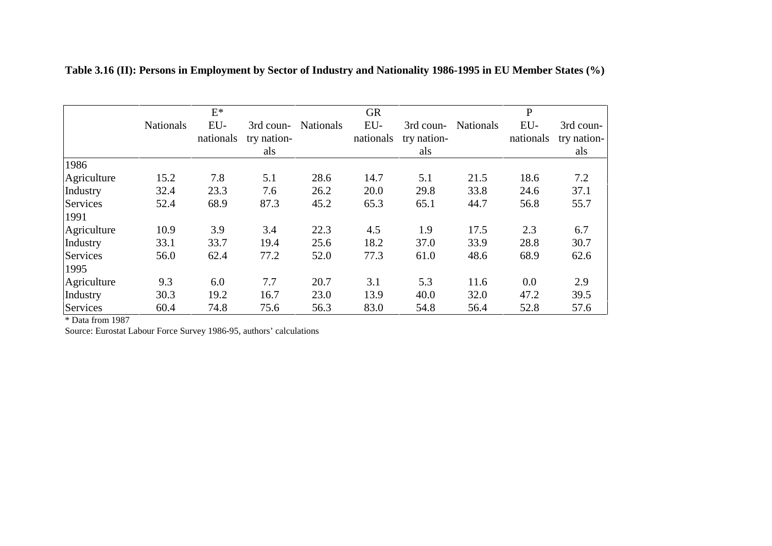|                  |                  | $\mathrm{E}^*$   |                                 |                  | <b>GR</b>        |                                 |                  | $\mathbf P$      |                                 |
|------------------|------------------|------------------|---------------------------------|------------------|------------------|---------------------------------|------------------|------------------|---------------------------------|
|                  | <b>Nationals</b> | EU-<br>nationals | 3rd coun-<br>try nation-<br>als | <b>Nationals</b> | EU-<br>nationals | 3rd coun-<br>try nation-<br>als | <b>Nationals</b> | EU-<br>nationals | 3rd coun-<br>try nation-<br>als |
| 1986             |                  |                  |                                 |                  |                  |                                 |                  |                  |                                 |
| Agriculture      | 15.2             | 7.8              | 5.1                             | 28.6             | 14.7             | 5.1                             | 21.5             | 18.6             | 7.2                             |
| Industry         | 32.4             | 23.3             | 7.6                             | 26.2             | 20.0             | 29.8                            | 33.8             | 24.6             | 37.1                            |
| Services<br>1991 | 52.4             | 68.9             | 87.3                            | 45.2             | 65.3             | 65.1                            | 44.7             | 56.8             | 55.7                            |
| Agriculture      | 10.9             | 3.9              | 3.4                             | 22.3             | 4.5              | 1.9                             | 17.5             | 2.3              | 6.7                             |
| Industry         | 33.1             | 33.7             | 19.4                            | 25.6             | 18.2             | 37.0                            | 33.9             | 28.8             | 30.7                            |
| Services<br>1995 | 56.0             | 62.4             | 77.2                            | 52.0             | 77.3             | 61.0                            | 48.6             | 68.9             | 62.6                            |
| Agriculture      | 9.3              | 6.0              | 7.7                             | 20.7             | 3.1              | 5.3                             | 11.6             | 0.0              | 2.9                             |
| Industry         | 30.3             | 19.2             | 16.7                            | 23.0             | 13.9             | 40.0                            | 32.0             | 47.2             | 39.5                            |
| Services         | 60.4             | 74.8             | 75.6                            | 56.3             | 83.0             | 54.8                            | 56.4             | 52.8             | 57.6                            |

**Table 3.16 (II): Persons in Employment by Sector of Industry and Nationality 1986-1995 in EU Member States (%)**

\* Data from 1987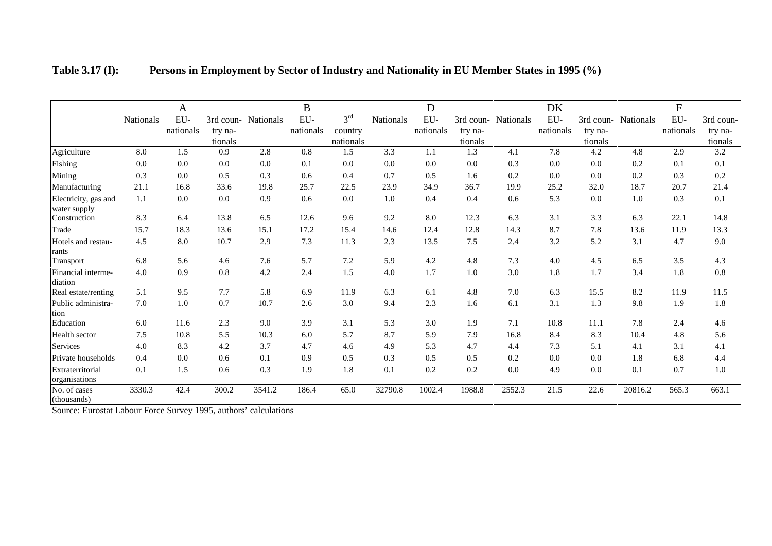|                                                                                                                                                                             |           | $\mathbf{A}$ |                    |                     | $\bf{B}$  |                      |                  | D            |                    |                     | DK           |                    |           | ${\bf F}$ |                    |
|-----------------------------------------------------------------------------------------------------------------------------------------------------------------------------|-----------|--------------|--------------------|---------------------|-----------|----------------------|------------------|--------------|--------------------|---------------------|--------------|--------------------|-----------|-----------|--------------------|
|                                                                                                                                                                             | Nationals | ${\rm EU}$ - |                    | 3rd coun- Nationals | EU-       | 3 <sup>rd</sup>      | Nationals        | ${\rm EU}$ - |                    | 3rd coun- Nationals | ${\rm EU}$ - | 3rd coun-          | Nationals | EU-       | 3rd coun-          |
|                                                                                                                                                                             |           | nationals    | try na-<br>tionals |                     | nationals | country<br>nationals |                  | nationals    | try na-<br>tionals |                     | nationals    | try na-<br>tionals |           | nationals | try na-<br>tionals |
| Agriculture                                                                                                                                                                 | 8.0       | 1.5          | 0.9                | 2.8                 | 0.8       | 1.5                  | $\overline{3.3}$ | 1.1          | 1.3                | 4.1                 | 7.8          | 4.2                | 4.8       | 2.9       | $\overline{3.2}$   |
| Fishing                                                                                                                                                                     | 0.0       | 0.0          | 0.0                | 0.0                 | 0.1       | 0.0                  | 0.0              | 0.0          | 0.0                | 0.3                 | 0.0          | 0.0                | 0.2       | 0.1       | 0.1                |
| Mining                                                                                                                                                                      | 0.3       | 0.0          | 0.5                | 0.3                 | 0.6       | 0.4                  | 0.7              | 0.5          | 1.6                | 0.2                 | 0.0          | 0.0                | 0.2       | 0.3       | 0.2                |
| Manufacturing                                                                                                                                                               | 21.1      | 16.8         | 33.6               | 19.8                | 25.7      | 22.5                 | 23.9             | 34.9         | 36.7               | 19.9                | 25.2         | 32.0               | 18.7      | 20.7      | 21.4               |
| Electricity, gas and<br>water supply                                                                                                                                        | 1.1       | 0.0          | 0.0                | 0.9                 | 0.6       | 0.0                  | 1.0              | 0.4          | 0.4                | 0.6                 | 5.3          | 0.0                | 1.0       | 0.3       | 0.1                |
| Construction                                                                                                                                                                | 8.3       | 6.4          | 13.8               | 6.5                 | 12.6      | 9.6                  | 9.2              | 8.0          | 12.3               | 6.3                 | 3.1          | 3.3                | 6.3       | 22.1      | 14.8               |
| Trade                                                                                                                                                                       | 15.7      | 18.3         | 13.6               | 15.1                | 17.2      | 15.4                 | 14.6             | 12.4         | 12.8               | 14.3                | 8.7          | 7.8                | 13.6      | 11.9      | 13.3               |
| Hotels and restau-<br>rants                                                                                                                                                 | 4.5       | 8.0          | 10.7               | 2.9                 | 7.3       | 11.3                 | 2.3              | 13.5         | 7.5                | 2.4                 | 3.2          | 5.2                | 3.1       | 4.7       | 9.0                |
| Transport                                                                                                                                                                   | 6.8       | 5.6          | 4.6                | 7.6                 | 5.7       | 7.2                  | 5.9              | 4.2          | 4.8                | 7.3                 | 4.0          | 4.5                | 6.5       | 3.5       | 4.3                |
| Financial interme-<br>diation                                                                                                                                               | 4.0       | 0.9          | 0.8                | 4.2                 | 2.4       | 1.5                  | 4.0              | 1.7          | 1.0                | 3.0                 | 1.8          | 1.7                | 3.4       | 1.8       | 0.8                |
| Real estate/renting                                                                                                                                                         | 5.1       | 9.5          | 7.7                | 5.8                 | 6.9       | 11.9                 | 6.3              | 6.1          | 4.8                | 7.0                 | 6.3          | 15.5               | 8.2       | 11.9      | 11.5               |
| Public administra-<br>tion                                                                                                                                                  | $7.0\,$   | 1.0          | 0.7                | 10.7                | 2.6       | 3.0                  | 9.4              | 2.3          | 1.6                | 6.1                 | 3.1          | 1.3                | 9.8       | 1.9       | 1.8                |
| Education                                                                                                                                                                   | 6.0       | 11.6         | 2.3                | 9.0                 | 3.9       | 3.1                  | 5.3              | 3.0          | 1.9                | 7.1                 | 10.8         | 11.1               | 7.8       | 2.4       | 4.6                |
| Health sector                                                                                                                                                               | 7.5       | 10.8         | 5.5                | 10.3                | 6.0       | 5.7                  | 8.7              | 5.9          | 7.9                | 16.8                | 8.4          | 8.3                | 10.4      | 4.8       | 5.6                |
| Services                                                                                                                                                                    | 4.0       | 8.3          | 4.2                | 3.7                 | 4.7       | 4.6                  | 4.9              | 5.3          | 4.7                | 4.4                 | 7.3          | 5.1                | 4.1       | 3.1       | 4.1                |
| Private households                                                                                                                                                          | 0.4       | 0.0          | 0.6                | 0.1                 | 0.9       | 0.5                  | 0.3              | 0.5          | 0.5                | 0.2                 | 0.0          | 0.0                | 1.8       | 6.8       | 4.4                |
| Extraterritorial<br>organisations                                                                                                                                           | 0.1       | 1.5          | 0.6                | 0.3                 | 1.9       | 1.8                  | 0.1              | 0.2          | 0.2                | $0.0\,$             | 4.9          | 0.0                | 0.1       | 0.7       | 1.0                |
| No. of cases<br>(thousands)<br>$\Omega$ , and $\Gamma$ and $\Gamma$ the $\Gamma$ and $\Omega$ are $\Gamma$ and $\Gamma$ and $\Gamma$ and $\Gamma$ and $\Gamma$ and $\Gamma$ | 3330.3    | 42.4         | 300.2              | 3541.2              | 186.4     | 65.0                 | 32790.8          | 1002.4       | 1988.8             | 2552.3              | 21.5         | 22.6               | 20816.2   | 565.3     | 663.1              |

| <b>Table 3.17 (I):</b> | Persons in Employment by Sector of Industry and Nationality in EU Member States in 1995 (%) |  |  |
|------------------------|---------------------------------------------------------------------------------------------|--|--|
|                        |                                                                                             |  |  |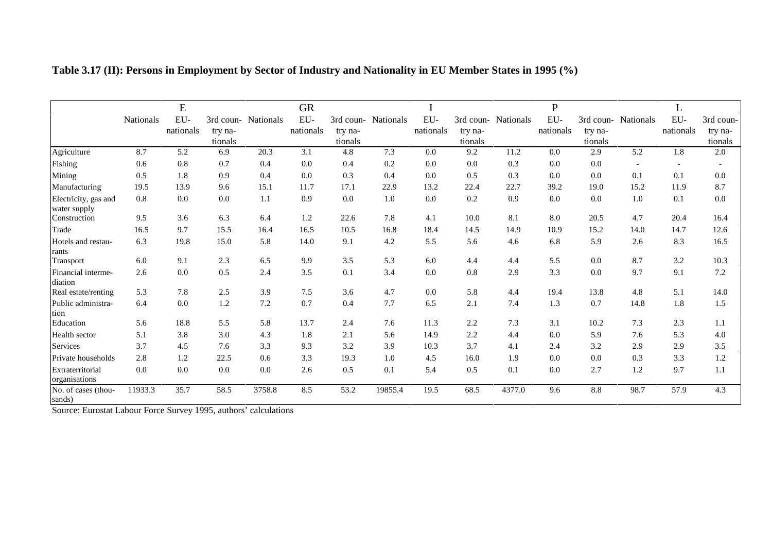|                                                                                                     |                  | E            |                    |                     | <b>GR</b> |                    |           |           |                    |                     | ${\bf P}$    |                    |                  | L         |                    |
|-----------------------------------------------------------------------------------------------------|------------------|--------------|--------------------|---------------------|-----------|--------------------|-----------|-----------|--------------------|---------------------|--------------|--------------------|------------------|-----------|--------------------|
|                                                                                                     | <b>Nationals</b> | ${\rm EU}$ - |                    | 3rd coun- Nationals | EU-       | 3rd coun-          | Nationals | EU-       |                    | 3rd coun- Nationals | ${\rm EU}$ - | 3rd coun-          | Nationals        | EU-       | 3rd coun-          |
|                                                                                                     |                  | nationals    | try na-<br>tionals |                     | nationals | try na-<br>tionals |           | nationals | try na-<br>tionals |                     | nationals    | try na-<br>tionals |                  | nationals | try na-<br>tionals |
| Agriculture                                                                                         | 8.7              | 5.2          | 6.9                | 20.3                | 3.1       | 4.8                | 7.3       | 0.0       | 9.2                | 11.2                | 0.0          | 2.9                | $\overline{5.2}$ | 1.8       | 2.0                |
| Fishing                                                                                             | 0.6              | $0.8\,$      | 0.7                | 0.4                 | 0.0       | 0.4                | 0.2       | 0.0       | 0.0                | 0.3                 | 0.0          | 0.0                |                  |           |                    |
| Mining                                                                                              | 0.5              | 1.8          | 0.9                | 0.4                 | 0.0       | 0.3                | 0.4       | 0.0       | 0.5                | 0.3                 | 0.0          | 0.0                | 0.1              | 0.1       | 0.0                |
| Manufacturing                                                                                       | 19.5             | 13.9         | 9.6                | 15.1                | 11.7      | 17.1               | 22.9      | 13.2      | 22.4               | 22.7                | 39.2         | 19.0               | 15.2             | 11.9      | 8.7                |
| Electricity, gas and<br>water supply                                                                | 0.8              | 0.0          | 0.0                | 1.1                 | 0.9       | 0.0                | 1.0       | 0.0       | 0.2                | 0.9                 | 0.0          | 0.0                | 1.0              | 0.1       | 0.0                |
| Construction                                                                                        | 9.5              | 3.6          | 6.3                | 6.4                 | 1.2       | 22.6               | 7.8       | 4.1       | 10.0               | 8.1                 | 8.0          | 20.5               | 4.7              | 20.4      | 16.4               |
| Trade                                                                                               | 16.5             | 9.7          | 15.5               | 16.4                | 16.5      | 10.5               | 16.8      | 18.4      | 14.5               | 14.9                | 10.9         | 15.2               | 14.0             | 14.7      | 12.6               |
| Hotels and restau-<br>rants                                                                         | 6.3              | 19.8         | 15.0               | 5.8                 | 14.0      | 9.1                | 4.2       | 5.5       | 5.6                | 4.6                 | 6.8          | 5.9                | 2.6              | 8.3       | 16.5               |
| Transport                                                                                           | 6.0              | 9.1          | 2.3                | 6.5                 | 9.9       | 3.5                | 5.3       | 6.0       | 4.4                | 4.4                 | 5.5          | 0.0                | 8.7              | 3.2       | 10.3               |
| Financial interme-<br>diation                                                                       | 2.6              | 0.0          | 0.5                | 2.4                 | 3.5       | 0.1                | 3.4       | 0.0       | 0.8                | 2.9                 | 3.3          | 0.0                | 9.7              | 9.1       | 7.2                |
| Real estate/renting                                                                                 | 5.3              | 7.8          | 2.5                | 3.9                 | 7.5       | 3.6                | 4.7       | 0.0       | 5.8                | 4.4                 | 19.4         | 13.8               | 4.8              | 5.1       | 14.0               |
| Public administra-<br>tion                                                                          | 6.4              | $0.0\,$      | 1.2                | 7.2                 | 0.7       | 0.4                | 7.7       | 6.5       | 2.1                | 7.4                 | 1.3          | 0.7                | 14.8             | 1.8       | 1.5                |
| Education                                                                                           | 5.6              | 18.8         | 5.5                | 5.8                 | 13.7      | 2.4                | 7.6       | 11.3      | 2.2                | 7.3                 | 3.1          | 10.2               | 7.3              | 2.3       | 1.1                |
| Health sector                                                                                       | 5.1              | 3.8          | 3.0                | 4.3                 | 1.8       | 2.1                | 5.6       | 14.9      | 2.2                | 4.4                 | 0.0          | 5.9                | 7.6              | 5.3       | 4.0                |
| Services                                                                                            | 3.7              | 4.5          | 7.6                | 3.3                 | 9.3       | 3.2                | 3.9       | 10.3      | 3.7                | 4.1                 | 2.4          | 3.2                | 2.9              | 2.9       | 3.5                |
| Private households                                                                                  | 2.8              | 1.2          | 22.5               | 0.6                 | 3.3       | 19.3               | 1.0       | 4.5       | 16.0               | 1.9                 | 0.0          | 0.0                | 0.3              | 3.3       | 1.2                |
| Extraterritorial<br>organisations                                                                   | 0.0              | $0.0\,$      | 0.0                | 0.0                 | 2.6       | 0.5                | 0.1       | 5.4       | 0.5                | 0.1                 | 0.0          | 2.7                | 1.2              | 9.7       | 1.1                |
| No. of cases (thou-<br>sands)<br>Counce: Eugenia: Labour Eagen Counces 1005, authors, and relations | 11933.3          | 35.7         | 58.5               | 3758.8              | 8.5       | 53.2               | 19855.4   | 19.5      | 68.5               | 4377.0              | 9.6          | 8.8                | 98.7             | 57.9      | 4.3                |

**Table 3.17 (II): Persons in Employment by Sector of Industry and Nationality in EU Member States in 1995 (%)**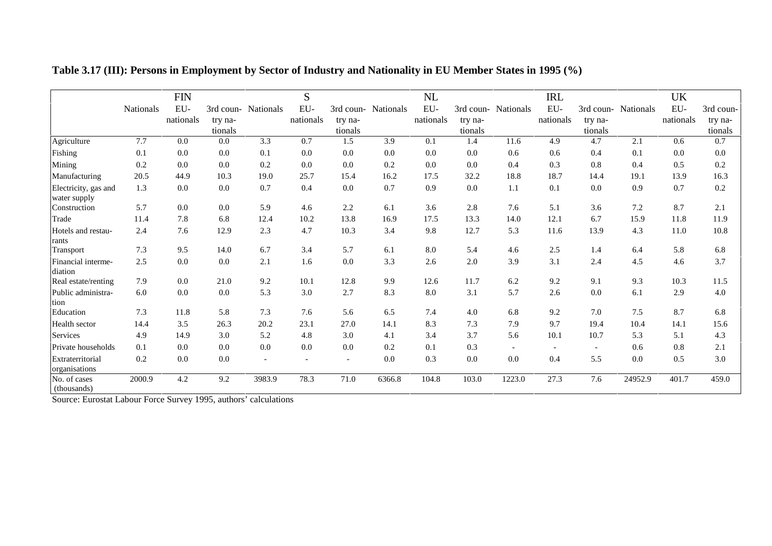|                                      |           | <b>FIN</b> |         |                          | S         |           |                  | NL        |         |                          | <b>IRL</b> |         |                     | <b>UK</b> |           |
|--------------------------------------|-----------|------------|---------|--------------------------|-----------|-----------|------------------|-----------|---------|--------------------------|------------|---------|---------------------|-----------|-----------|
|                                      | Nationals | EU-        |         | 3rd coun- Nationals      | EU-       | 3rd coun- | <b>Nationals</b> | $EU-$     |         | 3rd coun- Nationals      | EU-        |         | 3rd coun- Nationals | EU-       | 3rd coun- |
|                                      |           | nationals  | try na- |                          | nationals | try na-   |                  | nationals | try na- |                          | nationals  | try na- |                     | nationals | try na-   |
|                                      |           |            | tionals |                          |           | tionals   |                  |           | tionals |                          |            | tionals |                     |           | tionals   |
| Agriculture                          | 7.7       | 0.0        | 0.0     | 3.3                      | 0.7       | 1.5       | 3.9              | 0.1       | 1.4     | 11.6                     | 4.9        | 4.7     | 2.1                 | 0.6       | 0.7       |
| Fishing                              | 0.1       | 0.0        | 0.0     | 0.1                      | 0.0       | 0.0       | 0.0              | 0.0       | 0.0     | 0.6                      | 0.6        | 0.4     | 0.1                 | 0.0       | 0.0       |
| Mining                               | 0.2       | 0.0        | 0.0     | 0.2                      | 0.0       | 0.0       | 0.2              | 0.0       | 0.0     | 0.4                      | 0.3        | 0.8     | 0.4                 | 0.5       | 0.2       |
| Manufacturing                        | 20.5      | 44.9       | 10.3    | 19.0                     | 25.7      | 15.4      | 16.2             | 17.5      | 32.2    | 18.8                     | 18.7       | 14.4    | 19.1                | 13.9      | 16.3      |
| Electricity, gas and<br>water supply | 1.3       | 0.0        | 0.0     | 0.7                      | 0.4       | 0.0       | 0.7              | 0.9       | 0.0     | 1.1                      | 0.1        | 0.0     | 0.9                 | 0.7       | 0.2       |
| Construction                         | 5.7       | 0.0        | 0.0     | 5.9                      | 4.6       | 2.2       | 6.1              | 3.6       | 2.8     | 7.6                      | 5.1        | 3.6     | 7.2                 | 8.7       | 2.1       |
| Trade                                | 11.4      | 7.8        | 6.8     | 12.4                     | 10.2      | 13.8      | 16.9             | 17.5      | 13.3    | 14.0                     | 12.1       | 6.7     | 15.9                | 11.8      | 11.9      |
| Hotels and restau-<br>rants          | 2.4       | 7.6        | 12.9    | 2.3                      | 4.7       | 10.3      | 3.4              | 9.8       | 12.7    | 5.3                      | 11.6       | 13.9    | 4.3                 | 11.0      | 10.8      |
| Transport                            | 7.3       | 9.5        | 14.0    | 6.7                      | 3.4       | 5.7       | 6.1              | 8.0       | 5.4     | 4.6                      | 2.5        | 1.4     | 6.4                 | 5.8       | 6.8       |
| Financial interme-<br>diation        | 2.5       | 0.0        | 0.0     | 2.1                      | 1.6       | 0.0       | 3.3              | 2.6       | 2.0     | 3.9                      | 3.1        | 2.4     | 4.5                 | 4.6       | 3.7       |
| Real estate/renting                  | 7.9       | 0.0        | 21.0    | 9.2                      | 10.1      | 12.8      | 9.9              | 12.6      | 11.7    | 6.2                      | 9.2        | 9.1     | 9.3                 | 10.3      | 11.5      |
| Public administra-<br>tion           | 6.0       | $0.0\,$    | 0.0     | 5.3                      | 3.0       | 2.7       | 8.3              | 8.0       | 3.1     | 5.7                      | 2.6        | 0.0     | 6.1                 | 2.9       | 4.0       |
| Education                            | 7.3       | 11.8       | 5.8     | 7.3                      | 7.6       | 5.6       | 6.5              | 7.4       | 4.0     | 6.8                      | 9.2        | 7.0     | 7.5                 | 8.7       | 6.8       |
| Health sector                        | 14.4      | 3.5        | 26.3    | 20.2                     | 23.1      | 27.0      | 14.1             | 8.3       | 7.3     | 7.9                      | 9.7        | 19.4    | 10.4                | 14.1      | 15.6      |
| Services                             | 4.9       | 14.9       | 3.0     | 5.2                      | 4.8       | 3.0       | 4.1              | 3.4       | 3.7     | 5.6                      | 10.1       | 10.7    | 5.3                 | 5.1       | 4.3       |
| Private households                   | 0.1       | 0.0        | 0.0     | 0.0                      | 0.0       | 0.0       | 0.2              | 0.1       | 0.3     | $\overline{\phantom{a}}$ |            |         | 0.6                 | 0.8       | 2.1       |
| Extraterritorial<br>organisations    | 0.2       | 0.0        | 0.0     | $\overline{\phantom{a}}$ |           |           | 0.0              | 0.3       | 0.0     | 0.0                      | 0.4        | 5.5     | 0.0                 | 0.5       | 3.0       |
| No. of cases<br>(thousands)          | 2000.9    | 4.2        | 9.2     | 3983.9                   | 78.3      | 71.0      | 6366.8           | 104.8     | 103.0   | 1223.0                   | 27.3       | 7.6     | 24952.9             | 401.7     | 459.0     |

**Table 3.17 (III): Persons in Employment by Sector of Industry and Nationality in EU Member States in 1995 (%)**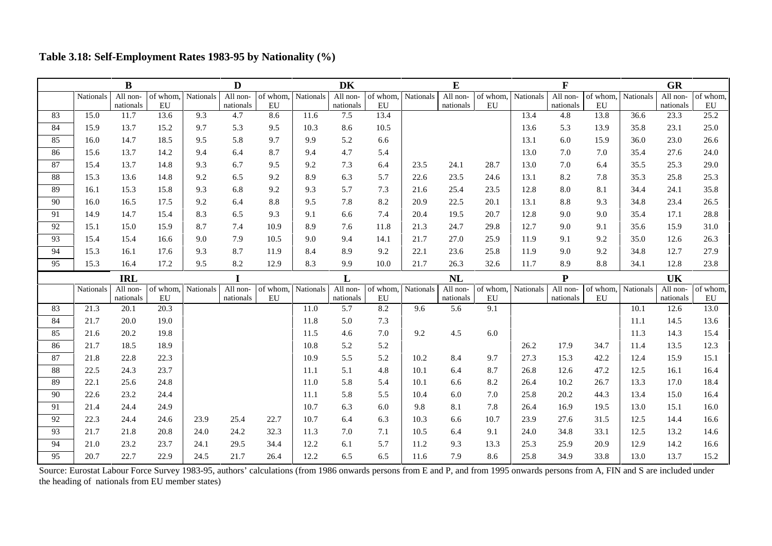|    |           | B          |          |           | D         |          |           | <b>DK</b> |          |           | E         |          |           | $\mathbf F$ |          |           | <b>GR</b> |          |
|----|-----------|------------|----------|-----------|-----------|----------|-----------|-----------|----------|-----------|-----------|----------|-----------|-------------|----------|-----------|-----------|----------|
|    | Nationals | All non-   | of whom, | Nationals | All non-  | of whom, | Nationals | All non-  | of whom, | Nationals | All non-  | of whom, | Nationals | All non-    | of whom, | Nationals | All non-  | of whom, |
|    |           | nationals  | EU       |           | nationals | EU       |           | nationals | EU       |           | nationals | EU       |           | nationals   | EU       |           | nationals | EU       |
| 83 | 15.0      | 11.7       | 13.6     | 9.3       | 4.7       | 8.6      | 11.6      | 7.5       | 13.4     |           |           |          | 13.4      | 4.8         | 13.8     | 36.6      | 23.3      | 25.2     |
| 84 | 15.9      | 13.7       | 15.2     | 9.7       | 5.3       | 9.5      | 10.3      | 8.6       | 10.5     |           |           |          | 13.6      | 5.3         | 13.9     | 35.8      | 23.1      | 25.0     |
| 85 | 16.0      | 14.7       | 18.5     | 9.5       | 5.8       | 9.7      | 9.9       | 5.2       | 6.6      |           |           |          | 13.1      | 6.0         | 15.9     | 36.0      | 23.0      | 26.6     |
| 86 | 15.6      | 13.7       | 14.2     | 9.4       | 6.4       | 8.7      | 9.4       | 4.7       | 5.4      |           |           |          | 13.0      | 7.0         | 7.0      | 35.4      | 27.6      | 24.0     |
| 87 | 15.4      | 13.7       | 14.8     | 9.3       | 6.7       | 9.5      | 9.2       | 7.3       | 6.4      | 23.5      | 24.1      | 28.7     | 13.0      | 7.0         | 6.4      | 35.5      | 25.3      | 29.0     |
| 88 | 15.3      | 13.6       | 14.8     | 9.2       | 6.5       | 9.2      | 8.9       | 6.3       | 5.7      | 22.6      | 23.5      | 24.6     | 13.1      | 8.2         | 7.8      | 35.3      | 25.8      | 25.3     |
| 89 | 16.1      | 15.3       | 15.8     | 9.3       | 6.8       | 9.2      | 9.3       | 5.7       | 7.3      | 21.6      | 25.4      | 23.5     | 12.8      | 8.0         | 8.1      | 34.4      | 24.1      | 35.8     |
| 90 | 16.0      | 16.5       | 17.5     | 9.2       | 6.4       | 8.8      | 9.5       | 7.8       | 8.2      | 20.9      | 22.5      | 20.1     | 13.1      | 8.8         | 9.3      | 34.8      | 23.4      | 26.5     |
| 91 | 14.9      | 14.7       | 15.4     | 8.3       | 6.5       | 9.3      | 9.1       | 6.6       | 7.4      | 20.4      | 19.5      | 20.7     | 12.8      | 9.0         | 9.0      | 35.4      | 17.1      | 28.8     |
| 92 | 15.1      | 15.0       | 15.9     | 8.7       | 7.4       | 10.9     | 8.9       | 7.6       | 11.8     | 21.3      | 24.7      | 29.8     | 12.7      | 9.0         | 9.1      | 35.6      | 15.9      | 31.0     |
| 93 | 15.4      | 15.4       | 16.6     | 9.0       | 7.9       | 10.5     | 9.0       | 9.4       | 14.1     | 21.7      | 27.0      | 25.9     | 11.9      | 9.1         | 9.2      | 35.0      | 12.6      | 26.3     |
| 94 | 15.3      | 16.1       | 17.6     | 9.3       | 8.7       | 11.9     | 8.4       | 8.9       | 9.2      | 22.1      | 23.6      | 25.8     | 11.9      | 9.0         | 9.2      | 34.8      | 12.7      | 27.9     |
| 95 | 15.3      | 16.4       | 17.2     | 9.5       | 8.2       | 12.9     | 8.3       | 9.9       | 10.0     | 21.7      | 26.3      | 32.6     | 11.7      | 8.9         | 8.8      | 34.1      | 12.8      | 23.8     |
|    |           |            |          |           |           |          |           |           |          |           |           |          |           |             |          |           |           |          |
|    |           | <b>IRL</b> |          |           | I         |          |           | L         |          |           | NL        |          |           | ${\bf P}$   |          |           | <b>UK</b> |          |
|    | Nationals | All non-   | of whom. | Nationals | All non-  | of whom. | Nationals | All non-  | of whom, | Nationals | All non-  | of whom, | Nationals | All non-    | of whom. | Nationals | All non-  | of whom, |
|    |           | nationals  | EU       |           | nationals | EU       |           | nationals | EU       |           | nationals | EU       |           | nationals   | EU       |           | nationals | EU       |
| 83 | 21.3      | 20.1       | 20.3     |           |           |          | 11.0      | 5.7       | 8.2      | 9.6       | 5.6       | 9.1      |           |             |          | 10.1      | 12.6      | 13.0     |
| 84 | 21.7      | 20.0       | 19.0     |           |           |          | 11.8      | 5.0       | 7.3      |           |           |          |           |             |          | 11.1      | 14.5      | 13.6     |
| 85 | 21.6      | 20.2       | 19.8     |           |           |          | 11.5      | 4.6       | 7.0      | 9.2       | 4.5       | 6.0      |           |             |          | 11.3      | 14.3      | 15.4     |
| 86 | 21.7      | 18.5       | 18.9     |           |           |          | 10.8      | 5.2       | 5.2      |           |           |          | 26.2      | 17.9        | 34.7     | 11.4      | 13.5      | 12.3     |
| 87 | 21.8      | 22.8       | 22.3     |           |           |          | 10.9      | 5.5       | 5.2      | 10.2      | 8.4       | 9.7      | 27.3      | 15.3        | 42.2     | 12.4      | 15.9      | 15.1     |
| 88 | 22.5      | 24.3       | 23.7     |           |           |          | 11.1      | 5.1       | 4.8      | 10.1      | 6.4       | 8.7      | 26.8      | 12.6        | 47.2     | 12.5      | 16.1      | 16.4     |
| 89 | 22.1      | 25.6       | 24.8     |           |           |          | 11.0      | 5.8       | 5.4      | 10.1      | 6.6       | 8.2      | 26.4      | 10.2        | 26.7     | 13.3      | 17.0      | 18.4     |
| 90 | 22.6      | 23.2       | 24.4     |           |           |          | 11.1      | 5.8       | 5.5      | 10.4      | 6.0       | 7.0      | 25.8      | 20.2        | 44.3     | 13.4      | 15.0      | 16.4     |
| 91 | 21.4      | 24.4       | 24.9     |           |           |          | 10.7      | 6.3       | 6.0      | 9.8       | 8.1       | 7.8      | 26.4      | 16.9        | 19.5     | 13.0      | 15.1      | 16.0     |
| 92 | 22.3      | 24.4       | 24.6     | 23.9      | 25.4      | 22.7     | 10.7      | 6.4       | 6.3      | 10.3      | 6.6       | 10.7     | 23.9      | 27.6        | 31.5     | 12.5      | 14.4      | 16.6     |
| 93 | 21.7      | 21.8       | 20.8     | 24.0      | 24.2      | 32.3     | 11.3      | 7.0       | 7.1      | 10.5      | 6.4       | 9.1      | 24.0      | 34.8        | 33.1     | 12.5      | 13.2      | 14.6     |
| 94 | 21.0      | 23.2       | 23.7     | 24.1      | 29.5      | 34.4     | 12.2      | 6.1       | 5.7      | 11.2      | 9.3       | 13.3     | 25.3      | 25.9        | 20.9     | 12.9      | 14.2      | 16.6     |

## **Table 3.18: Self-Employment Rates 1983-95 by Nationality (%)**

Source: Eurostat Labour Force Survey 1983-95, authors' calculations (from 1986 onwards persons from E and P, and from 1995 onwards persons from A, FIN and S are included under the heading of nationals from EU member states)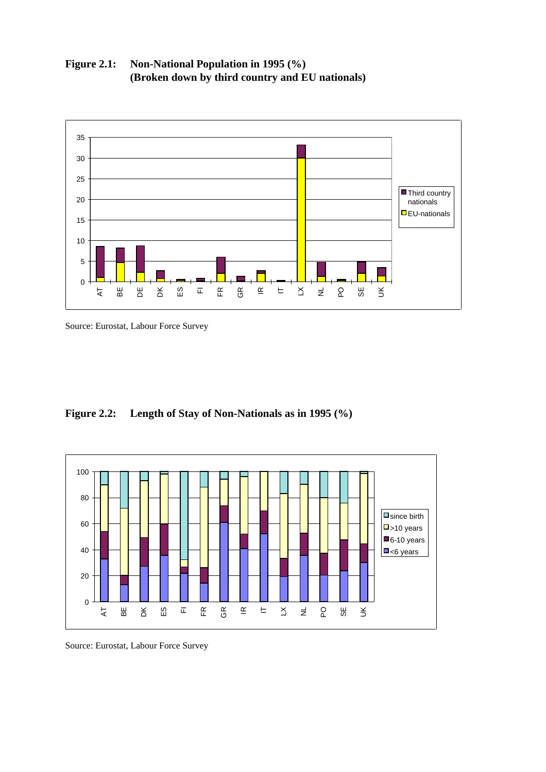

**Figure 2.1: Non-National Population in 1995 (%) (Broken down by third country and EU nationals)**

Source: Eurostat, Labour Force Survey

# **Figure 2.2: Length of Stay of Non-Nationals as in 1995 (%)**



Source: Eurostat, Labour Force Survey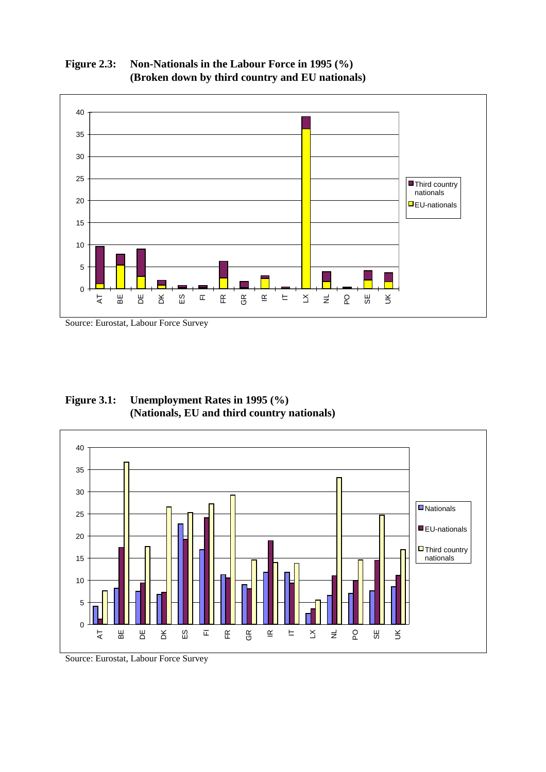

**Figure 2.3: Non-Nationals in the Labour Force in 1995 (%) (Broken down by third country and EU nationals)**

Source: Eurostat, Labour Force Survey

**Figure 3.1: Unemployment Rates in 1995 (%) (Nationals, EU and third country nationals)**



Source: Eurostat, Labour Force Survey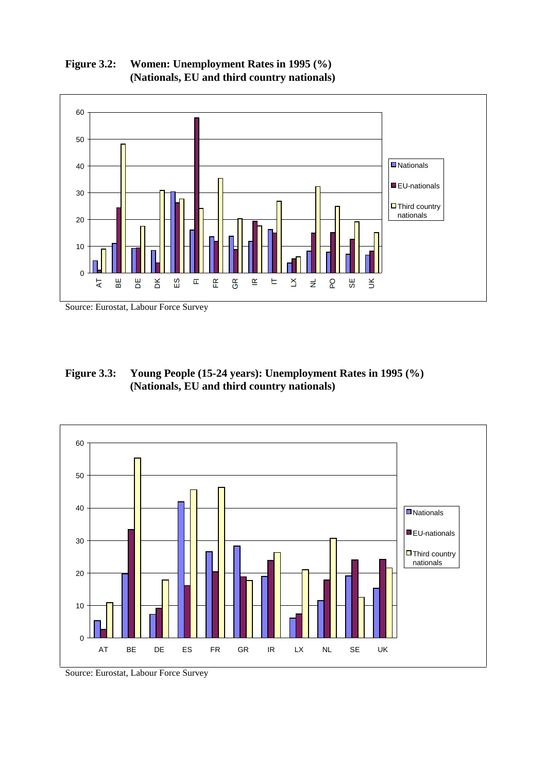

**Figure 3.2: Women: Unemployment Rates in 1995 (%) (Nationals, EU and third country nationals)**

Source: Eurostat, Labour Force Survey

**Figure 3.3: Young People (15-24 years): Unemployment Rates in 1995 (%) (Nationals, EU and third country nationals)**



Source: Eurostat, Labour Force Survey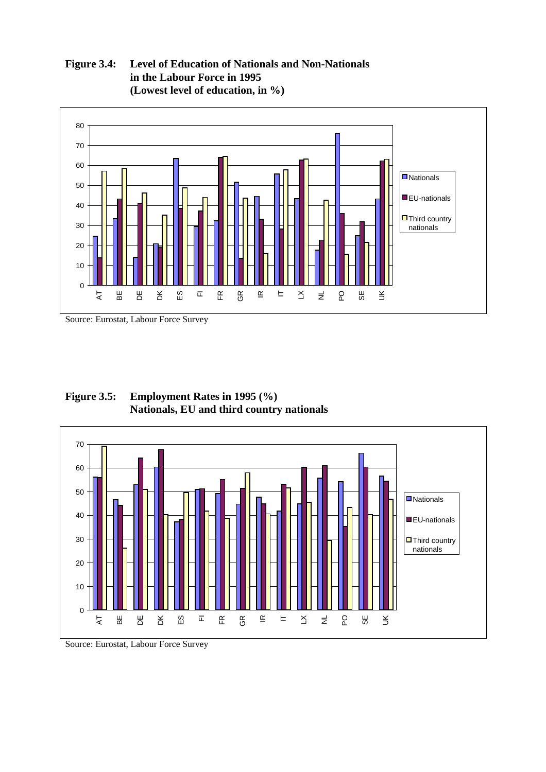**Figure 3.4: Level of Education of Nationals and Non-Nationals in the Labour Force in 1995 (Lowest level of education, in %)**



Source: Eurostat, Labour Force Survey

**Figure 3.5: Employment Rates in 1995 (%) Nationals, EU and third country nationals**



Source: Eurostat, Labour Force Survey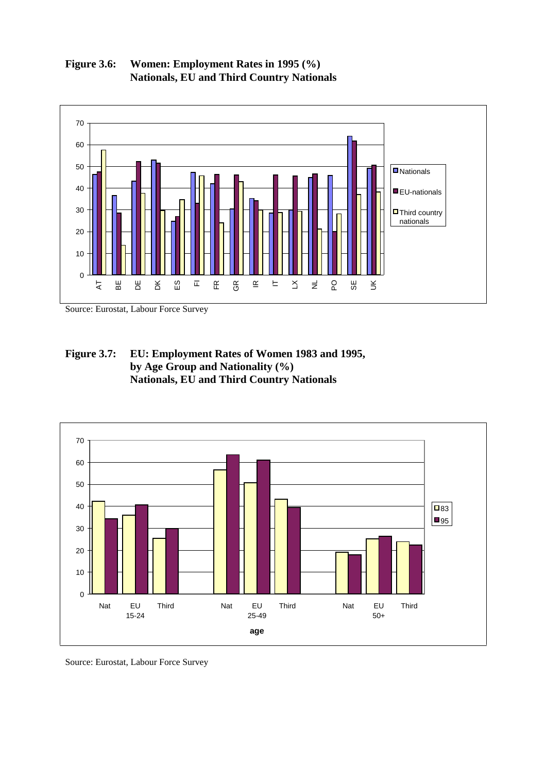

**Figure 3.6: Women: Employment Rates in 1995 (%) Nationals, EU and Third Country Nationals**

Source: Eurostat, Labour Force Survey

**Figure 3.7: EU: Employment Rates of Women 1983 and 1995, by Age Group and Nationality (%) Nationals, EU and Third Country Nationals**



Source: Eurostat, Labour Force Survey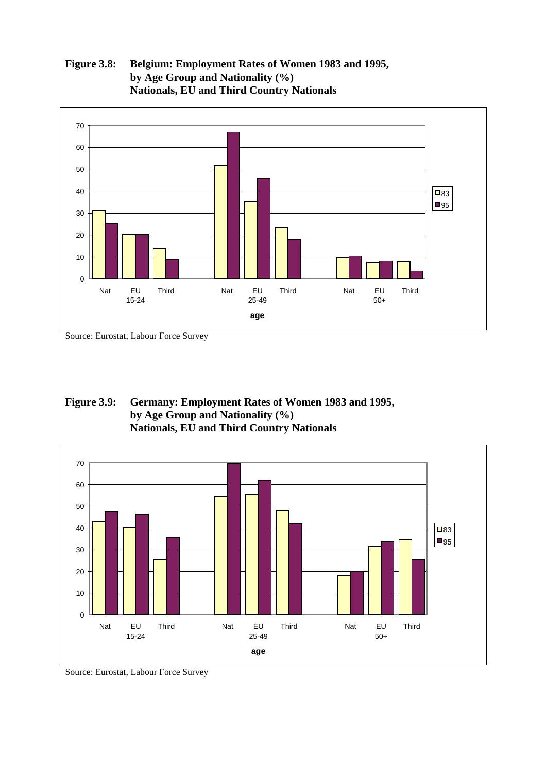

## **Figure 3.8: Belgium: Employment Rates of Women 1983 and 1995, by Age Group and Nationality (%) Nationals, EU and Third Country Nationals**

Source: Eurostat, Labour Force Survey

## **Figure 3.9: Germany: Employment Rates of Women 1983 and 1995, by Age Group and Nationality (%) Nationals, EU and Third Country Nationals**



Source: Eurostat, Labour Force Survey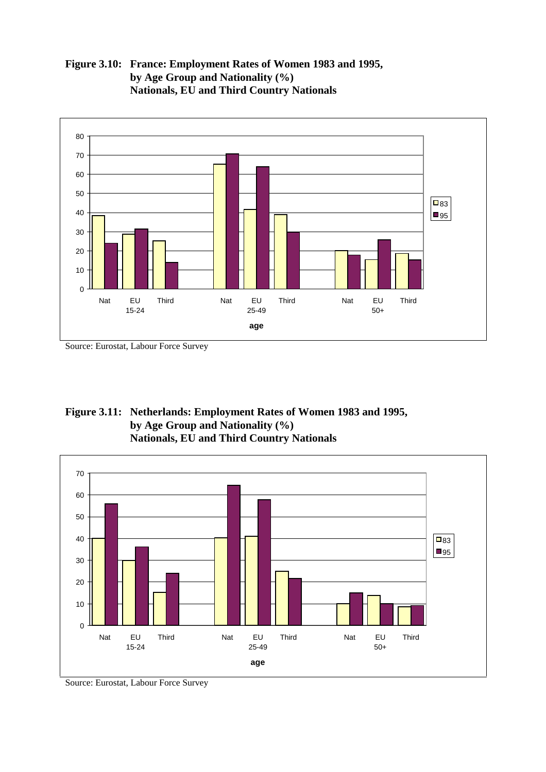

**Figure 3.10: France: Employment Rates of Women 1983 and 1995, by Age Group and Nationality (%) Nationals, EU and Third Country Nationals**

Source: Eurostat, Labour Force Survey





Source: Eurostat, Labour Force Survey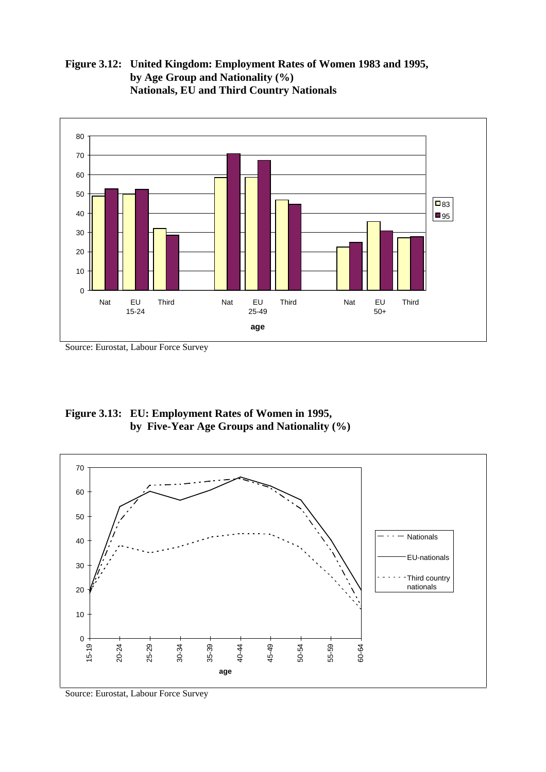**Figure 3.12: United Kingdom: Employment Rates of Women 1983 and 1995, by Age Group and Nationality (%) Nationals, EU and Third Country Nationals**



Source: Eurostat, Labour Force Survey

**Figure 3.13: EU: Employment Rates of Women in 1995, by Five-Year Age Groups and Nationality (%)**



Source: Eurostat, Labour Force Survey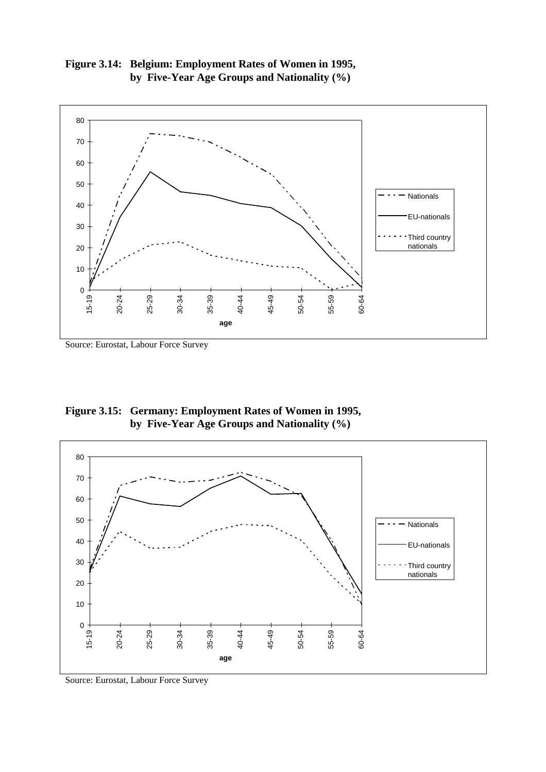



Source: Eurostat, Labour Force Survey

**Figure 3.15: Germany: Employment Rates of Women in 1995, by Five-Year Age Groups and Nationality (%)**



Source: Eurostat, Labour Force Survey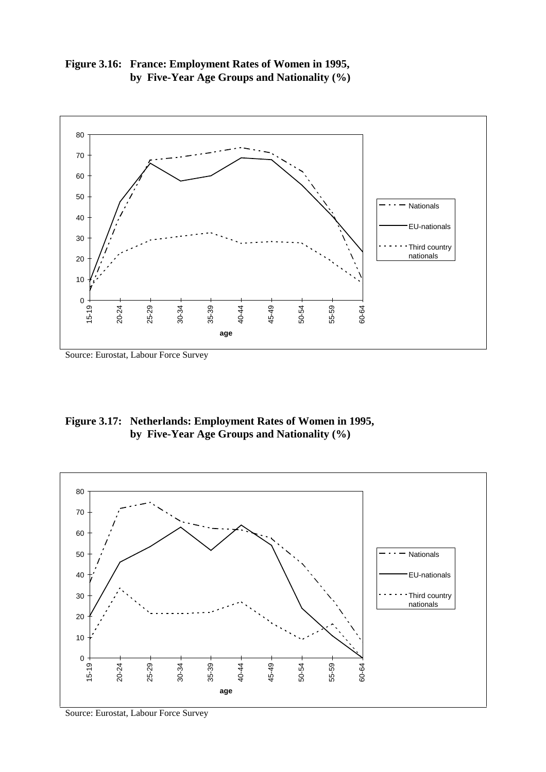



Source: Eurostat, Labour Force Survey

**Figure 3.17: Netherlands: Employment Rates of Women in 1995, by Five-Year Age Groups and Nationality (%)**



Source: Eurostat, Labour Force Survey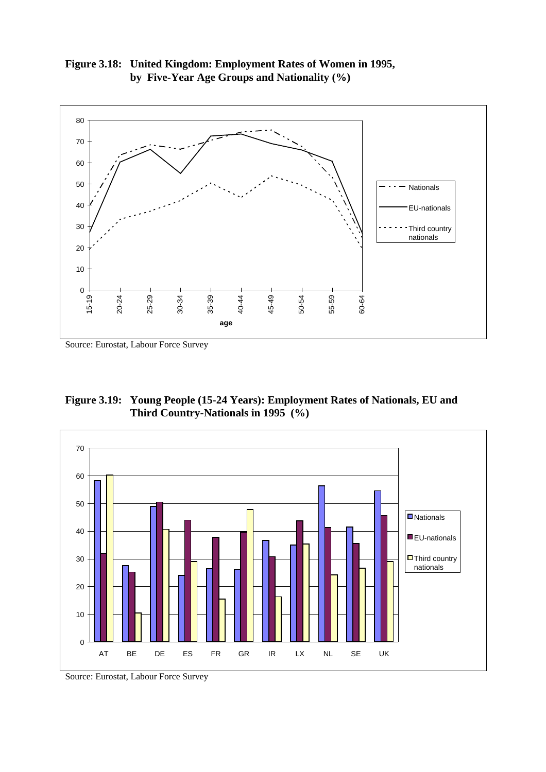**Figure 3.18: United Kingdom: Employment Rates of Women in 1995, by Five-Year Age Groups and Nationality (%)**



Source: Eurostat, Labour Force Survey

**Figure 3.19: Young People (15-24 Years): Employment Rates of Nationals, EU and Third Country-Nationals in 1995 (%)**



Source: Eurostat, Labour Force Survey